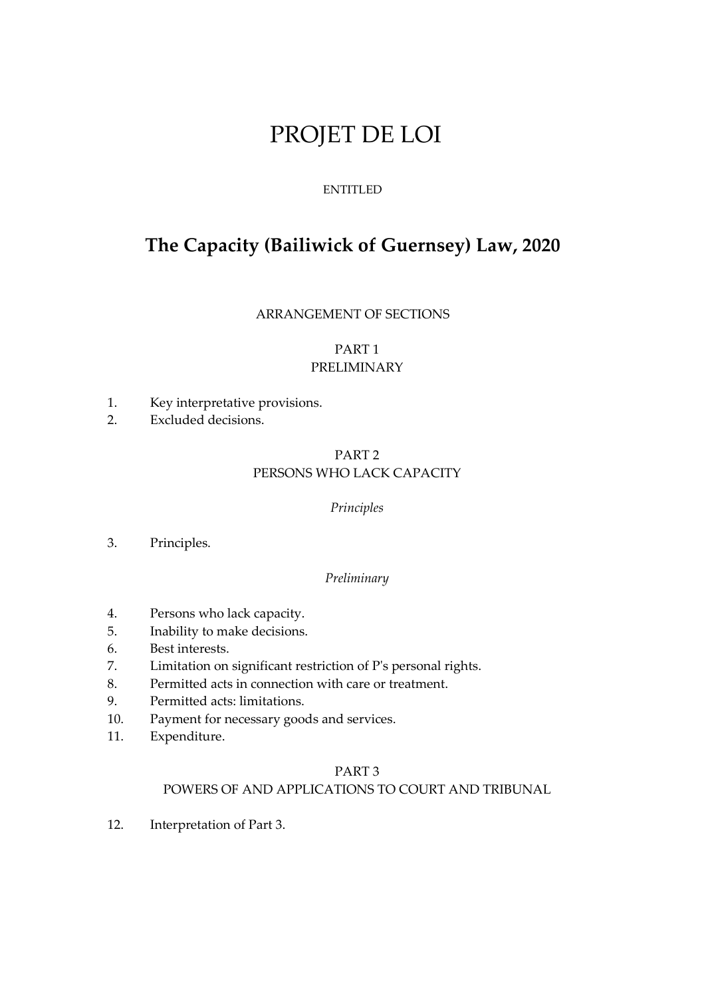# PROJET DE LOI

## ENTITLED

## **The Capacity (Bailiwick of Guernsey) Law, 2020**

ARRANGEMENT OF SECTIONS

## PART 1 PRELIMINARY

- 1. Key interpretative provisions.
- 2. Excluded decisions.

## PART 2 PERSONS WHO LACK CAPACITY

## *Principles*

3. Principles.

#### *Preliminary*

- 4. Persons who lack capacity.
- 5. Inability to make decisions.
- 6. Best interests.
- 7. Limitation on significant restriction of P's personal rights.
- 8. Permitted acts in connection with care or treatment.
- 9. Permitted acts: limitations.
- 10. Payment for necessary goods and services.
- 11. Expenditure.

## PART 3

## POWERS OF AND APPLICATIONS TO COURT AND TRIBUNAL

12. Interpretation of Part 3.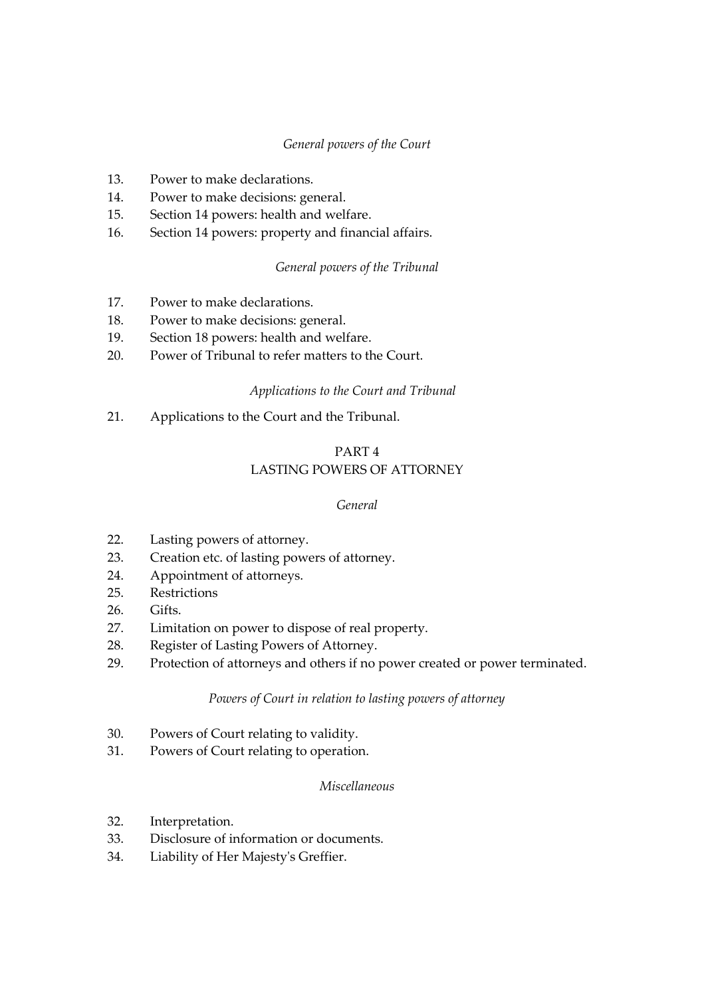## *General powers of the Court*

- 13. Power to make declarations.
- 14. Power to make decisions: general.
- 15. Section 14 powers: health and welfare.
- 16. Section 14 powers: property and financial affairs.

## *General powers of the Tribunal*

- 17. Power to make declarations.
- 18. Power to make decisions: general.
- 19. Section 18 powers: health and welfare.
- 20. Power of Tribunal to refer matters to the Court.

## *Applications to the Court and Tribunal*

21. Applications to the Court and the Tribunal.

## PART 4 LASTING POWERS OF ATTORNEY

#### *General*

- 22. Lasting powers of attorney.
- 23. Creation etc. of lasting powers of attorney.
- 24. Appointment of attorneys.
- 25. Restrictions
- 26. Gifts.
- 27. Limitation on power to dispose of real property.
- 28. Register of Lasting Powers of Attorney.
- 29. Protection of attorneys and others if no power created or power terminated.

## *Powers of Court in relation to lasting powers of attorney*

- 30. Powers of Court relating to validity.
- 31. Powers of Court relating to operation.

## *Miscellaneous*

- 32. Interpretation.
- 33. Disclosure of information or documents.
- 34. Liability of Her Majesty's Greffier.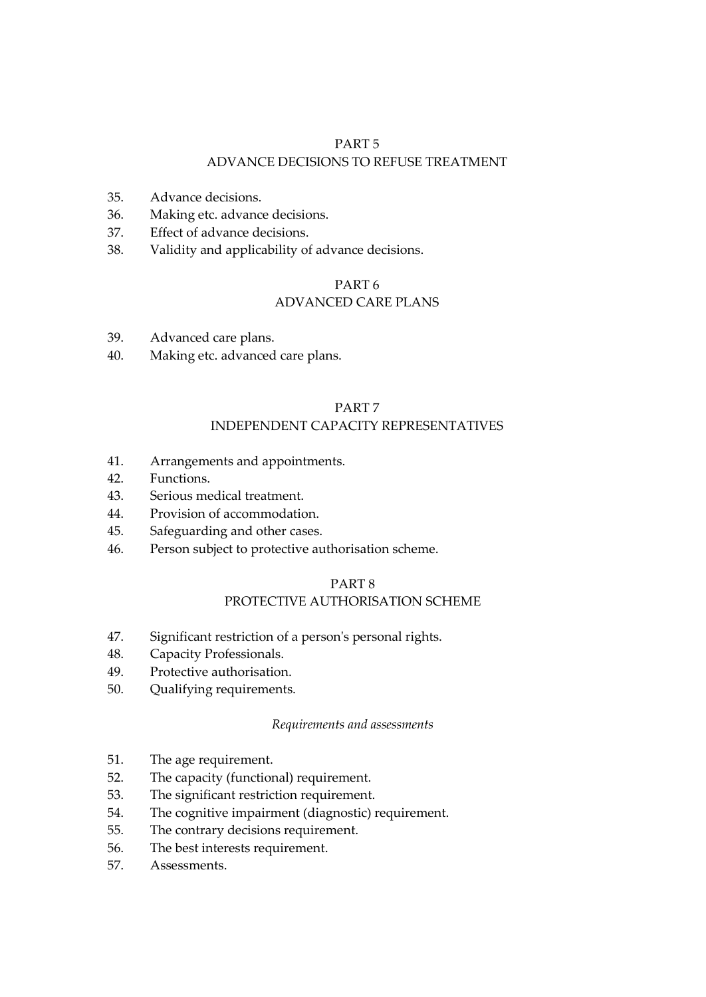## PART 5 ADVANCE DECISIONS TO REFUSE TREATMENT

- 35. Advance decisions.
- 36. Making etc. advance decisions.
- 37. Effect of advance decisions.
- 38. Validity and applicability of advance decisions.

#### PART 6

## ADVANCED CARE PLANS

- 39. Advanced care plans.
- 40. Making etc. advanced care plans.

#### PART 7

## INDEPENDENT CAPACITY REPRESENTATIVES

- 41. Arrangements and appointments.
- 42. Functions.
- 43. Serious medical treatment.
- 44. Provision of accommodation.
- 45. Safeguarding and other cases.
- 46. Person subject to protective authorisation scheme.

## PART 8

## PROTECTIVE AUTHORISATION SCHEME

- 47. Significant restriction of a person's personal rights.
- 48. Capacity Professionals.
- 49. Protective authorisation.
- 50. Qualifying requirements.

#### *Requirements and assessments*

- 51. The age requirement.
- 52. The capacity (functional) requirement.
- 53. The significant restriction requirement.
- 54. The cognitive impairment (diagnostic) requirement.
- 55. The contrary decisions requirement.
- 56. The best interests requirement.
- 57. Assessments.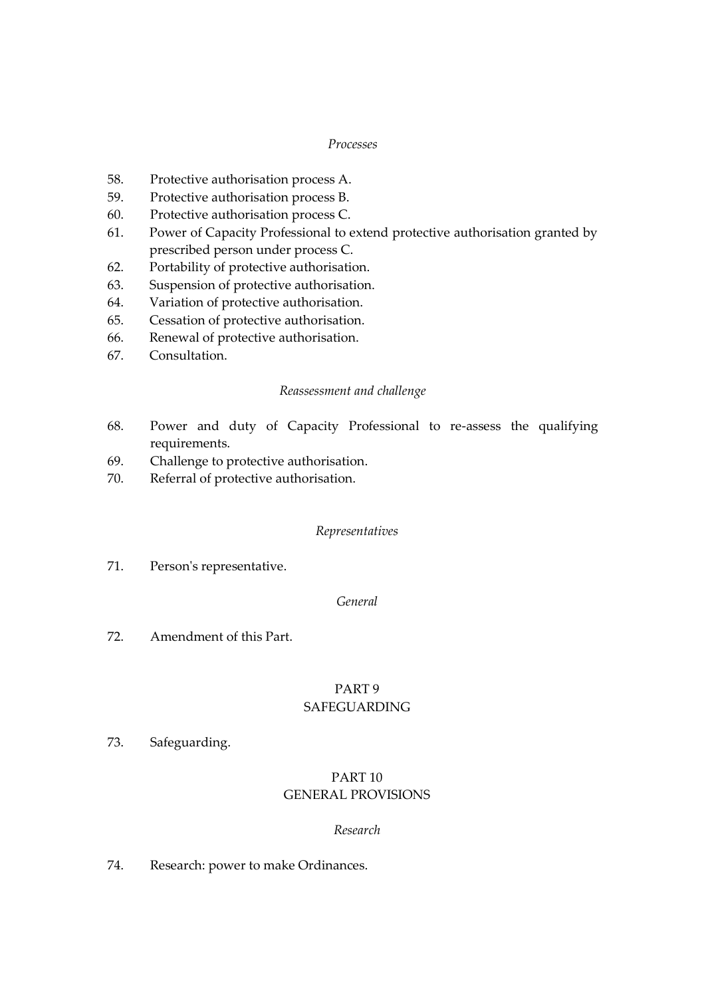#### *Processes*

- 58. Protective authorisation process A.
- 59. Protective authorisation process B.
- 60. Protective authorisation process C.
- 61. Power of Capacity Professional to extend protective authorisation granted by prescribed person under process C.
- 62. Portability of protective authorisation.
- 63. Suspension of protective authorisation.
- 64. Variation of protective authorisation.
- 65. Cessation of protective authorisation.
- 66. Renewal of protective authorisation.
- 67. Consultation.

#### *Reassessment and challenge*

- 68. Power and duty of Capacity Professional to re-assess the qualifying requirements.
- 69. Challenge to protective authorisation.
- 70. Referral of protective authorisation.

#### *Representatives*

71. Person's representative.

#### *General*

72. Amendment of this Part.

#### PART 9 SAFEGUARDING

73. Safeguarding.

## PART 10 GENERAL PROVISIONS

#### *Research*

74. Research: power to make Ordinances.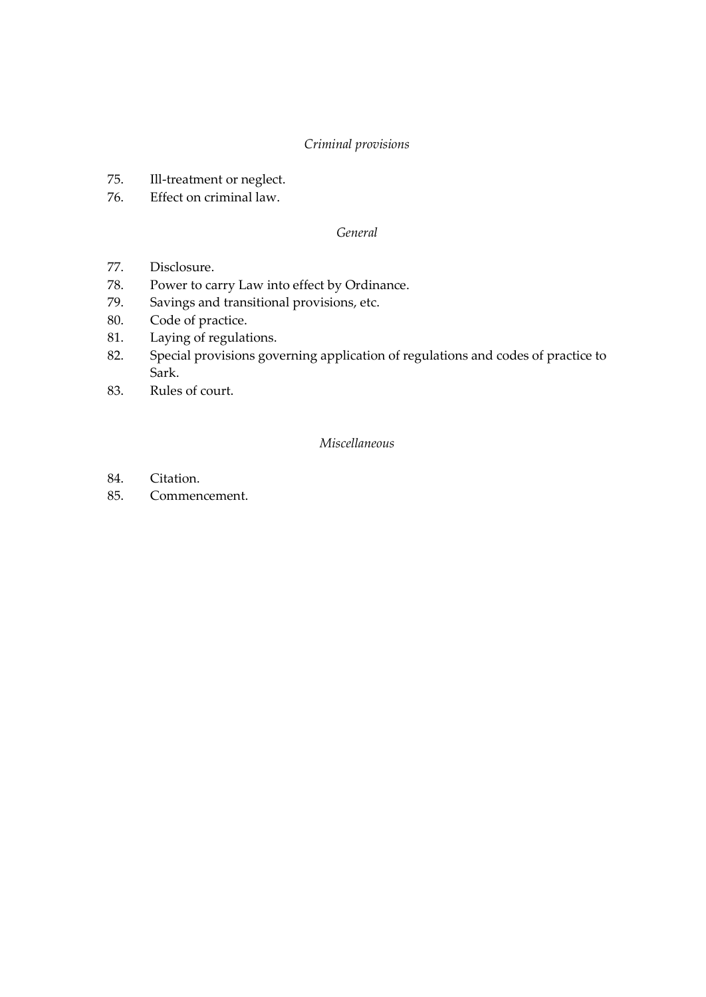## *Criminal provisions*

- 75. Ill-treatment or neglect.
- 76. Effect on criminal law.

## *General*

- 77. Disclosure.
- 78. Power to carry Law into effect by Ordinance.
- 79. Savings and transitional provisions, etc.
- 80. Code of practice.
- 81. Laying of regulations.
- 82. Special provisions governing application of regulations and codes of practice to Sark.
- 83. Rules of court.

## *Miscellaneous*

- 84. Citation.
- 85. Commencement.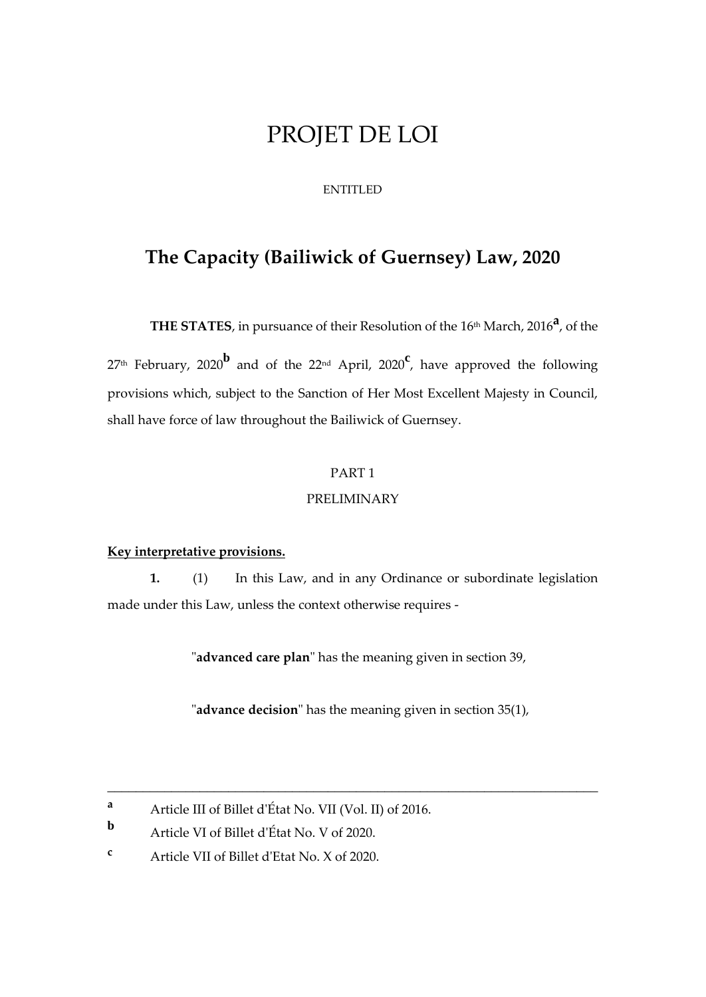# PROJET DE LOI

## ENTITLED

## **The Capacity (Bailiwick of Guernsey) Law, 2020**

**THE STATES**, in pursuance of their Resolution of the 16th March, 2016 **a** , of the

<sup>27</sup>th February, 2020**<sup>b</sup>** and of the 22nd April, <sup>2020</sup>**<sup>c</sup>** , have approved the following provisions which, subject to the Sanction of Her Most Excellent Majesty in Council, shall have force of law throughout the Bailiwick of Guernsey.

## PART 1

## PRELIMINARY

#### **Key interpretative provisions.**

**1.** (1) In this Law, and in any Ordinance or subordinate legislation made under this Law, unless the context otherwise requires -

"**advanced care plan**" has the meaning given in section 39,

"**advance decision**" has the meaning given in section 35(1),

**<sup>a</sup>** Article III of Billet d'État No. VII (Vol. II) of 2016.

**b** Article VI of Billet d'État No. V of 2020.

**<sup>c</sup>** Article VII of Billet d'Etat No. X of 2020.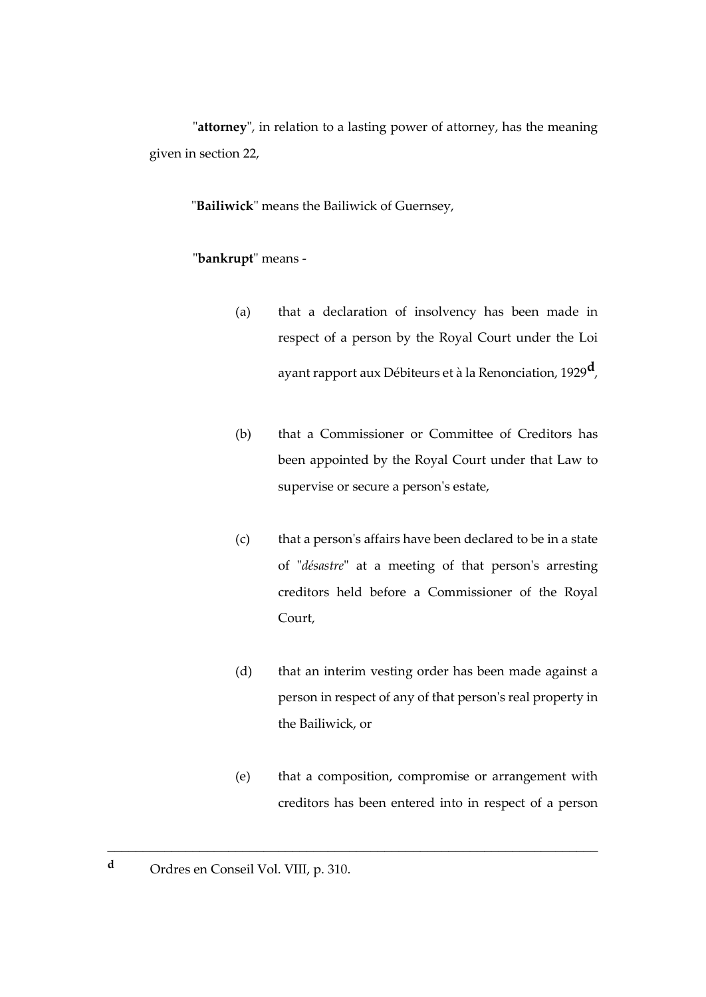"**attorney**", in relation to a lasting power of attorney, has the meaning given in section 22,

"**Bailiwick**" means the Bailiwick of Guernsey,

## "**bankrupt**" means -

- (a) that a declaration of insolvency has been made in respect of a person by the Royal Court under the Loi ayant rapport aux Débiteurs et à la Renonciation, 1929**d**,
- (b) that a Commissioner or Committee of Creditors has been appointed by the Royal Court under that Law to supervise or secure a person's estate,
- (c) that a person's affairs have been declared to be in a state of "*désastre*" at a meeting of that person's arresting creditors held before a Commissioner of the Royal Court,
- (d) that an interim vesting order has been made against a person in respect of any of that person's real property in the Bailiwick, or
- (e) that a composition, compromise or arrangement with creditors has been entered into in respect of a person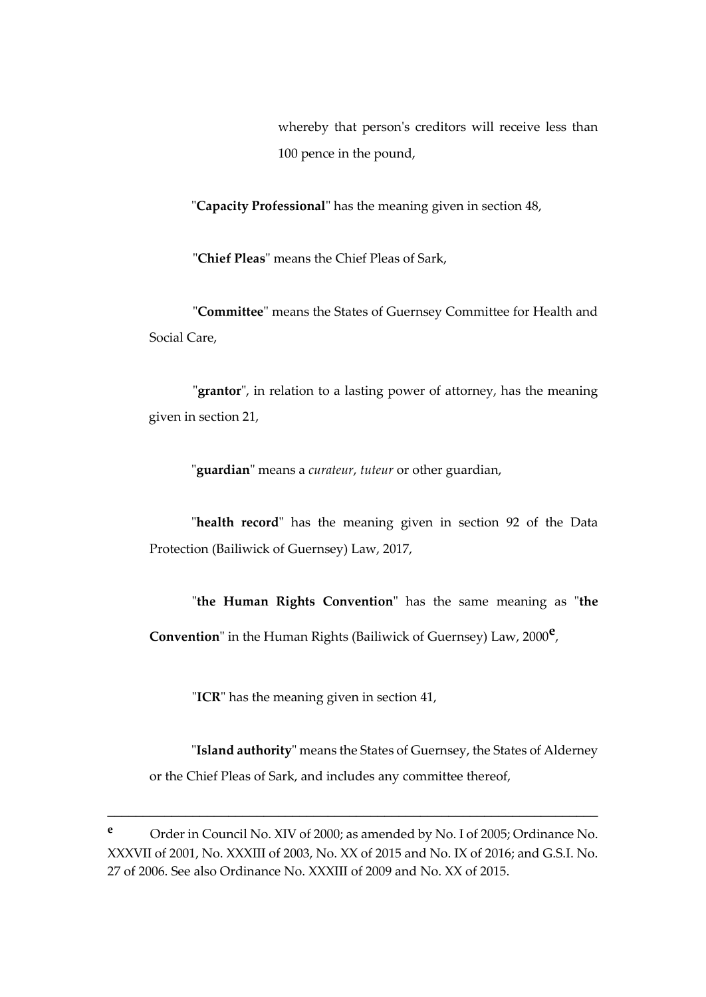whereby that person's creditors will receive less than 100 pence in the pound,

"**Capacity Professional**" has the meaning given in section 48,

"**Chief Pleas**" means the Chief Pleas of Sark,

"**Committee**" means the States of Guernsey Committee for Health and Social Care,

"**grantor**", in relation to a lasting power of attorney, has the meaning given in section 21,

"**guardian**" means a *curateur*, *tuteur* or other guardian,

"**health record**" has the meaning given in section 92 of the Data Protection (Bailiwick of Guernsey) Law, 2017,

"**the Human Rights Convention**" has the same meaning as "**the Convention**" in the Human Rights (Bailiwick of Guernsey) Law, 2000**<sup>e</sup>** ,

"**ICR**" has the meaning given in section 41,

"**Island authority**" means the States of Guernsey, the States of Alderney or the Chief Pleas of Sark, and includes any committee thereof,

**<sup>e</sup>** Order in Council No. XIV of 2000; as amended by No. I of 2005; Ordinance No. XXXVII of 2001, No. XXXIII of 2003, No. XX of 2015 and No. IX of 2016; and G.S.I. No. 27 of 2006. See also Ordinance No. XXXIII of 2009 and No. XX of 2015.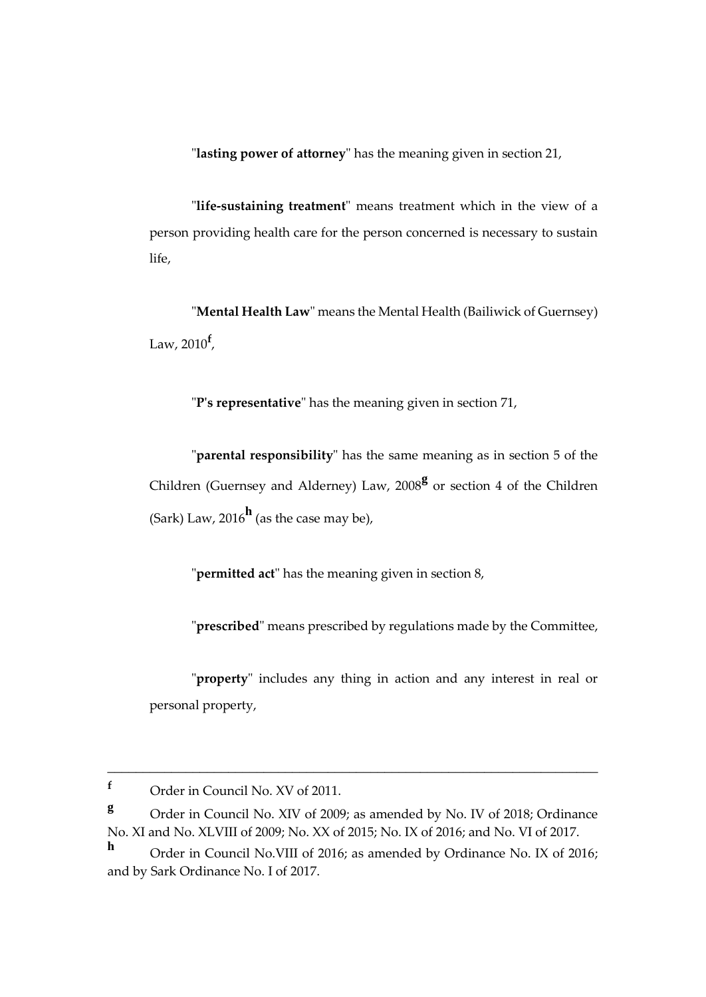"**lasting power of attorney**" has the meaning given in section 21,

"**life-sustaining treatment**" means treatment which in the view of a person providing health care for the person concerned is necessary to sustain life,

"**Mental Health Law**" means the Mental Health (Bailiwick of Guernsey) Law, 2010**<sup>f</sup>** ,

"**P's representative**" has the meaning given in section 71,

"**parental responsibility**" has the same meaning as in section 5 of the Children (Guernsey and Alderney) Law, 2008<sup>g</sup> or section 4 of the Children (Sark) Law, 2016**<sup>h</sup>** (as the case may be),

"**permitted act**" has the meaning given in section 8,

"**prescribed**" means prescribed by regulations made by the Committee,

"**property**" includes any thing in action and any interest in real or personal property,

**<sup>f</sup>** Order in Council No. XV of 2011.

**<sup>g</sup>** Order in Council No. XIV of 2009; as amended by No. IV of 2018; Ordinance No. XI and No. XLVIII of 2009; No. XX of 2015; No. IX of 2016; and No. VI of 2017.

**h** Order in Council No.VIII of 2016; as amended by Ordinance No. IX of 2016; and by Sark Ordinance No. I of 2017.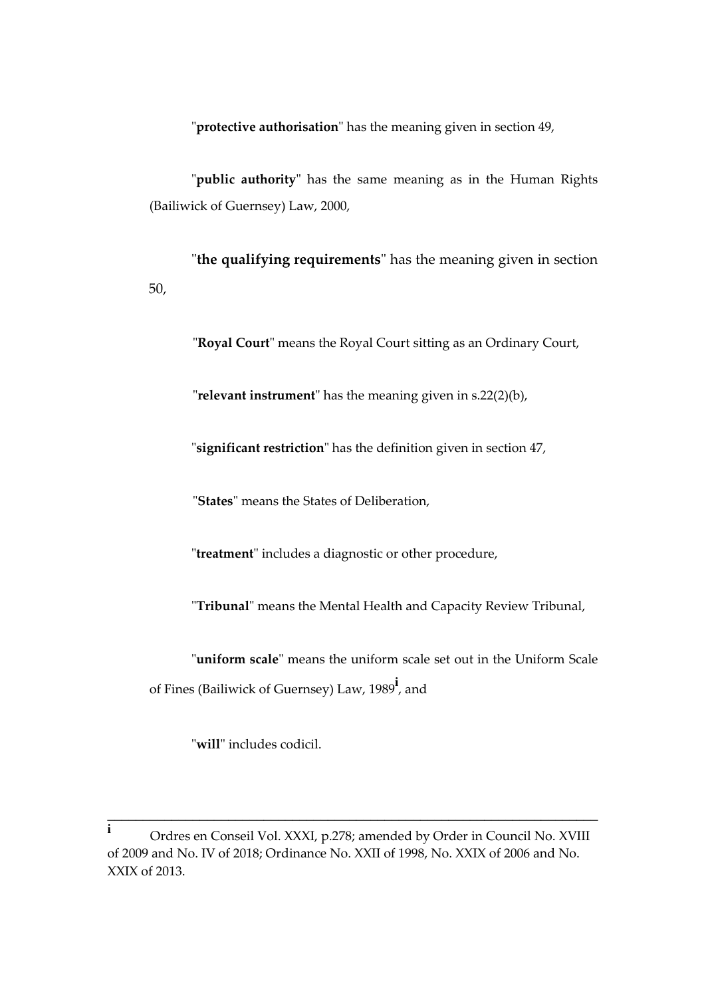"**protective authorisation**" has the meaning given in section 49,

"**public authority**" has the same meaning as in the Human Rights (Bailiwick of Guernsey) Law, 2000,

"**the qualifying requirements**" has the meaning given in section 50,

"**Royal Court**" means the Royal Court sitting as an Ordinary Court,

"**relevant instrument**" has the meaning given in s.22(2)(b),

"**significant restriction**" has the definition given in section 47,

"**States**" means the States of Deliberation,

"**treatment**" includes a diagnostic or other procedure,

"**Tribunal**" means the Mental Health and Capacity Review Tribunal,

"**uniform scale**" means the uniform scale set out in the Uniform Scale of Fines (Bailiwick of Guernsey) Law, 1989**<sup>i</sup>** , and

"**will**" includes codicil.

**i** Ordres en Conseil Vol. XXXI, p.278; amended by Order in Council No. XVIII of 2009 and No. IV of 2018; Ordinance No. XXII of 1998, No. XXIX of 2006 and No. XXIX of 2013.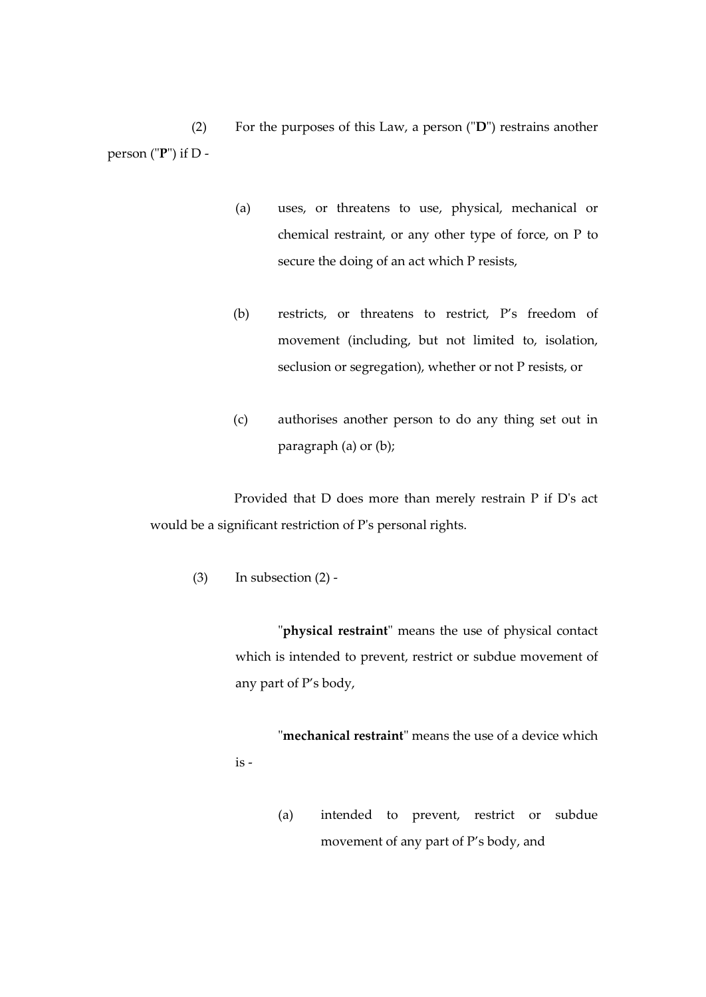(2) For the purposes of this Law, a person ("**D**") restrains another person ("**P**") if D -

- (a) uses, or threatens to use, physical, mechanical or chemical restraint, or any other type of force, on P to secure the doing of an act which P resists,
- (b) restricts, or threatens to restrict, P's freedom of movement (including, but not limited to, isolation, seclusion or segregation), whether or not P resists, or
- (c) authorises another person to do any thing set out in paragraph (a) or (b);

Provided that D does more than merely restrain P if D's act would be a significant restriction of P's personal rights.

 $(3)$  In subsection  $(2)$  -

"**physical restraint**" means the use of physical contact which is intended to prevent, restrict or subdue movement of any part of P's body,

"**mechanical restraint**" means the use of a device which is -

> (a) intended to prevent, restrict or subdue movement of any part of P's body, and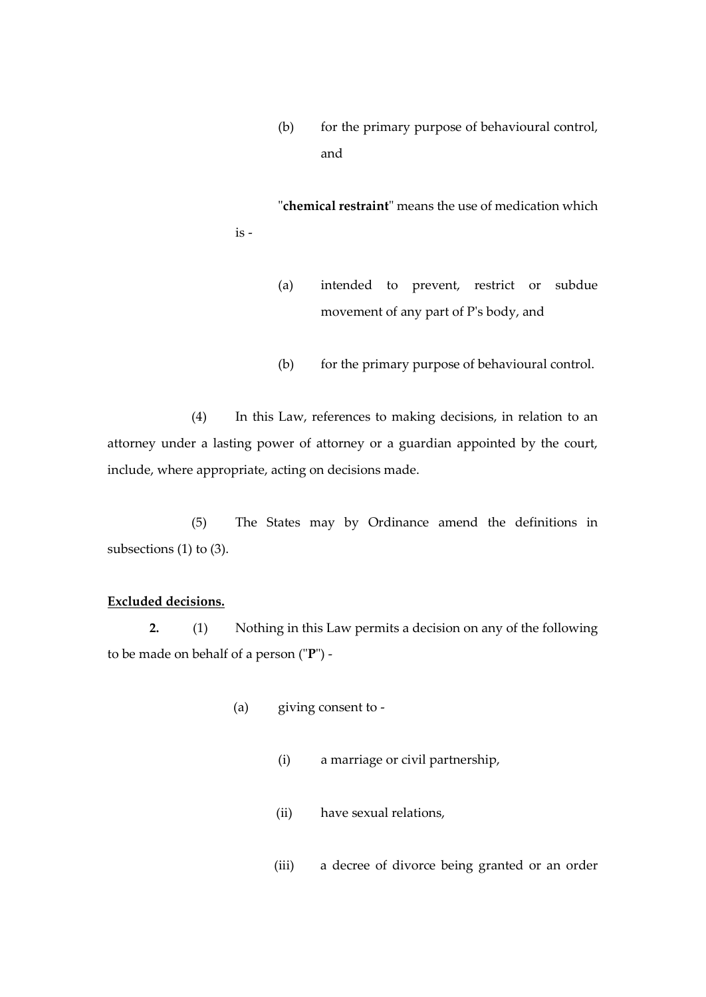(b) for the primary purpose of behavioural control, and

"**chemical restraint**" means the use of medication which is -

- (a) intended to prevent, restrict or subdue movement of any part of P's body, and
- (b) for the primary purpose of behavioural control.

(4) In this Law, references to making decisions, in relation to an attorney under a lasting power of attorney or a guardian appointed by the court, include, where appropriate, acting on decisions made.

(5) The States may by Ordinance amend the definitions in subsections (1) to (3).

## **Excluded decisions.**

**2.** (1) Nothing in this Law permits a decision on any of the following to be made on behalf of a person ("**P**") -

- (a) giving consent to
	- (i) a marriage or civil partnership,
	- (ii) have sexual relations,
	- (iii) a decree of divorce being granted or an order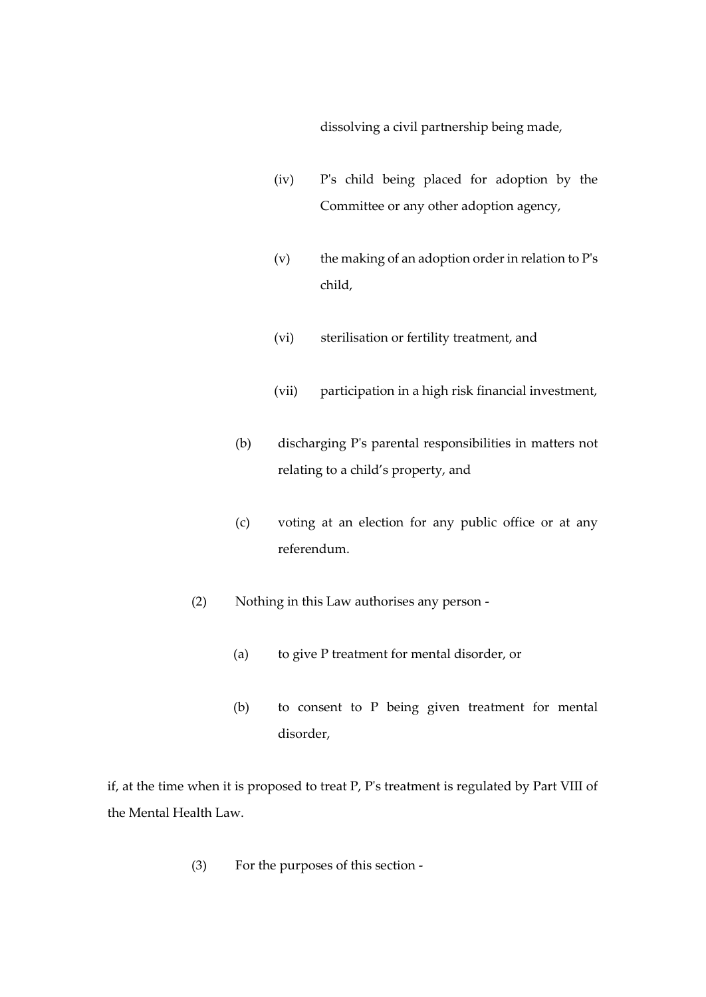dissolving a civil partnership being made,

- (iv) P's child being placed for adoption by the Committee or any other adoption agency,
- (v) the making of an adoption order in relation to  $P's$ child,
- (vi) sterilisation or fertility treatment, and
- (vii) participation in a high risk financial investment,
- (b) discharging P's parental responsibilities in matters not relating to a child's property, and
- (c) voting at an election for any public office or at any referendum.
- (2) Nothing in this Law authorises any person
	- (a) to give P treatment for mental disorder, or
	- (b) to consent to P being given treatment for mental disorder,

if, at the time when it is proposed to treat P, P's treatment is regulated by Part VIII of the Mental Health Law.

(3) For the purposes of this section -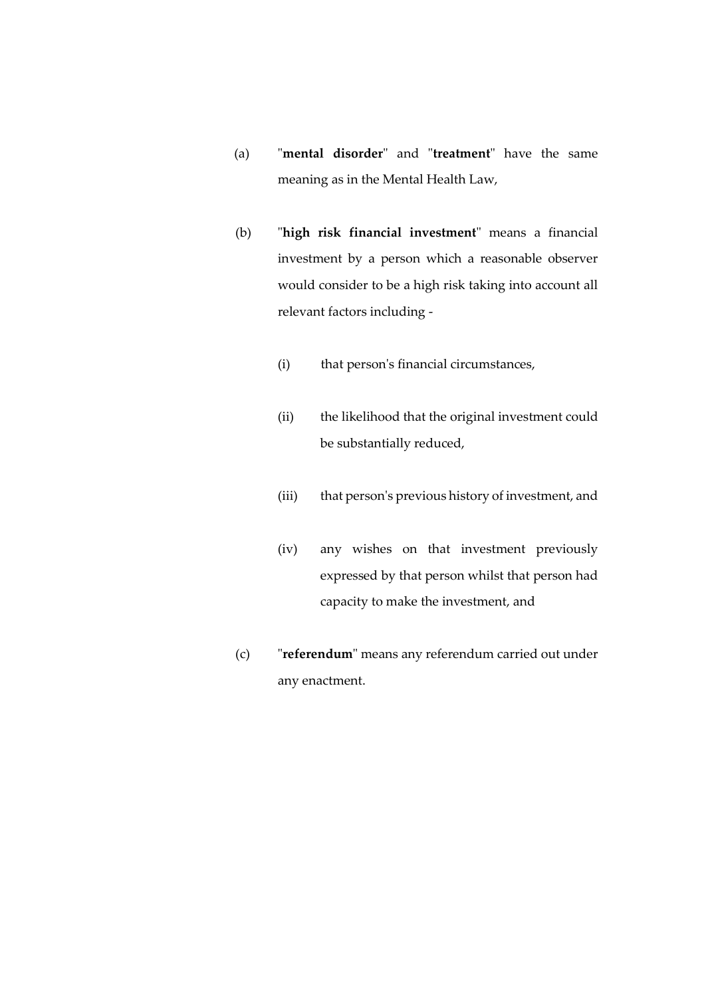- (a) "**mental disorder**" and "**treatment**" have the same meaning as in the Mental Health Law,
- (b) "**high risk financial investment**" means a financial investment by a person which a reasonable observer would consider to be a high risk taking into account all relevant factors including -
	- (i) that person's financial circumstances,
	- (ii) the likelihood that the original investment could be substantially reduced,
	- (iii) that person's previous history of investment, and
	- (iv) any wishes on that investment previously expressed by that person whilst that person had capacity to make the investment, and
- (c) "**referendum**" means any referendum carried out under any enactment.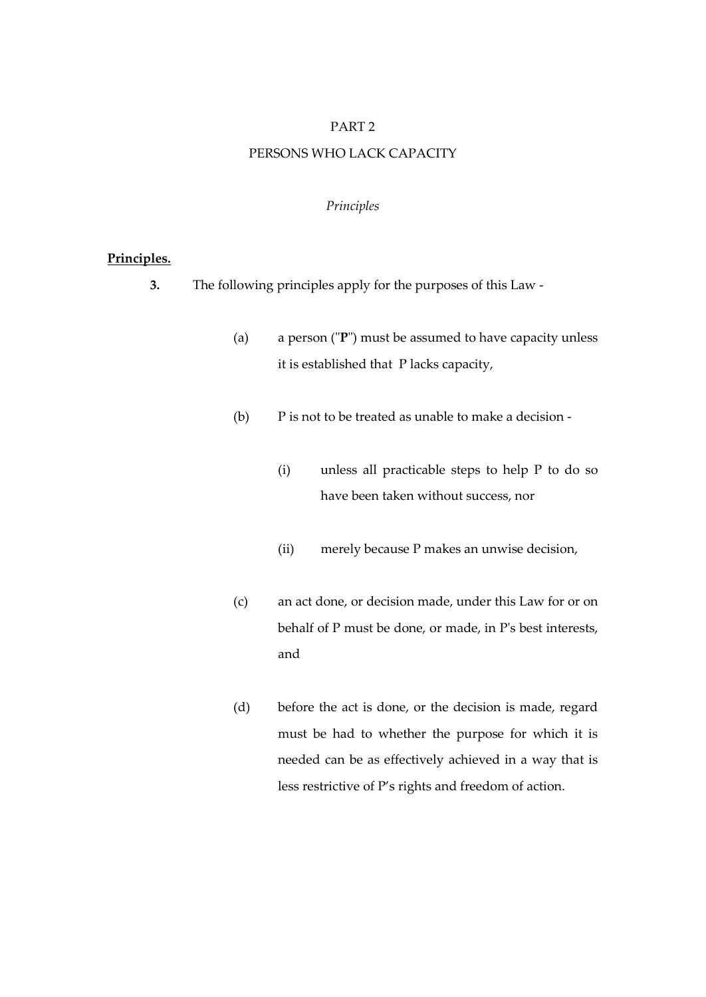#### PART 2

## PERSONS WHO LACK CAPACITY

## *Principles*

#### **Principles.**

- **3.** The following principles apply for the purposes of this Law
	- (a) a person ("**P**") must be assumed to have capacity unless it is established that P lacks capacity,
	- (b) P is not to be treated as unable to make a decision
		- (i) unless all practicable steps to help P to do so have been taken without success, nor
		- (ii) merely because P makes an unwise decision,
	- (c) an act done, or decision made, under this Law for or on behalf of P must be done, or made, in P's best interests, and
	- (d) before the act is done, or the decision is made, regard must be had to whether the purpose for which it is needed can be as effectively achieved in a way that is less restrictive of P's rights and freedom of action.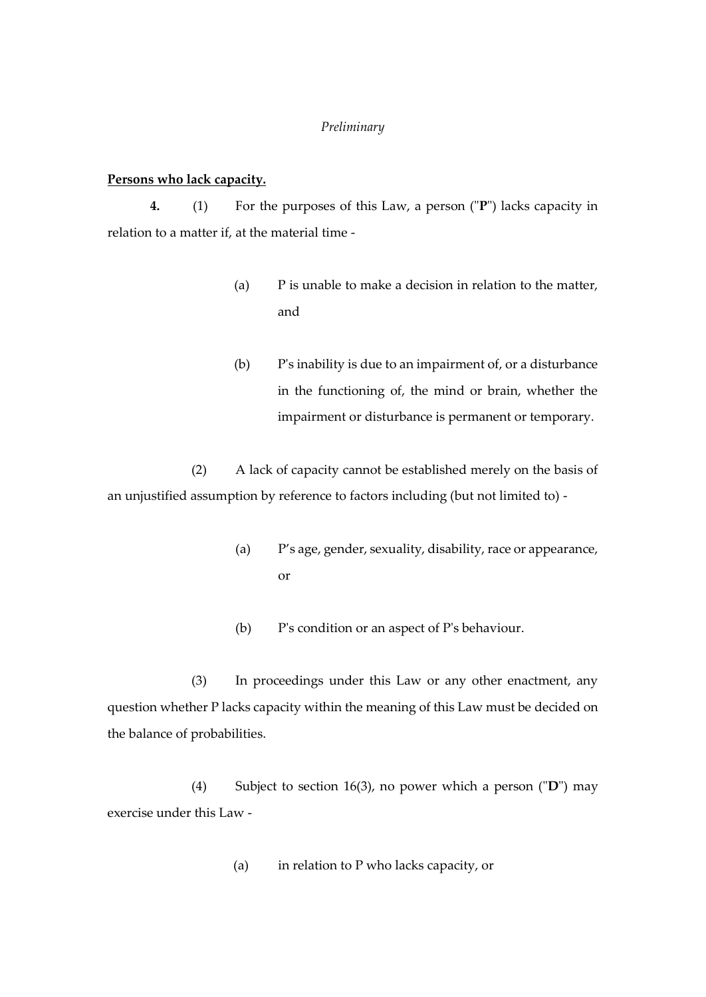#### *Preliminary*

## **Persons who lack capacity.**

**4.** (1) For the purposes of this Law, a person ("**P**") lacks capacity in relation to a matter if, at the material time -

- (a) P is unable to make a decision in relation to the matter, and
- (b) P's inability is due to an impairment of, or a disturbance in the functioning of, the mind or brain, whether the impairment or disturbance is permanent or temporary.

(2) A lack of capacity cannot be established merely on the basis of an unjustified assumption by reference to factors including (but not limited to) -

- (a) P's age, gender, sexuality, disability, race or appearance, or
- (b) P's condition or an aspect of P's behaviour.

(3) In proceedings under this Law or any other enactment, any question whether P lacks capacity within the meaning of this Law must be decided on the balance of probabilities.

(4) Subject to section 16(3), no power which a person ("**D**") may exercise under this Law -

(a) in relation to P who lacks capacity, or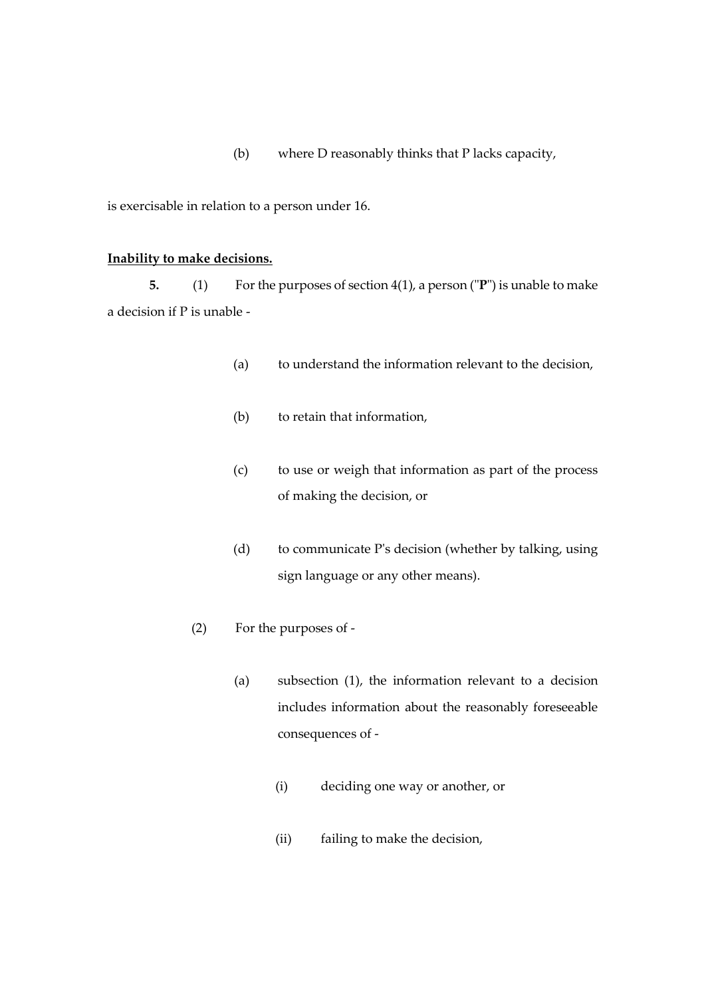(b) where D reasonably thinks that P lacks capacity,

is exercisable in relation to a person under 16.

#### **Inability to make decisions.**

**5.** (1) For the purposes of section 4(1), a person ("**P**") is unable to make a decision if P is unable -

- (a) to understand the information relevant to the decision,
- (b) to retain that information,
- (c) to use or weigh that information as part of the process of making the decision, or
- (d) to communicate P's decision (whether by talking, using sign language or any other means).
- (2) For the purposes of
	- (a) subsection (1), the information relevant to a decision includes information about the reasonably foreseeable consequences of -
		- (i) deciding one way or another, or
		- (ii) failing to make the decision,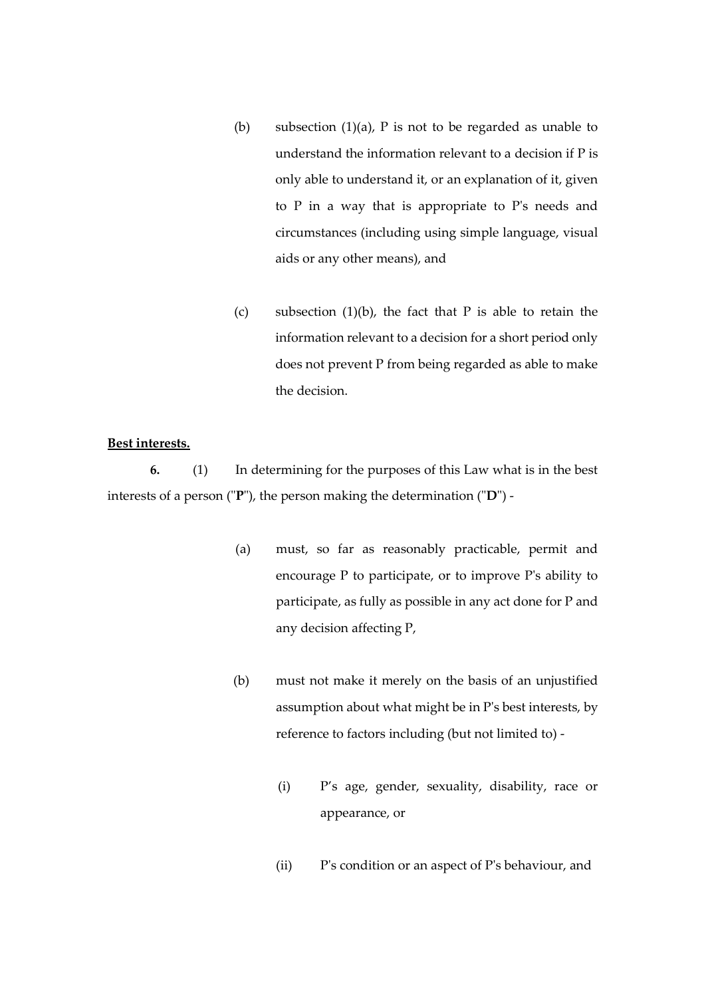- (b) subsection  $(1)(a)$ , P is not to be regarded as unable to understand the information relevant to a decision if P is only able to understand it, or an explanation of it, given to P in a way that is appropriate to P's needs and circumstances (including using simple language, visual aids or any other means), and
- (c) subsection  $(1)(b)$ , the fact that P is able to retain the information relevant to a decision for a short period only does not prevent P from being regarded as able to make the decision.

## **Best interests.**

**6.** (1) In determining for the purposes of this Law what is in the best interests of a person ("**P**"), the person making the determination ("**D**") -

- (a) must, so far as reasonably practicable, permit and encourage P to participate, or to improve P's ability to participate, as fully as possible in any act done for P and any decision affecting P,
- (b) must not make it merely on the basis of an unjustified assumption about what might be in P's best interests, by reference to factors including (but not limited to) -
	- (i) P's age, gender, sexuality, disability, race or appearance, or
	- (ii) P's condition or an aspect of P's behaviour, and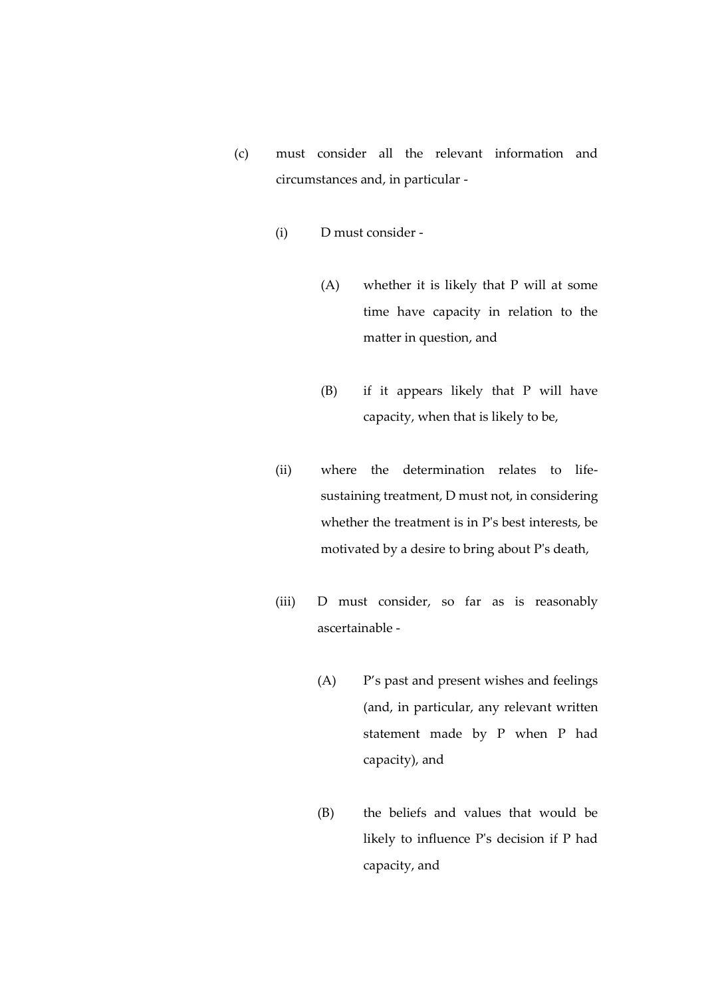- (c) must consider all the relevant information and circumstances and, in particular -
	- (i) D must consider
		- (A) whether it is likely that P will at some time have capacity in relation to the matter in question, and
		- (B) if it appears likely that P will have capacity, when that is likely to be,
	- (ii) where the determination relates to lifesustaining treatment, D must not, in considering whether the treatment is in P's best interests, be motivated by a desire to bring about P's death,
	- (iii) D must consider, so far as is reasonably ascertainable -
		- (A) P's past and present wishes and feelings (and, in particular, any relevant written statement made by P when P had capacity), and
		- (B) the beliefs and values that would be likely to influence P's decision if P had capacity, and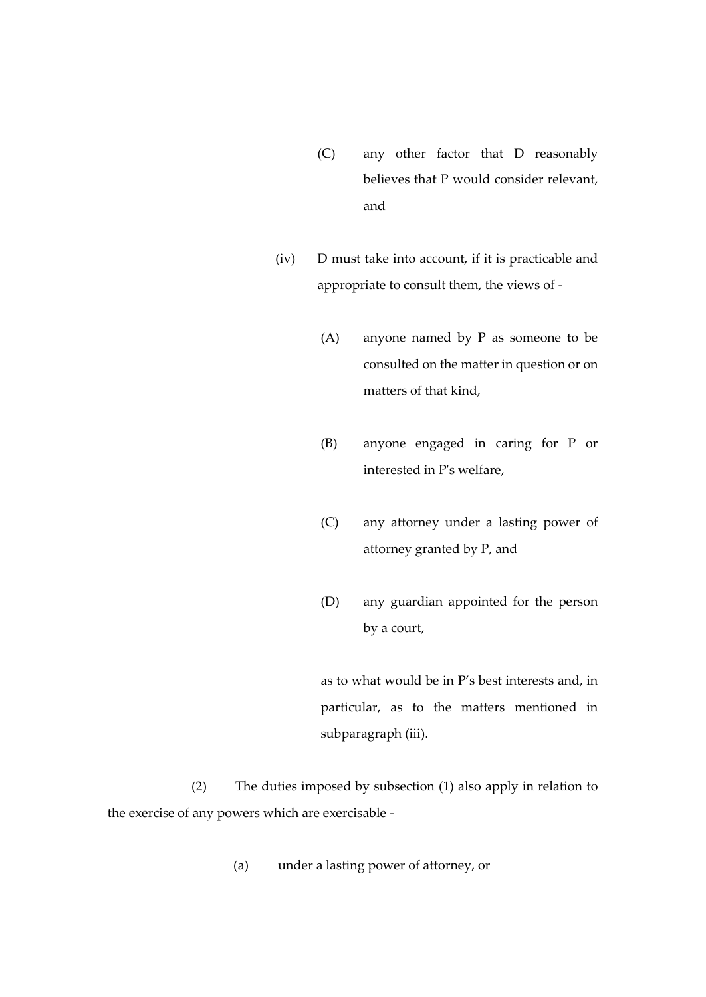- (C) any other factor that D reasonably believes that P would consider relevant, and
- (iv) D must take into account, if it is practicable and appropriate to consult them, the views of -
	- (A) anyone named by P as someone to be consulted on the matter in question or on matters of that kind,
	- (B) anyone engaged in caring for P or interested in P's welfare,
	- (C) any attorney under a lasting power of attorney granted by P, and
	- (D) any guardian appointed for the person by a court,

as to what would be in P's best interests and, in particular, as to the matters mentioned in subparagraph (iii).

(2) The duties imposed by subsection (1) also apply in relation to the exercise of any powers which are exercisable -

(a) under a lasting power of attorney, or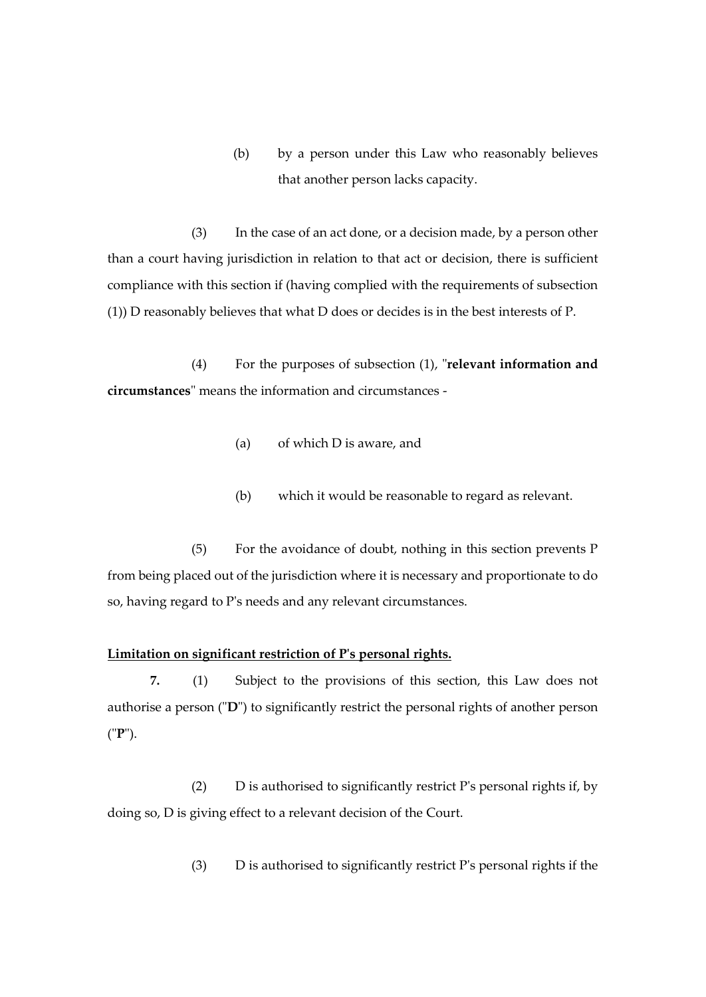(b) by a person under this Law who reasonably believes that another person lacks capacity.

(3) In the case of an act done, or a decision made, by a person other than a court having jurisdiction in relation to that act or decision, there is sufficient compliance with this section if (having complied with the requirements of subsection (1)) D reasonably believes that what D does or decides is in the best interests of P.

(4) For the purposes of subsection (1), "**relevant information and circumstances**" means the information and circumstances -

- (a) of which D is aware, and
- (b) which it would be reasonable to regard as relevant.

(5) For the avoidance of doubt, nothing in this section prevents P from being placed out of the jurisdiction where it is necessary and proportionate to do so, having regard to P's needs and any relevant circumstances.

### **Limitation on significant restriction of P's personal rights.**

**7.** (1) Subject to the provisions of this section, this Law does not authorise a person ("**D**") to significantly restrict the personal rights of another person ("**P**").

(2) D is authorised to significantly restrict P's personal rights if, by doing so, D is giving effect to a relevant decision of the Court.

(3) D is authorised to significantly restrict P's personal rights if the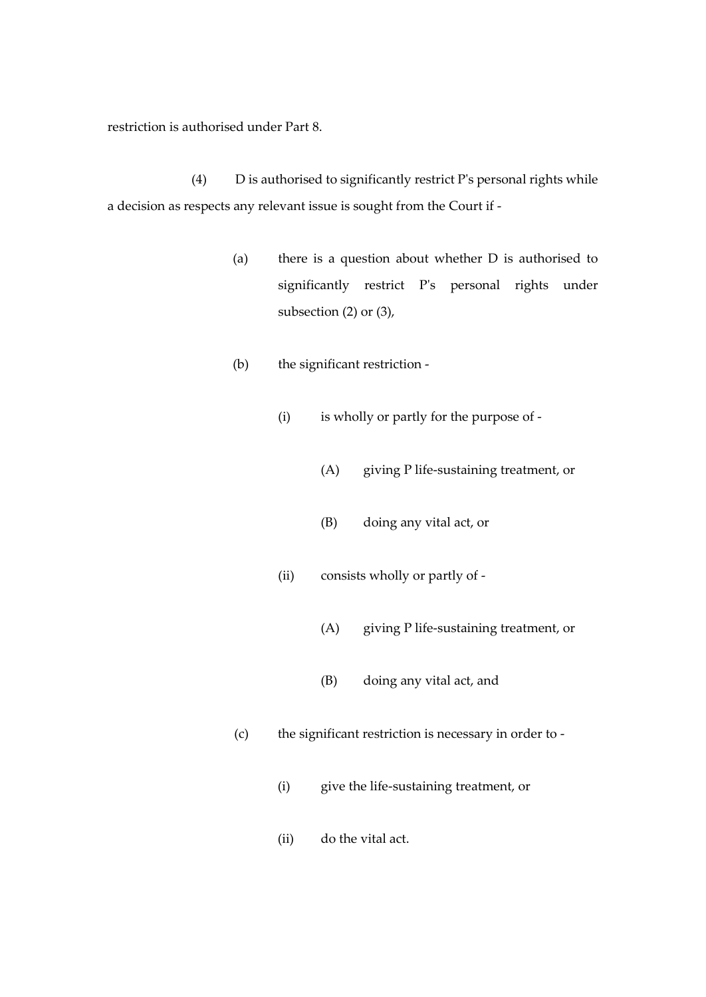restriction is authorised under Part 8.

(4) D is authorised to significantly restrict P's personal rights while a decision as respects any relevant issue is sought from the Court if -

- (a) there is a question about whether D is authorised to significantly restrict P's personal rights under subsection (2) or (3),
- (b) the significant restriction
	- (i) is wholly or partly for the purpose of
		- (A) giving P life-sustaining treatment, or
		- (B) doing any vital act, or
	- (ii) consists wholly or partly of
		- (A) giving P life-sustaining treatment, or
		- (B) doing any vital act, and
- (c) the significant restriction is necessary in order to
	- (i) give the life-sustaining treatment, or
	- (ii) do the vital act.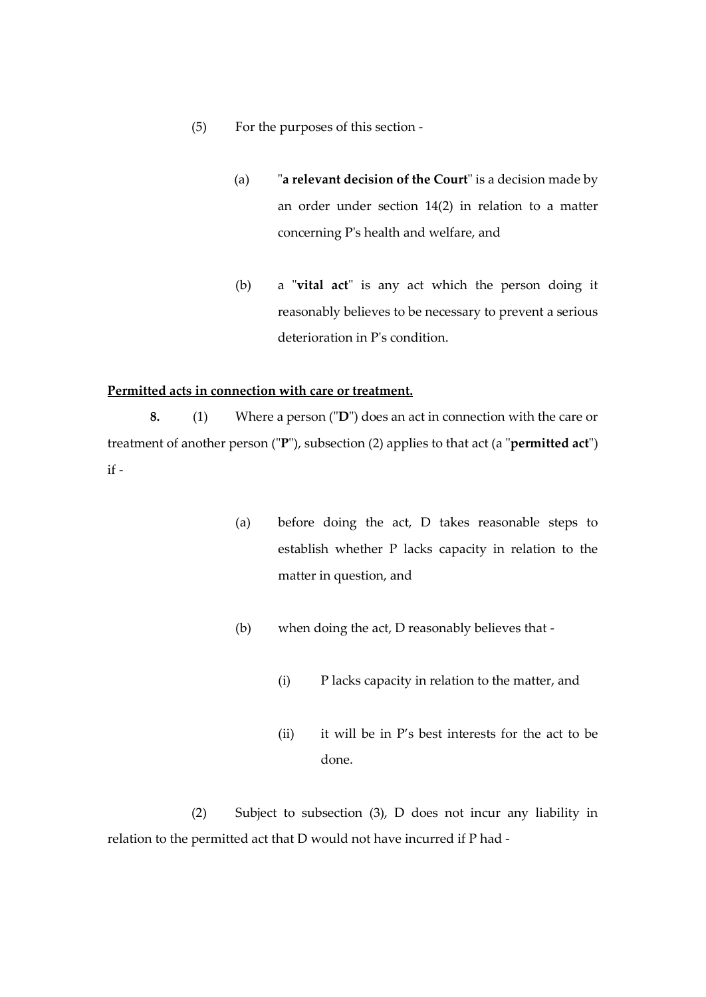- (5) For the purposes of this section
	- (a) "**a relevant decision of the Court**" is a decision made by an order under section 14(2) in relation to a matter concerning P's health and welfare, and
	- (b) a "**vital act**" is any act which the person doing it reasonably believes to be necessary to prevent a serious deterioration in P's condition.

#### **Permitted acts in connection with care or treatment.**

**8.** (1) Where a person ("**D**") does an act in connection with the care or treatment of another person ("**P**"), subsection (2) applies to that act (a "**permitted act**") if -

- (a) before doing the act, D takes reasonable steps to establish whether P lacks capacity in relation to the matter in question, and
- (b) when doing the act, D reasonably believes that
	- (i) P lacks capacity in relation to the matter, and
	- (ii) it will be in P's best interests for the act to be done.

(2) Subject to subsection (3), D does not incur any liability in relation to the permitted act that D would not have incurred if P had -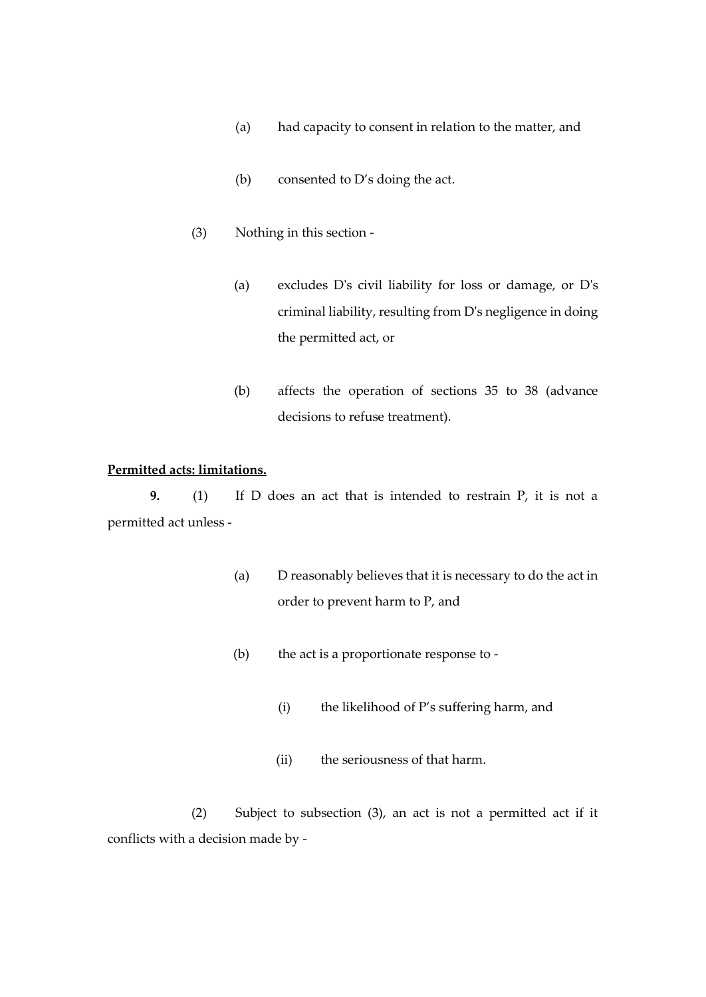- (a) had capacity to consent in relation to the matter, and
- (b) consented to D's doing the act.
- (3) Nothing in this section
	- (a) excludes D's civil liability for loss or damage, or D's criminal liability, resulting from D's negligence in doing the permitted act, or
	- (b) affects the operation of sections 35 to 38 (advance decisions to refuse treatment).

#### **Permitted acts: limitations.**

**9.** (1) If D does an act that is intended to restrain P, it is not a permitted act unless -

- (a) D reasonably believes that it is necessary to do the act in order to prevent harm to P, and
- (b) the act is a proportionate response to
	- (i) the likelihood of P's suffering harm, and
	- (ii) the seriousness of that harm.

(2) Subject to subsection (3), an act is not a permitted act if it conflicts with a decision made by -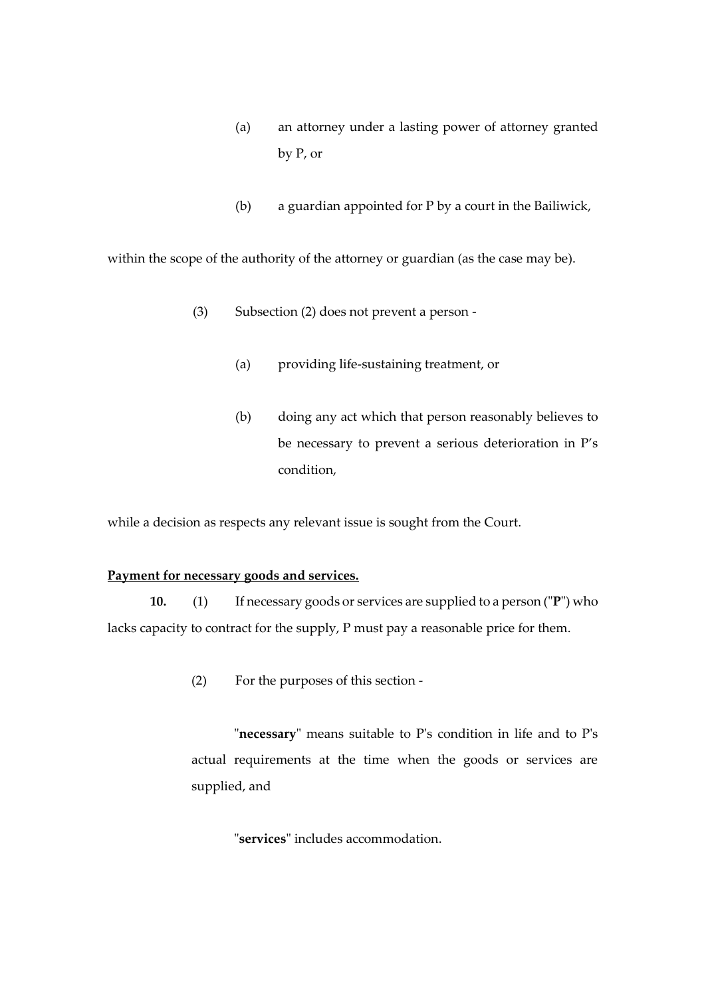- (a) an attorney under a lasting power of attorney granted by P, or
- (b) a guardian appointed for P by a court in the Bailiwick,

within the scope of the authority of the attorney or guardian (as the case may be).

- (3) Subsection (2) does not prevent a person
	- (a) providing life-sustaining treatment, or
	- (b) doing any act which that person reasonably believes to be necessary to prevent a serious deterioration in P's condition,

while a decision as respects any relevant issue is sought from the Court.

## **Payment for necessary goods and services.**

**10.** (1) If necessary goods or services are supplied to a person ("**P**") who lacks capacity to contract for the supply, P must pay a reasonable price for them.

(2) For the purposes of this section -

"**necessary**" means suitable to P's condition in life and to P's actual requirements at the time when the goods or services are supplied, and

"**services**" includes accommodation.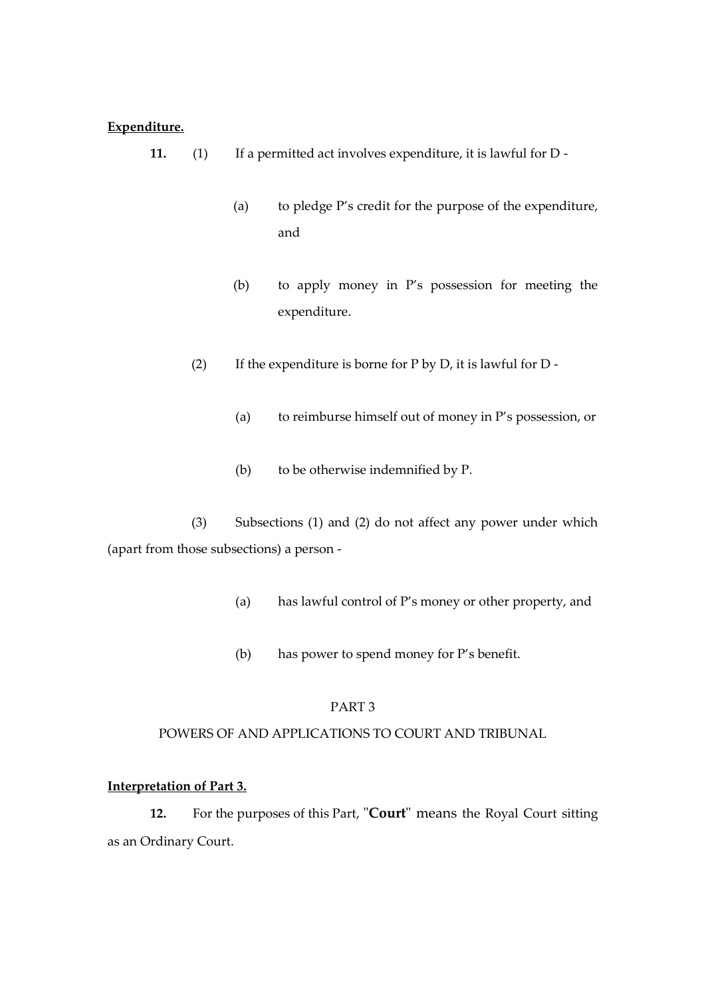## **Expenditure.**

- **11.** (1) If a permitted act involves expenditure, it is lawful for D
	- (a) to pledge P's credit for the purpose of the expenditure, and
	- (b) to apply money in P's possession for meeting the expenditure.
	- (2) If the expenditure is borne for  $P$  by  $D$ , it is lawful for  $D$  -
		- (a) to reimburse himself out of money in P's possession, or
		- (b) to be otherwise indemnified by P.

(3) Subsections (1) and (2) do not affect any power under which (apart from those subsections) a person -

- (a) has lawful control of P's money or other property, and
- (b) has power to spend money for P's benefit.

## PART 3

## POWERS OF AND APPLICATIONS TO COURT AND TRIBUNAL

## **Interpretation of Part 3.**

**12.** For the purposes of this Part, "**Court**" means the Royal Court sitting as an Ordinary Court.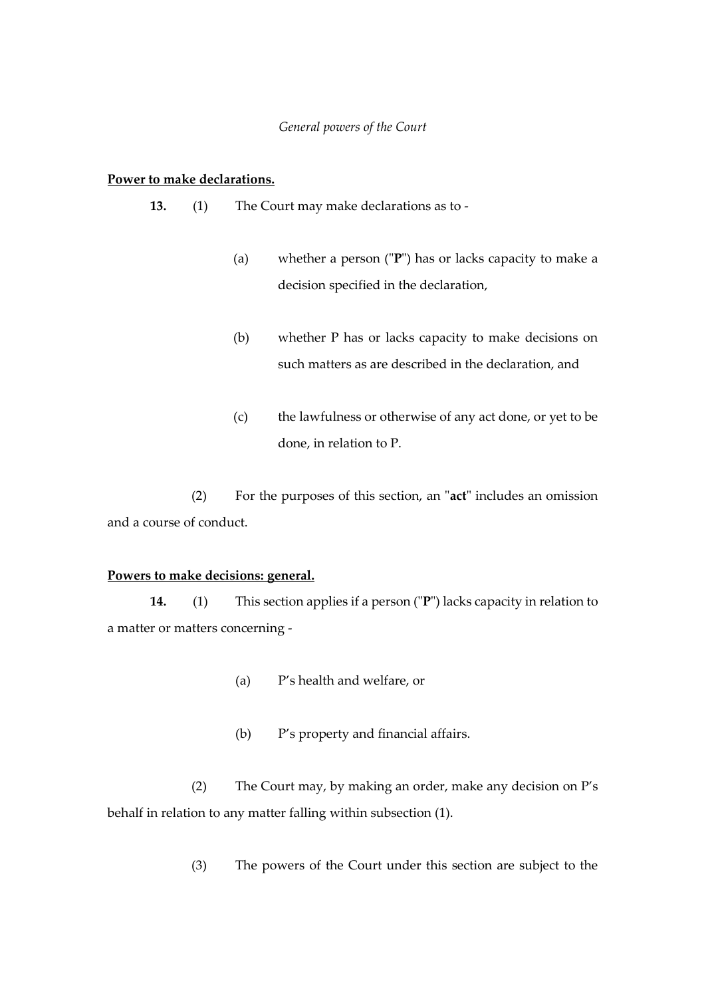#### *General powers of the Court*

#### **Power to make declarations.**

- **13.** (1) The Court may make declarations as to
	- (a) whether a person ("**P**") has or lacks capacity to make a decision specified in the declaration,
	- (b) whether P has or lacks capacity to make decisions on such matters as are described in the declaration, and
	- (c) the lawfulness or otherwise of any act done, or yet to be done, in relation to P.

(2) For the purposes of this section, an "**act**" includes an omission and a course of conduct.

## **Powers to make decisions: general.**

**14.** (1) This section applies if a person ("**P**") lacks capacity in relation to a matter or matters concerning -

- (a) P's health and welfare, or
- (b) P's property and financial affairs.

(2) The Court may, by making an order, make any decision on P's behalf in relation to any matter falling within subsection (1).

(3) The powers of the Court under this section are subject to the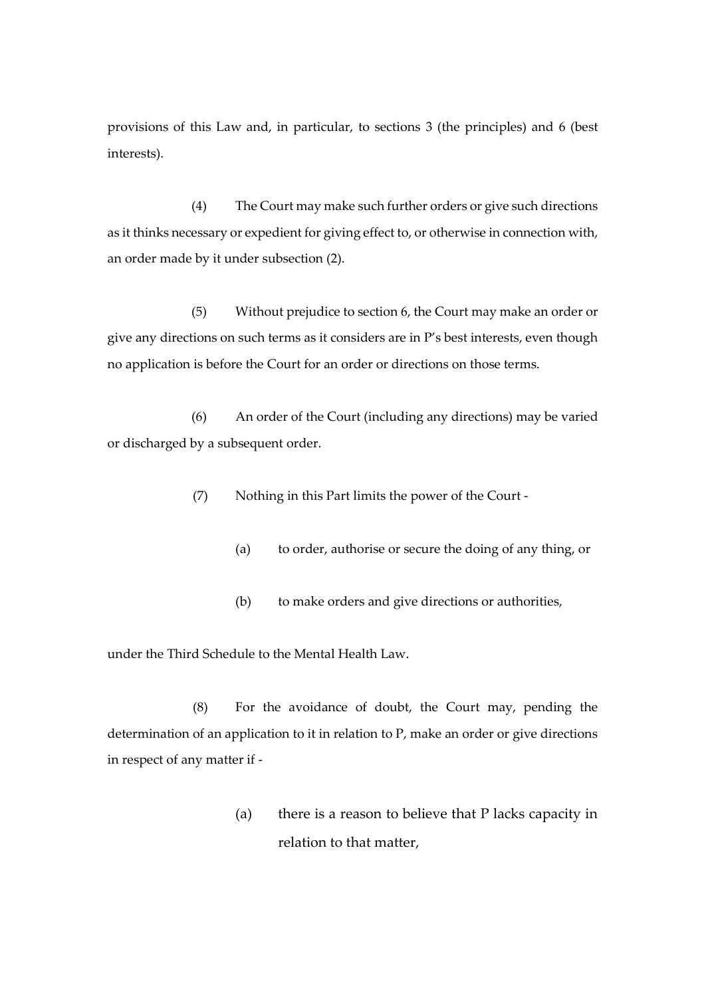provisions of this Law and, in particular, to sections 3 (the principles) and 6 (best interests).

(4) The Court may make such further orders or give such directions as it thinks necessary or expedient for giving effect to, or otherwise in connection with, an order made by it under subsection (2).

(5) Without prejudice to section 6, the Court may make an order or give any directions on such terms as it considers are in P's best interests, even though no application is before the Court for an order or directions on those terms.

(6) An order of the Court (including any directions) may be varied or discharged by a subsequent order.

(7) Nothing in this Part limits the power of the Court -

- (a) to order, authorise or secure the doing of any thing, or
- (b) to make orders and give directions or authorities,

under the Third Schedule to the Mental Health Law.

(8) For the avoidance of doubt, the Court may, pending the determination of an application to it in relation to P, make an order or give directions in respect of any matter if -

> (a) there is a reason to believe that P lacks capacity in relation to that matter,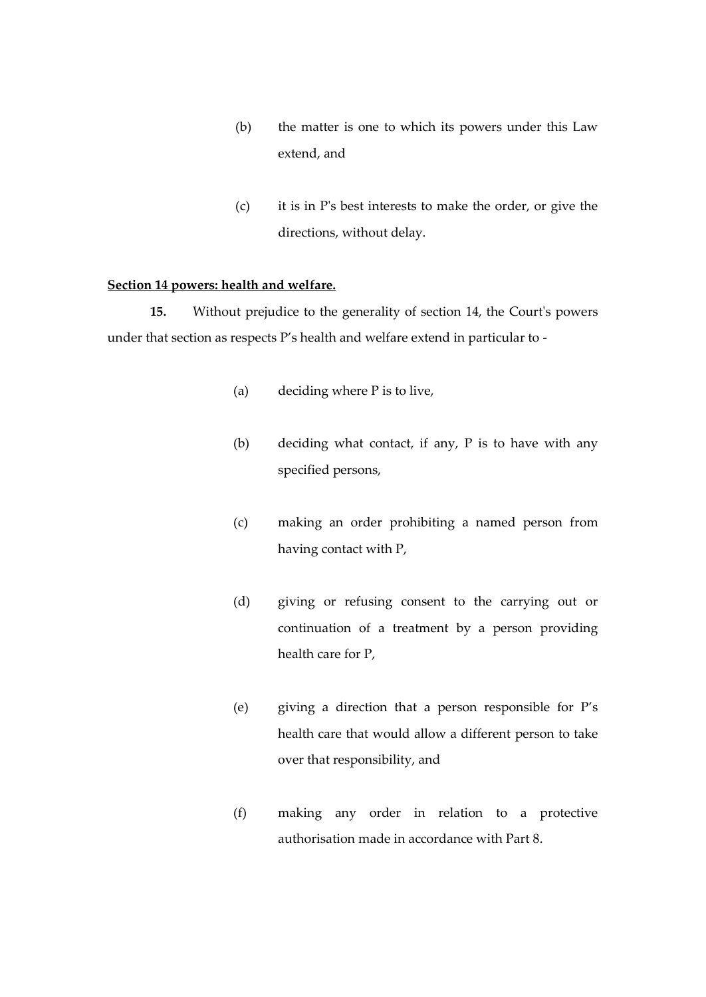- (b) the matter is one to which its powers under this Law extend, and
- (c) it is in P's best interests to make the order, or give the directions, without delay.

## **Section 14 powers: health and welfare.**

**15.** Without prejudice to the generality of section 14, the Court's powers under that section as respects P's health and welfare extend in particular to -

- (a) deciding where P is to live,
- (b) deciding what contact, if any, P is to have with any specified persons,
- (c) making an order prohibiting a named person from having contact with P,
- (d) giving or refusing consent to the carrying out or continuation of a treatment by a person providing health care for P,
- (e) giving a direction that a person responsible for P's health care that would allow a different person to take over that responsibility, and
- (f) making any order in relation to a protective authorisation made in accordance with Part 8.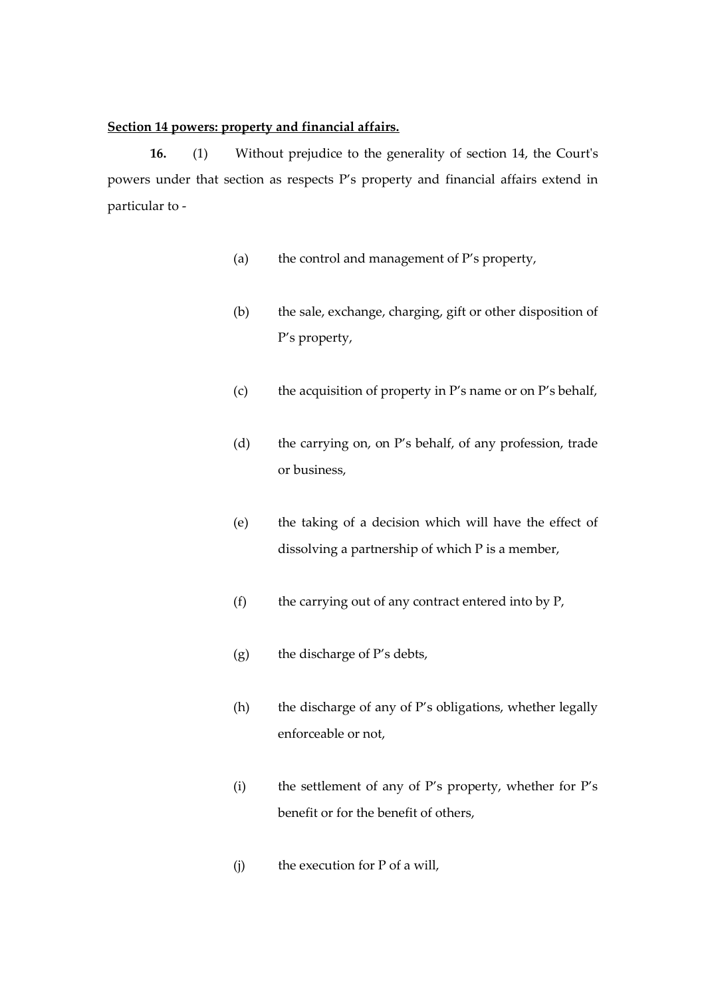#### **Section 14 powers: property and financial affairs.**

**16.** (1) Without prejudice to the generality of section 14, the Court's powers under that section as respects P's property and financial affairs extend in particular to -

- (a) the control and management of P's property,
- (b) the sale, exchange, charging, gift or other disposition of P's property,
- (c) the acquisition of property in P's name or on P's behalf,
- (d) the carrying on, on P's behalf, of any profession, trade or business,
- (e) the taking of a decision which will have the effect of dissolving a partnership of which P is a member,
- (f) the carrying out of any contract entered into by P,
- (g) the discharge of P's debts,
- (h) the discharge of any of P's obligations, whether legally enforceable or not,
- (i) the settlement of any of P's property, whether for P's benefit or for the benefit of others,
- (j) the execution for P of a will,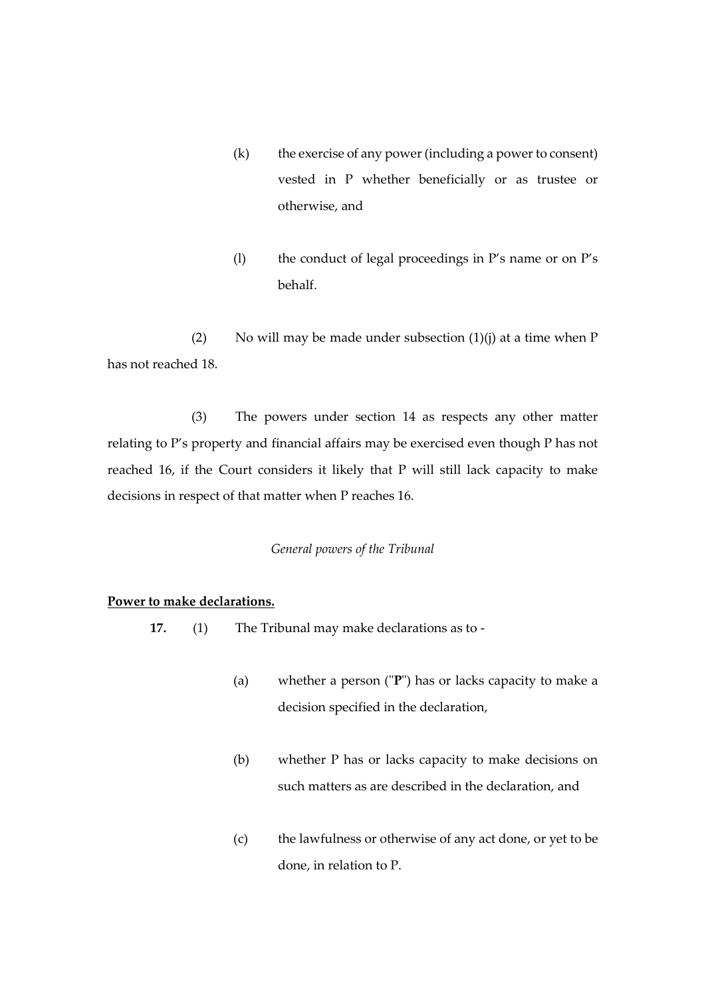- (k) the exercise of any power (including a power to consent) vested in P whether beneficially or as trustee or otherwise, and
- (l) the conduct of legal proceedings in P's name or on P's behalf.

(2) No will may be made under subsection  $(1)(j)$  at a time when P has not reached 18.

(3) The powers under section 14 as respects any other matter relating to P's property and financial affairs may be exercised even though P has not reached 16, if the Court considers it likely that P will still lack capacity to make decisions in respect of that matter when P reaches 16.

### *General powers of the Tribunal*

## **Power to make declarations.**

- **17.** (1) The Tribunal may make declarations as to
	- (a) whether a person ("**P**") has or lacks capacity to make a decision specified in the declaration,
	- (b) whether P has or lacks capacity to make decisions on such matters as are described in the declaration, and
	- (c) the lawfulness or otherwise of any act done, or yet to be done, in relation to P.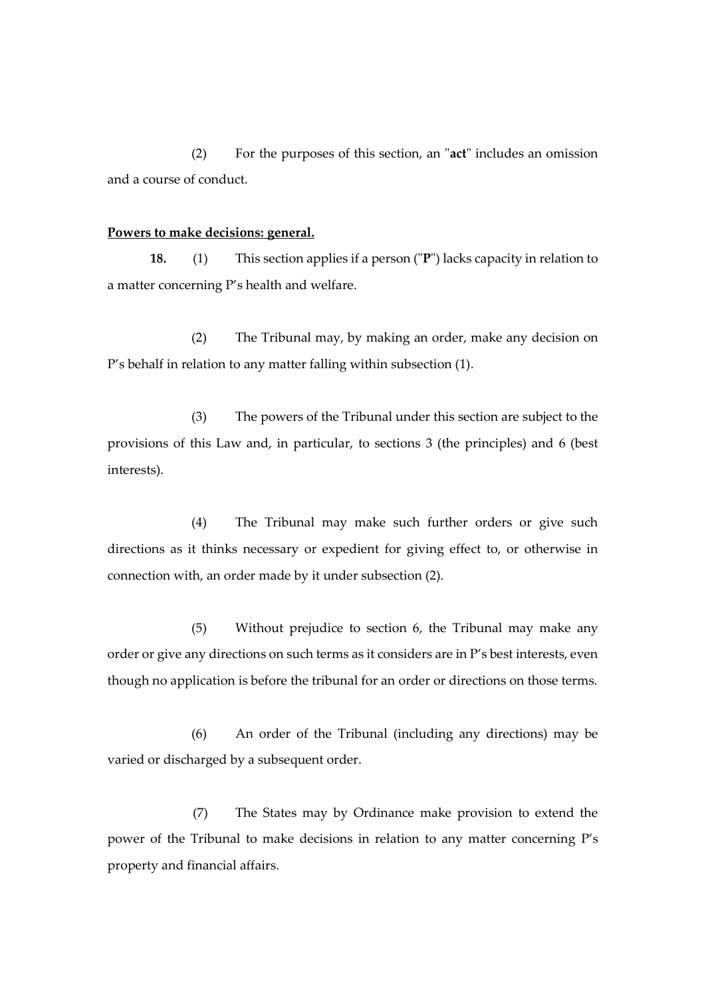(2) For the purposes of this section, an "**act**" includes an omission and a course of conduct.

#### **Powers to make decisions: general.**

**18.** (1) This section applies if a person ("**P**") lacks capacity in relation to a matter concerning P's health and welfare.

(2) The Tribunal may, by making an order, make any decision on P's behalf in relation to any matter falling within subsection (1).

(3) The powers of the Tribunal under this section are subject to the provisions of this Law and, in particular, to sections 3 (the principles) and 6 (best interests).

(4) The Tribunal may make such further orders or give such directions as it thinks necessary or expedient for giving effect to, or otherwise in connection with, an order made by it under subsection (2).

(5) Without prejudice to section 6, the Tribunal may make any order or give any directions on such terms as it considers are in P's best interests, even though no application is before the tribunal for an order or directions on those terms.

(6) An order of the Tribunal (including any directions) may be varied or discharged by a subsequent order.

(7) The States may by Ordinance make provision to extend the power of the Tribunal to make decisions in relation to any matter concerning P's property and financial affairs.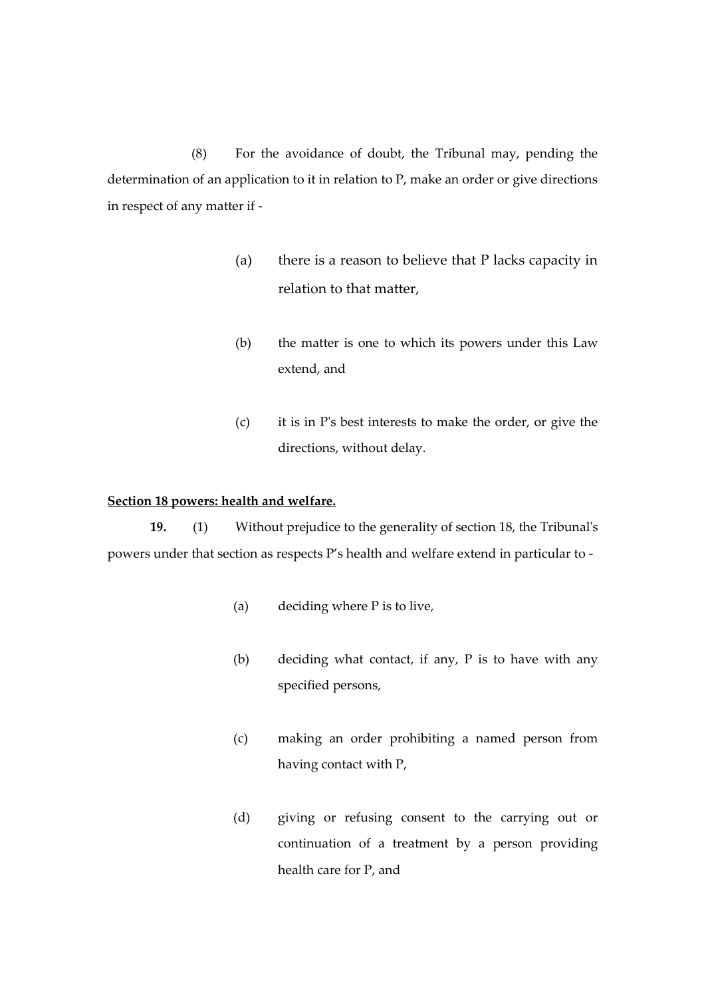(8) For the avoidance of doubt, the Tribunal may, pending the determination of an application to it in relation to P, make an order or give directions in respect of any matter if -

- (a) there is a reason to believe that P lacks capacity in relation to that matter,
- (b) the matter is one to which its powers under this Law extend, and
- (c) it is in P's best interests to make the order, or give the directions, without delay.

#### **Section 18 powers: health and welfare.**

**19.** (1) Without prejudice to the generality of section 18, the Tribunal's powers under that section as respects P's health and welfare extend in particular to -

- (a) deciding where P is to live,
- (b) deciding what contact, if any, P is to have with any specified persons,
- (c) making an order prohibiting a named person from having contact with P,
- (d) giving or refusing consent to the carrying out or continuation of a treatment by a person providing health care for P, and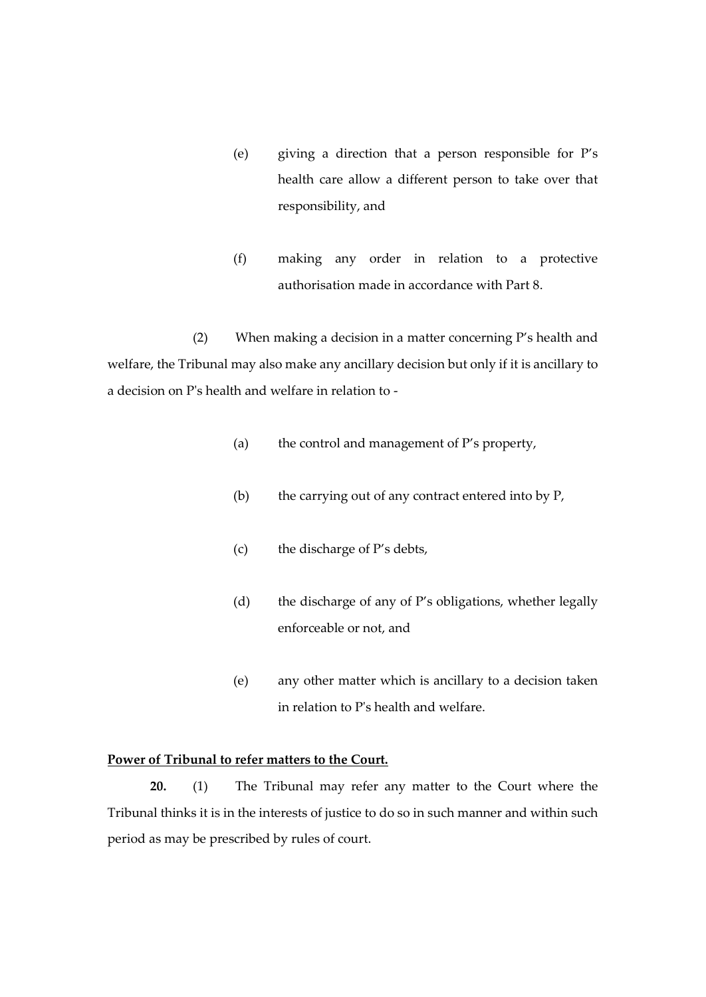- (e) giving a direction that a person responsible for P's health care allow a different person to take over that responsibility, and
- (f) making any order in relation to a protective authorisation made in accordance with Part 8.

(2) When making a decision in a matter concerning P's health and welfare, the Tribunal may also make any ancillary decision but only if it is ancillary to a decision on P's health and welfare in relation to -

- (a) the control and management of P's property,
- (b) the carrying out of any contract entered into by P,
- (c) the discharge of P's debts,
- (d) the discharge of any of P's obligations, whether legally enforceable or not, and
- (e) any other matter which is ancillary to a decision taken in relation to P's health and welfare.

## **Power of Tribunal to refer matters to the Court.**

**20.** (1) The Tribunal may refer any matter to the Court where the Tribunal thinks it is in the interests of justice to do so in such manner and within such period as may be prescribed by rules of court.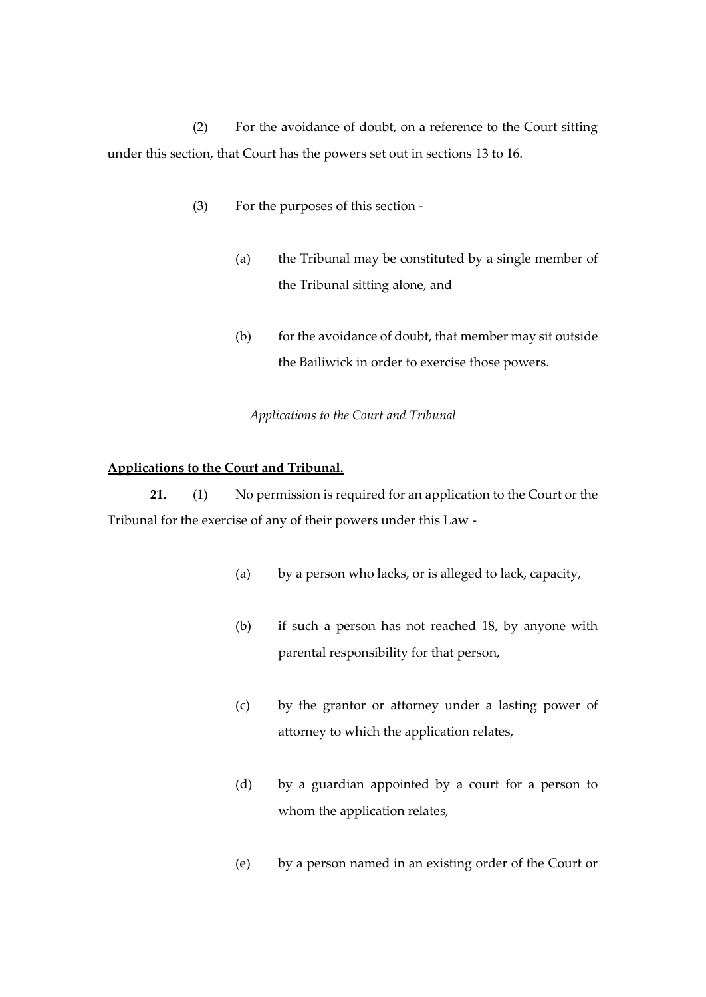(2) For the avoidance of doubt, on a reference to the Court sitting under this section, that Court has the powers set out in sections 13 to 16.

- (3) For the purposes of this section
	- (a) the Tribunal may be constituted by a single member of the Tribunal sitting alone, and
	- (b) for the avoidance of doubt, that member may sit outside the Bailiwick in order to exercise those powers.

#### *Applications to the Court and Tribunal*

#### **Applications to the Court and Tribunal.**

**21.** (1) No permission is required for an application to the Court or the Tribunal for the exercise of any of their powers under this Law -

- (a) by a person who lacks, or is alleged to lack, capacity,
- (b) if such a person has not reached 18, by anyone with parental responsibility for that person,
- (c) by the grantor or attorney under a lasting power of attorney to which the application relates,
- (d) by a guardian appointed by a court for a person to whom the application relates,
- (e) by a person named in an existing order of the Court or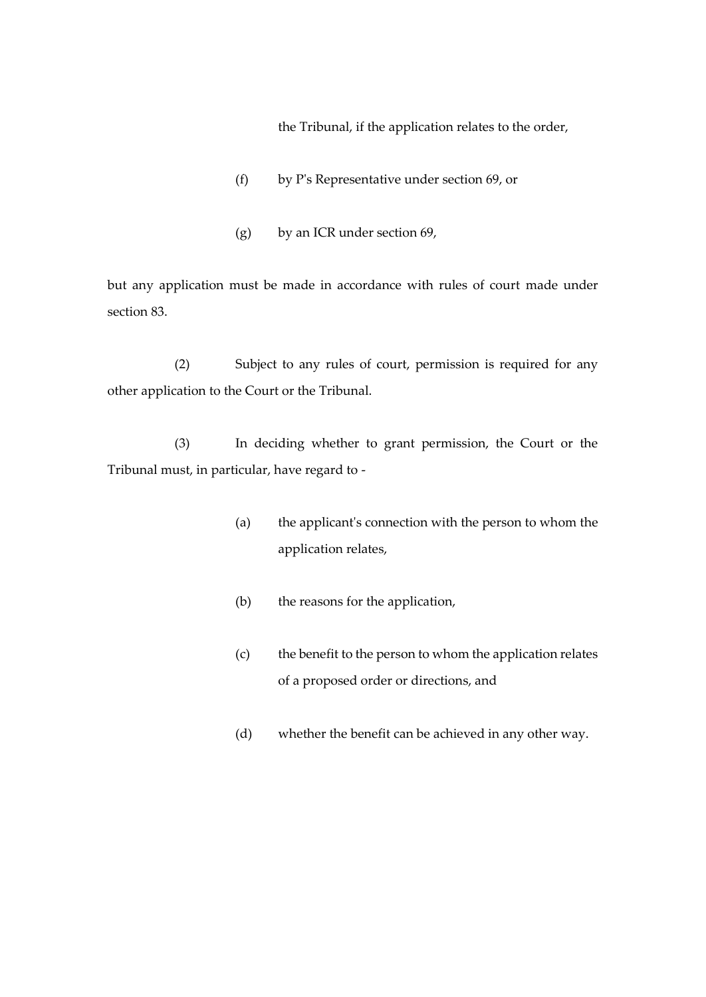the Tribunal, if the application relates to the order,

- (f) by P's Representative under section 69, or
- (g) by an ICR under section 69,

but any application must be made in accordance with rules of court made under section 83.

(2) Subject to any rules of court, permission is required for any other application to the Court or the Tribunal.

(3) In deciding whether to grant permission, the Court or the Tribunal must, in particular, have regard to -

- (a) the applicant's connection with the person to whom the application relates,
- (b) the reasons for the application,
- (c) the benefit to the person to whom the application relates of a proposed order or directions, and
- (d) whether the benefit can be achieved in any other way.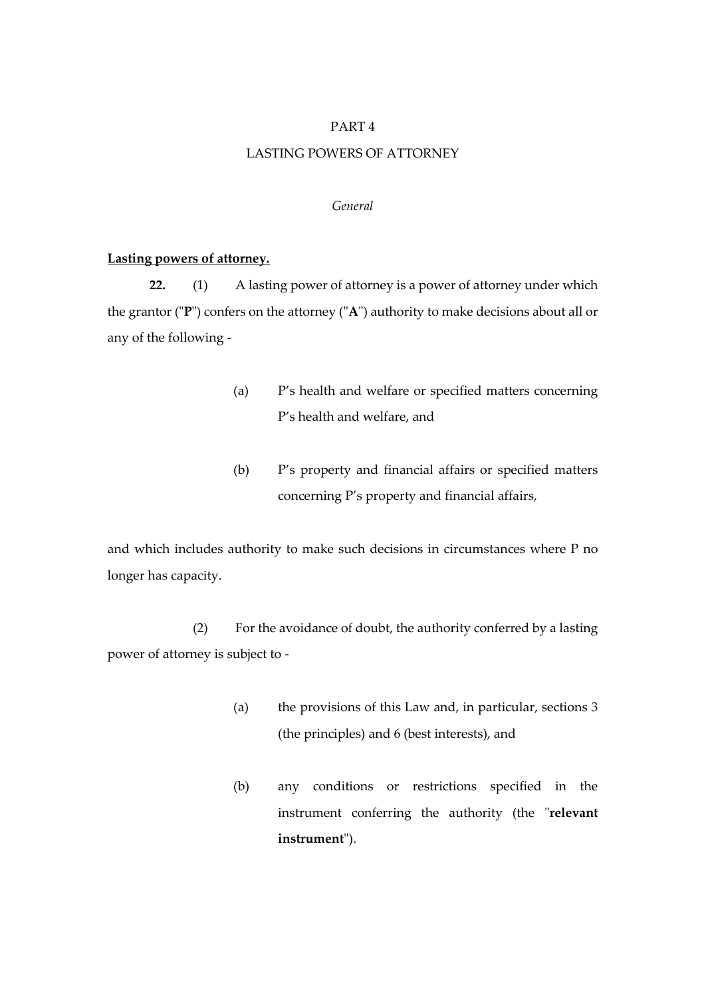# PART 4

# LASTING POWERS OF ATTORNEY

# *General*

#### **Lasting powers of attorney.**

**22.** (1) A lasting power of attorney is a power of attorney under which the grantor ("**P**") confers on the attorney ("**A**") authority to make decisions about all or any of the following -

- (a) P's health and welfare or specified matters concerning P's health and welfare, and
- (b) P's property and financial affairs or specified matters concerning P's property and financial affairs,

and which includes authority to make such decisions in circumstances where P no longer has capacity.

(2) For the avoidance of doubt, the authority conferred by a lasting power of attorney is subject to -

- (a) the provisions of this Law and, in particular, sections 3 (the principles) and 6 (best interests), and
- (b) any conditions or restrictions specified in the instrument conferring the authority (the "**relevant instrument**").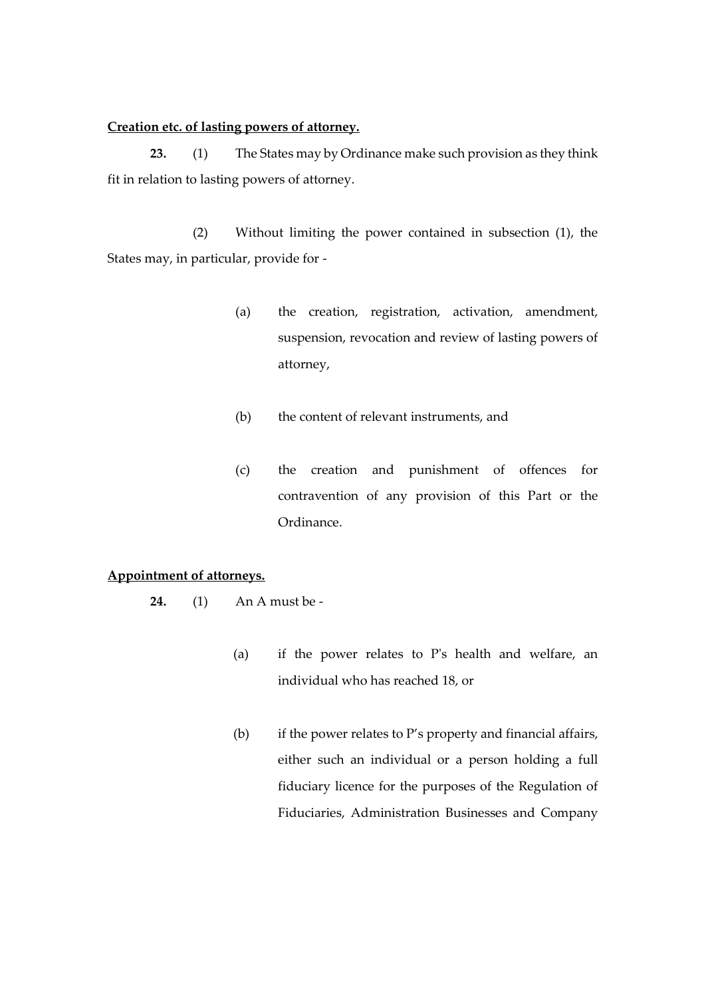# **Creation etc. of lasting powers of attorney.**

**23.** (1) The States may by Ordinance make such provision as they think fit in relation to lasting powers of attorney.

(2) Without limiting the power contained in subsection (1), the States may, in particular, provide for -

- (a) the creation, registration, activation, amendment, suspension, revocation and review of lasting powers of attorney,
- (b) the content of relevant instruments, and
- (c) the creation and punishment of offences for contravention of any provision of this Part or the Ordinance.

# **Appointment of attorneys.**

- **24.** (1) An A must be
	- (a) if the power relates to P's health and welfare, an individual who has reached 18, or
	- (b) if the power relates to P's property and financial affairs, either such an individual or a person holding a full fiduciary licence for the purposes of the Regulation of Fiduciaries, Administration Businesses and Company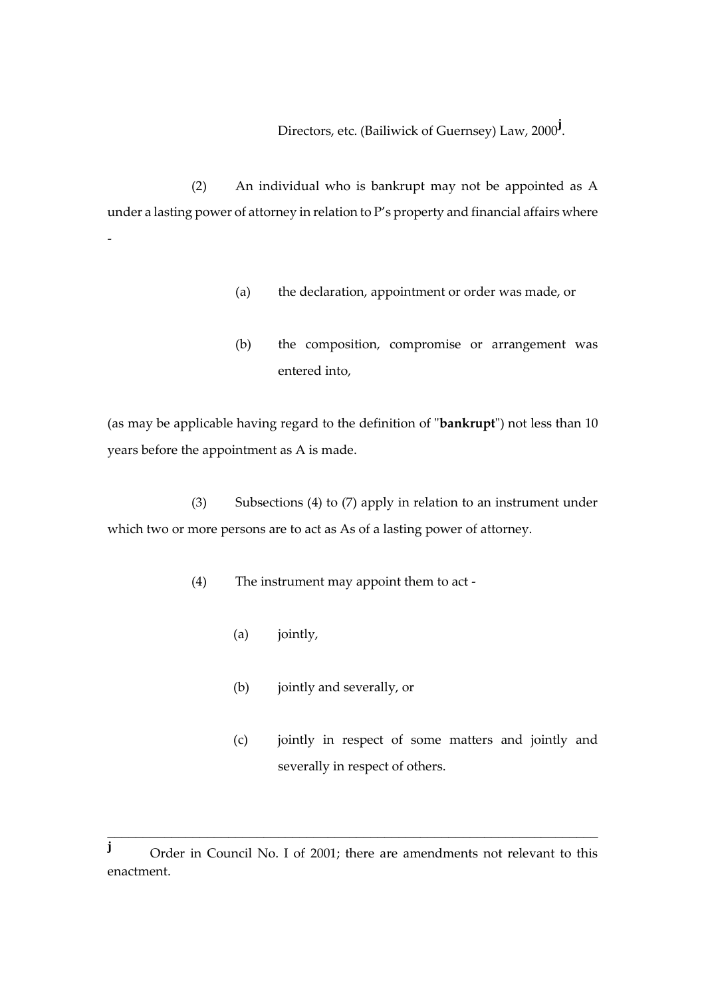Directors, etc. (Bailiwick of Guernsey) Law, 2000**<sup>j</sup>** .

(2) An individual who is bankrupt may not be appointed as A under a lasting power of attorney in relation to P's property and financial affairs where

- (a) the declaration, appointment or order was made, or
- (b) the composition, compromise or arrangement was entered into,

(as may be applicable having regard to the definition of "**bankrupt**") not less than 10 years before the appointment as A is made.

(3) Subsections (4) to (7) apply in relation to an instrument under which two or more persons are to act as As of a lasting power of attorney.

(4) The instrument may appoint them to act -

(a) jointly,

-

- (b) jointly and severally, or
- (c) jointly in respect of some matters and jointly and severally in respect of others.

\_\_\_\_\_\_\_\_\_\_\_\_\_\_\_\_\_\_\_\_\_\_\_\_\_\_\_\_\_\_\_\_\_\_\_\_\_\_\_\_\_\_\_\_\_\_\_\_\_\_\_\_\_\_\_\_\_\_\_\_\_\_\_\_\_\_\_\_\_

**j** Order in Council No. I of 2001; there are amendments not relevant to this enactment.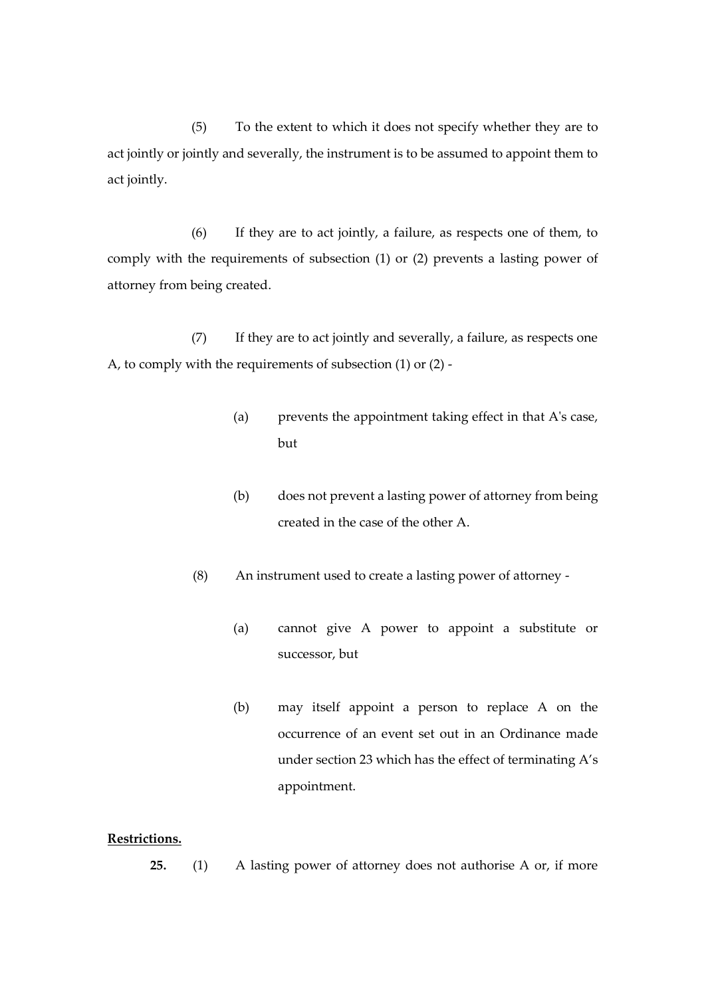(5) To the extent to which it does not specify whether they are to act jointly or jointly and severally, the instrument is to be assumed to appoint them to act jointly.

(6) If they are to act jointly, a failure, as respects one of them, to comply with the requirements of subsection (1) or (2) prevents a lasting power of attorney from being created.

(7) If they are to act jointly and severally, a failure, as respects one A, to comply with the requirements of subsection (1) or (2) -

- (a) prevents the appointment taking effect in that A's case, but
- (b) does not prevent a lasting power of attorney from being created in the case of the other A.
- (8) An instrument used to create a lasting power of attorney
	- (a) cannot give A power to appoint a substitute or successor, but
	- (b) may itself appoint a person to replace A on the occurrence of an event set out in an Ordinance made under section 23 which has the effect of terminating A's appointment.

# **Restrictions.**

**25.** (1) A lasting power of attorney does not authorise A or, if more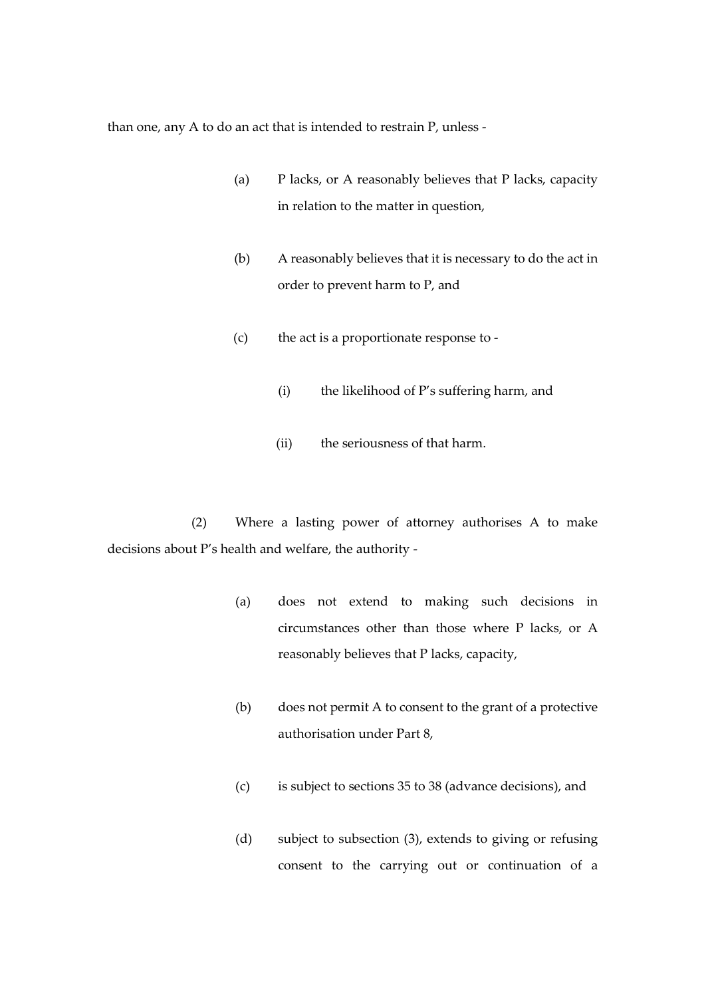than one, any A to do an act that is intended to restrain P, unless -

- (a) P lacks, or A reasonably believes that P lacks, capacity in relation to the matter in question,
- (b) A reasonably believes that it is necessary to do the act in order to prevent harm to P, and
- (c) the act is a proportionate response to
	- (i) the likelihood of P's suffering harm, and
	- (ii) the seriousness of that harm.

(2) Where a lasting power of attorney authorises A to make decisions about P's health and welfare, the authority -

- (a) does not extend to making such decisions in circumstances other than those where P lacks, or A reasonably believes that P lacks, capacity,
- (b) does not permit A to consent to the grant of a protective authorisation under Part 8,
- (c) is subject to sections 35 to 38 (advance decisions), and
- (d) subject to subsection (3), extends to giving or refusing consent to the carrying out or continuation of a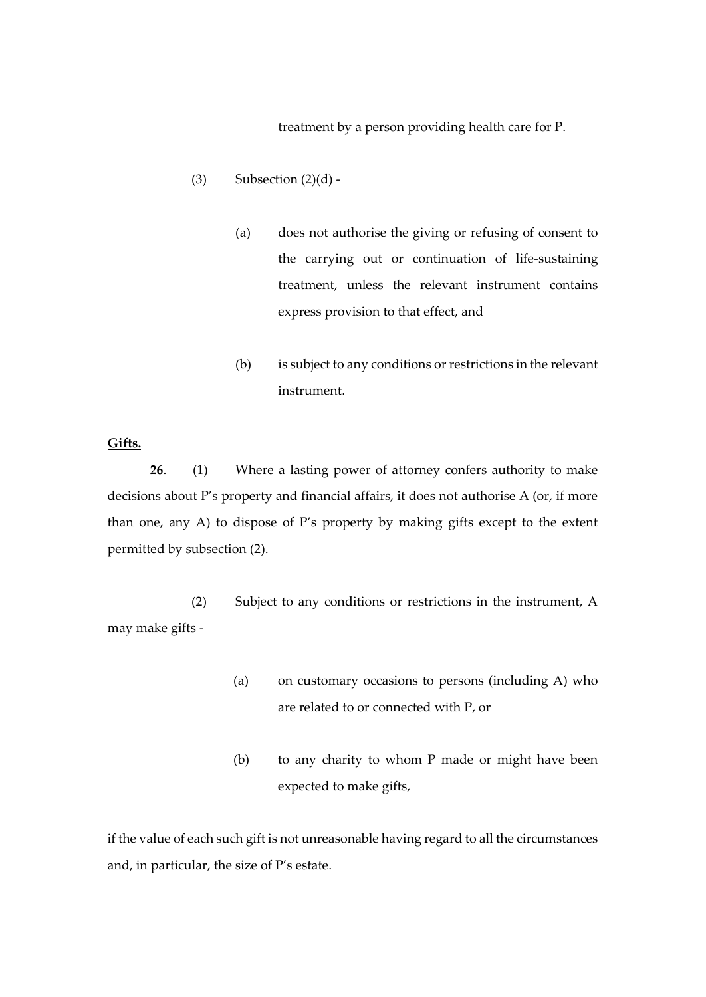treatment by a person providing health care for P.

- (3) Subsection  $(2)(d)$  -
	- (a) does not authorise the giving or refusing of consent to the carrying out or continuation of life-sustaining treatment, unless the relevant instrument contains express provision to that effect, and
	- (b) is subject to any conditions or restrictions in the relevant instrument.

# **Gifts.**

**26**. (1) Where a lasting power of attorney confers authority to make decisions about P's property and financial affairs, it does not authorise A (or, if more than one, any A) to dispose of P's property by making gifts except to the extent permitted by subsection (2).

(2) Subject to any conditions or restrictions in the instrument, A may make gifts -

- (a) on customary occasions to persons (including A) who are related to or connected with P, or
- (b) to any charity to whom P made or might have been expected to make gifts,

if the value of each such gift is not unreasonable having regard to all the circumstances and, in particular, the size of P's estate.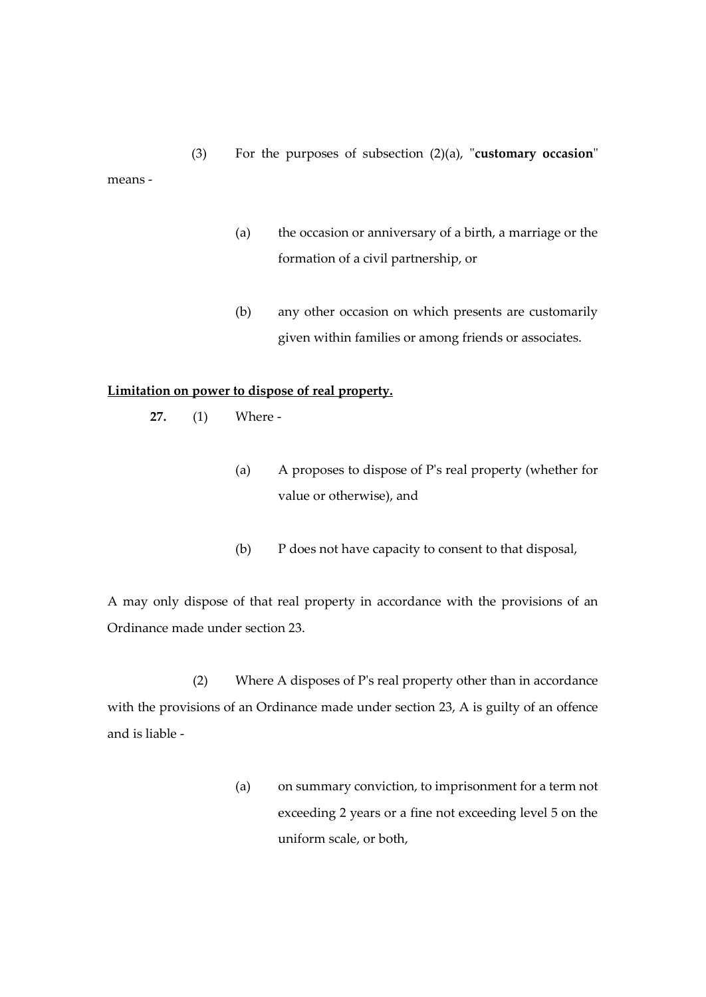(3) For the purposes of subsection (2)(a), "**customary occasion**" means -

- (a) the occasion or anniversary of a birth, a marriage or the formation of a civil partnership, or
- (b) any other occasion on which presents are customarily given within families or among friends or associates.

### **Limitation on power to dispose of real property.**

**27.** (1) Where -

- (a) A proposes to dispose of P's real property (whether for value or otherwise), and
- (b) P does not have capacity to consent to that disposal,

A may only dispose of that real property in accordance with the provisions of an Ordinance made under section 23.

(2) Where A disposes of P's real property other than in accordance with the provisions of an Ordinance made under section 23, A is guilty of an offence and is liable -

> (a) on summary conviction, to imprisonment for a term not exceeding 2 years or a fine not exceeding level 5 on the uniform scale, or both,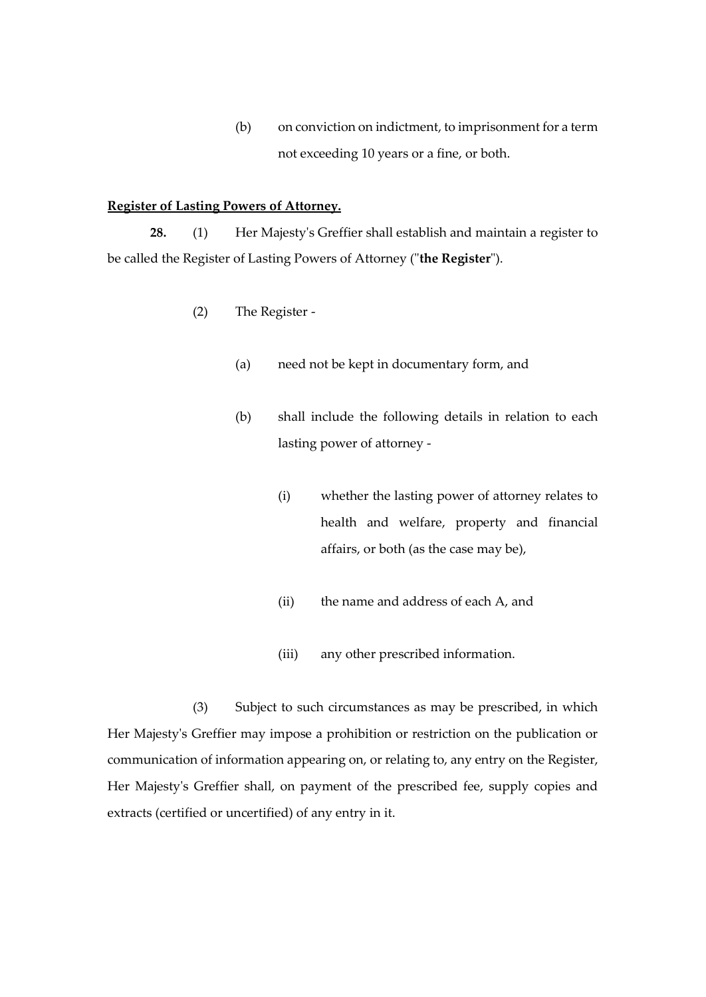(b) on conviction on indictment, to imprisonment for a term not exceeding 10 years or a fine, or both.

# **Register of Lasting Powers of Attorney.**

**28.** (1) Her Majesty's Greffier shall establish and maintain a register to be called the Register of Lasting Powers of Attorney ("**the Register**").

- (2) The Register
	- (a) need not be kept in documentary form, and
	- (b) shall include the following details in relation to each lasting power of attorney -
		- (i) whether the lasting power of attorney relates to health and welfare, property and financial affairs, or both (as the case may be),
		- (ii) the name and address of each A, and
		- (iii) any other prescribed information.

(3) Subject to such circumstances as may be prescribed, in which Her Majesty's Greffier may impose a prohibition or restriction on the publication or communication of information appearing on, or relating to, any entry on the Register, Her Majesty's Greffier shall, on payment of the prescribed fee, supply copies and extracts (certified or uncertified) of any entry in it.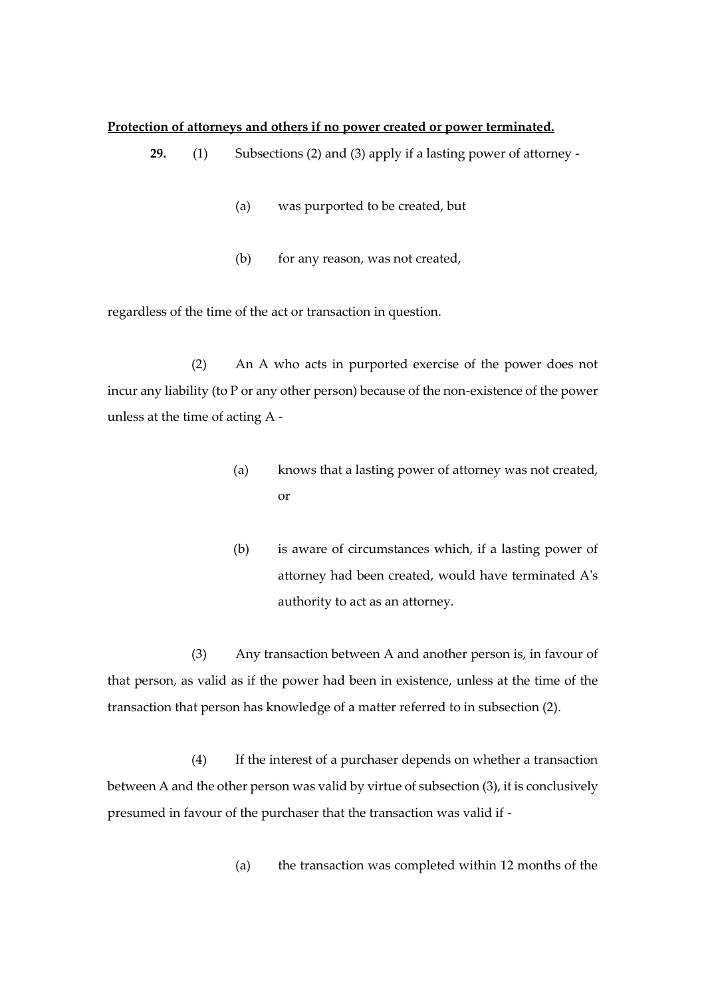#### **Protection of attorneys and others if no power created or power terminated.**

- **29.** (1) Subsections (2) and (3) apply if a lasting power of attorney
	- (a) was purported to be created, but
	- (b) for any reason, was not created,

regardless of the time of the act or transaction in question.

(2) An A who acts in purported exercise of the power does not incur any liability (to P or any other person) because of the non-existence of the power unless at the time of acting A -

- (a) knows that a lasting power of attorney was not created, or
- (b) is aware of circumstances which, if a lasting power of attorney had been created, would have terminated A's authority to act as an attorney.

(3) Any transaction between A and another person is, in favour of that person, as valid as if the power had been in existence, unless at the time of the transaction that person has knowledge of a matter referred to in subsection (2).

(4) If the interest of a purchaser depends on whether a transaction between A and the other person was valid by virtue of subsection (3), it is conclusively presumed in favour of the purchaser that the transaction was valid if -

(a) the transaction was completed within 12 months of the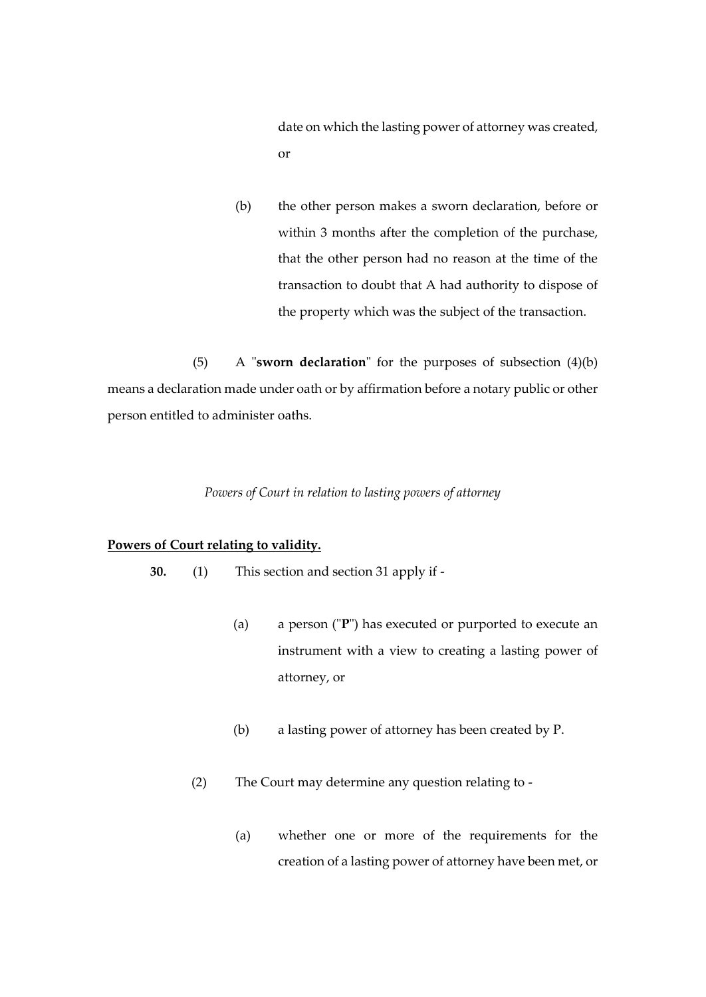date on which the lasting power of attorney was created, or

(b) the other person makes a sworn declaration, before or within 3 months after the completion of the purchase, that the other person had no reason at the time of the transaction to doubt that A had authority to dispose of the property which was the subject of the transaction.

(5) A "**sworn declaration**" for the purposes of subsection (4)(b) means a declaration made under oath or by affirmation before a notary public or other person entitled to administer oaths.

#### *Powers of Court in relation to lasting powers of attorney*

### **Powers of Court relating to validity.**

- **30.** (1) This section and section 31 apply if
	- (a) a person ("**P**") has executed or purported to execute an instrument with a view to creating a lasting power of attorney, or
	- (b) a lasting power of attorney has been created by P.
	- (2) The Court may determine any question relating to
		- (a) whether one or more of the requirements for the creation of a lasting power of attorney have been met, or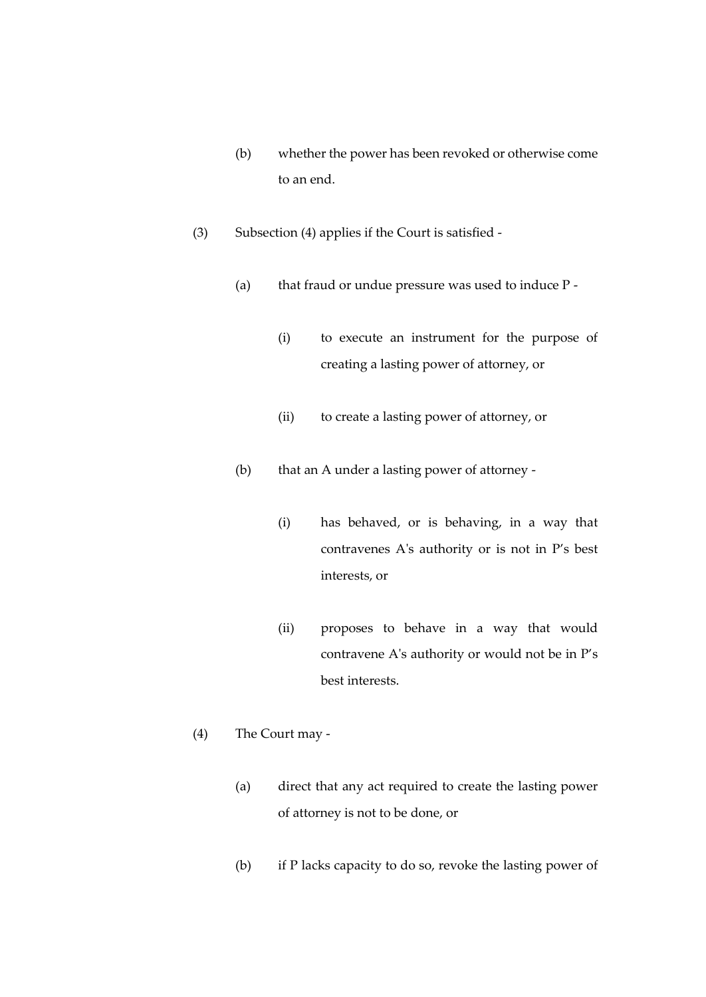- (b) whether the power has been revoked or otherwise come to an end.
- (3) Subsection (4) applies if the Court is satisfied
	- (a) that fraud or undue pressure was used to induce  $P -$ 
		- (i) to execute an instrument for the purpose of creating a lasting power of attorney, or
		- (ii) to create a lasting power of attorney, or
	- (b) that an A under a lasting power of attorney
		- (i) has behaved, or is behaving, in a way that contravenes A's authority or is not in P's best interests, or
		- (ii) proposes to behave in a way that would contravene A's authority or would not be in P's best interests.
- (4) The Court may
	- (a) direct that any act required to create the lasting power of attorney is not to be done, or
	- (b) if P lacks capacity to do so, revoke the lasting power of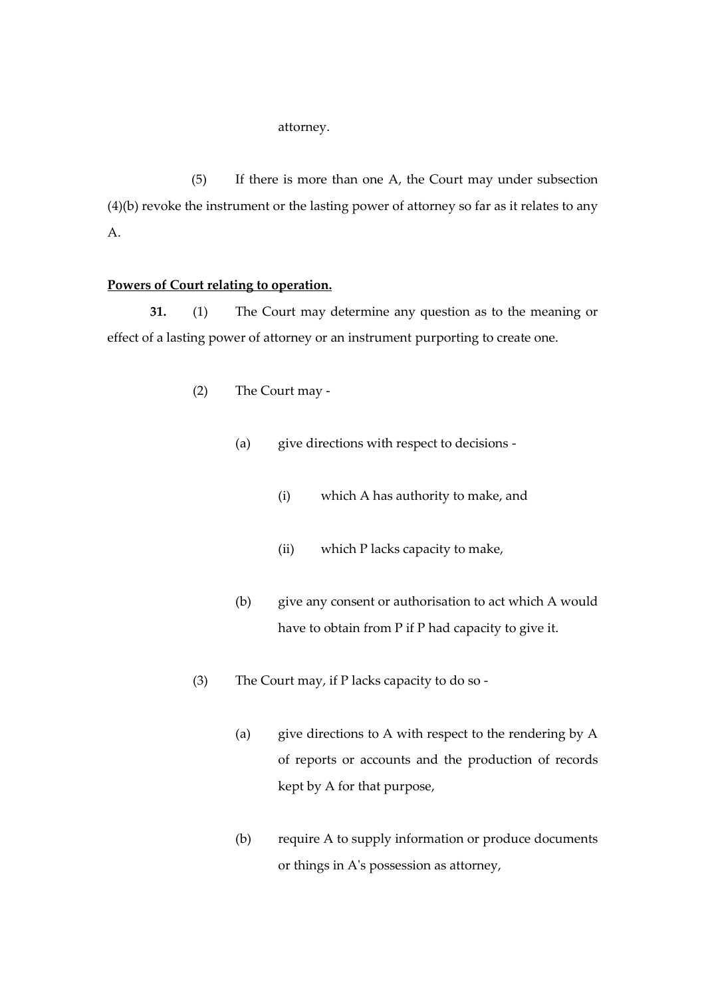#### attorney.

(5) If there is more than one A, the Court may under subsection (4)(b) revoke the instrument or the lasting power of attorney so far as it relates to any A.

# **Powers of Court relating to operation.**

**31.** (1) The Court may determine any question as to the meaning or effect of a lasting power of attorney or an instrument purporting to create one.

- (2) The Court may
	- (a) give directions with respect to decisions
		- (i) which A has authority to make, and
		- (ii) which P lacks capacity to make,
	- (b) give any consent or authorisation to act which A would have to obtain from P if P had capacity to give it.
- (3) The Court may, if P lacks capacity to do so
	- (a) give directions to A with respect to the rendering by A of reports or accounts and the production of records kept by A for that purpose,
	- (b) require A to supply information or produce documents or things in A's possession as attorney,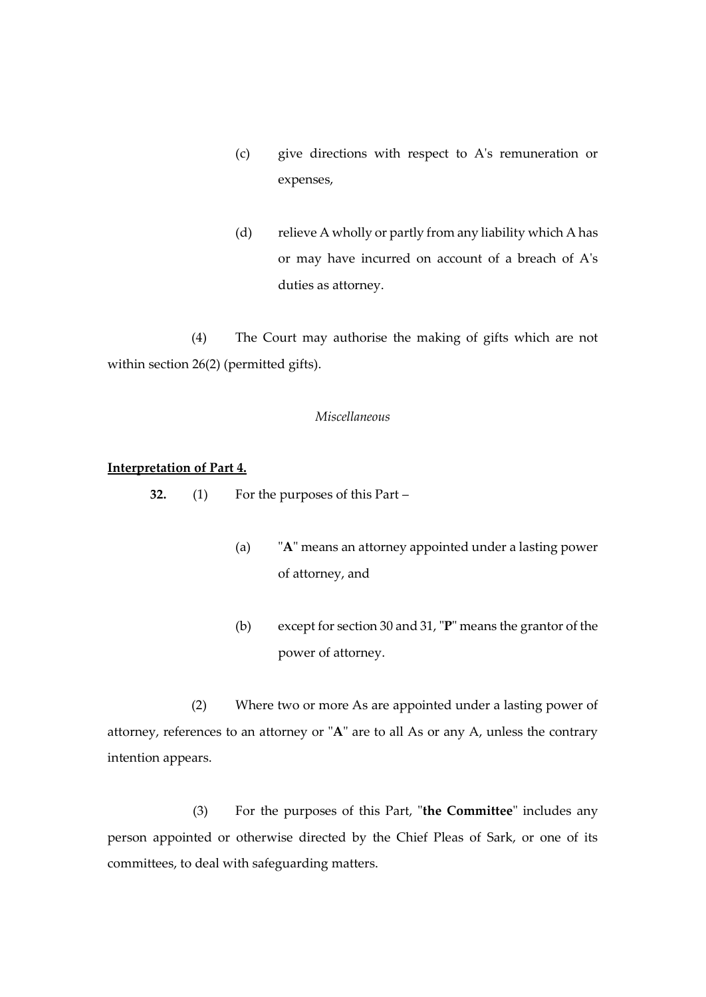- (c) give directions with respect to A's remuneration or expenses,
- (d) relieve A wholly or partly from any liability which A has or may have incurred on account of a breach of A's duties as attorney.

(4) The Court may authorise the making of gifts which are not within section 26(2) (permitted gifts).

#### *Miscellaneous*

# **Interpretation of Part 4.**

**32.** (1) For the purposes of this Part –

- (a) "**A**" means an attorney appointed under a lasting power of attorney, and
- (b) except for section 30 and 31, "**P**" means the grantor of the power of attorney.

(2) Where two or more As are appointed under a lasting power of attorney, references to an attorney or "**A**" are to all As or any A, unless the contrary intention appears.

(3) For the purposes of this Part, "**the Committee**" includes any person appointed or otherwise directed by the Chief Pleas of Sark, or one of its committees, to deal with safeguarding matters.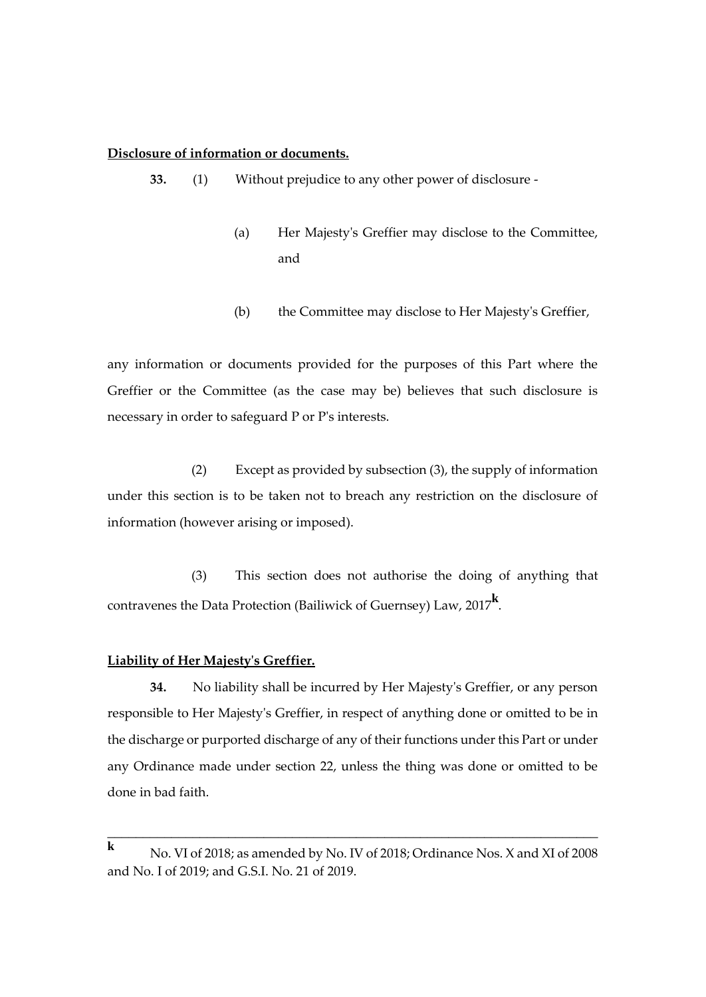# **Disclosure of information or documents.**

**33.** (1) Without prejudice to any other power of disclosure -

- (a) Her Majesty's Greffier may disclose to the Committee, and
- (b) the Committee may disclose to Her Majesty's Greffier,

any information or documents provided for the purposes of this Part where the Greffier or the Committee (as the case may be) believes that such disclosure is necessary in order to safeguard P or P's interests.

(2) Except as provided by subsection (3), the supply of information under this section is to be taken not to breach any restriction on the disclosure of information (however arising or imposed).

(3) This section does not authorise the doing of anything that contravenes the Data Protection (Bailiwick of Guernsey) Law, 2017**<sup>k</sup>** .

# **Liability of Her Majesty's Greffier.**

**34.** No liability shall be incurred by Her Majesty's Greffier, or any person responsible to Her Majesty's Greffier, in respect of anything done or omitted to be in the discharge or purported discharge of any of their functions under this Part or under any Ordinance made under section 22, unless the thing was done or omitted to be done in bad faith.

\_\_\_\_\_\_\_\_\_\_\_\_\_\_\_\_\_\_\_\_\_\_\_\_\_\_\_\_\_\_\_\_\_\_\_\_\_\_\_\_\_\_\_\_\_\_\_\_\_\_\_\_\_\_\_\_\_\_\_\_\_\_\_\_\_\_\_\_\_

**<sup>k</sup>** No. VI of 2018; as amended by No. IV of 2018; Ordinance Nos. X and XI of 2008 and No. I of 2019; and G.S.I. No. 21 of 2019.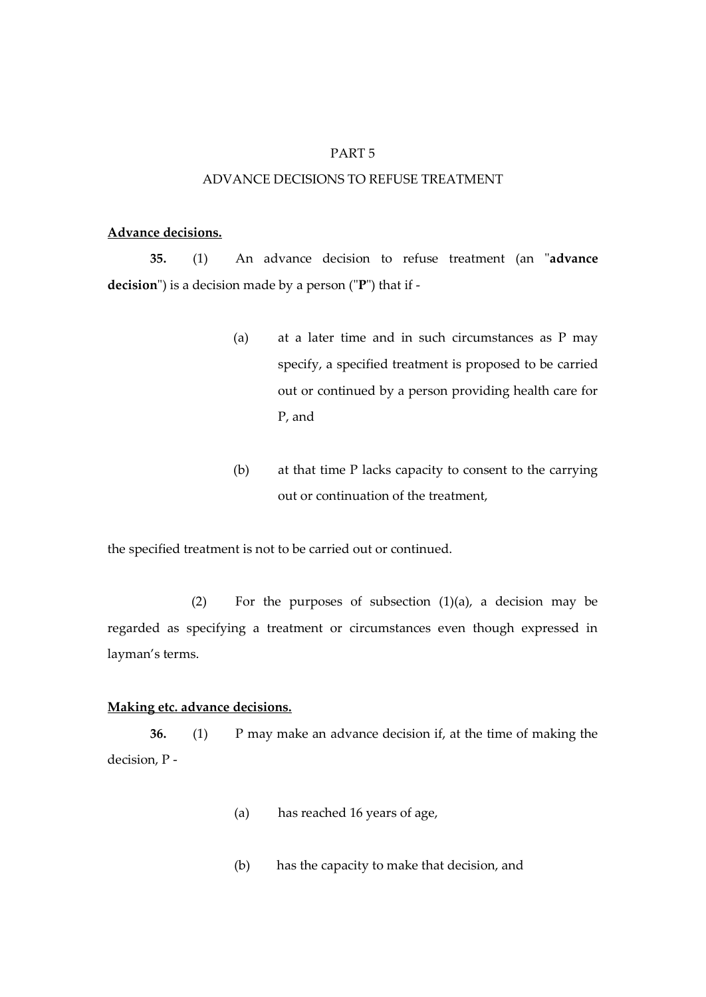# PART 5

# ADVANCE DECISIONS TO REFUSE TREATMENT

#### **Advance decisions.**

**35.** (1) An advance decision to refuse treatment (an "**advance decision**") is a decision made by a person ("**P**") that if -

- (a) at a later time and in such circumstances as P may specify, a specified treatment is proposed to be carried out or continued by a person providing health care for P, and
- (b) at that time P lacks capacity to consent to the carrying out or continuation of the treatment,

the specified treatment is not to be carried out or continued.

(2) For the purposes of subsection  $(1)(a)$ , a decision may be regarded as specifying a treatment or circumstances even though expressed in layman's terms.

# **Making etc. advance decisions.**

**36.** (1) P may make an advance decision if, at the time of making the decision, P -

- (a) has reached 16 years of age,
- (b) has the capacity to make that decision, and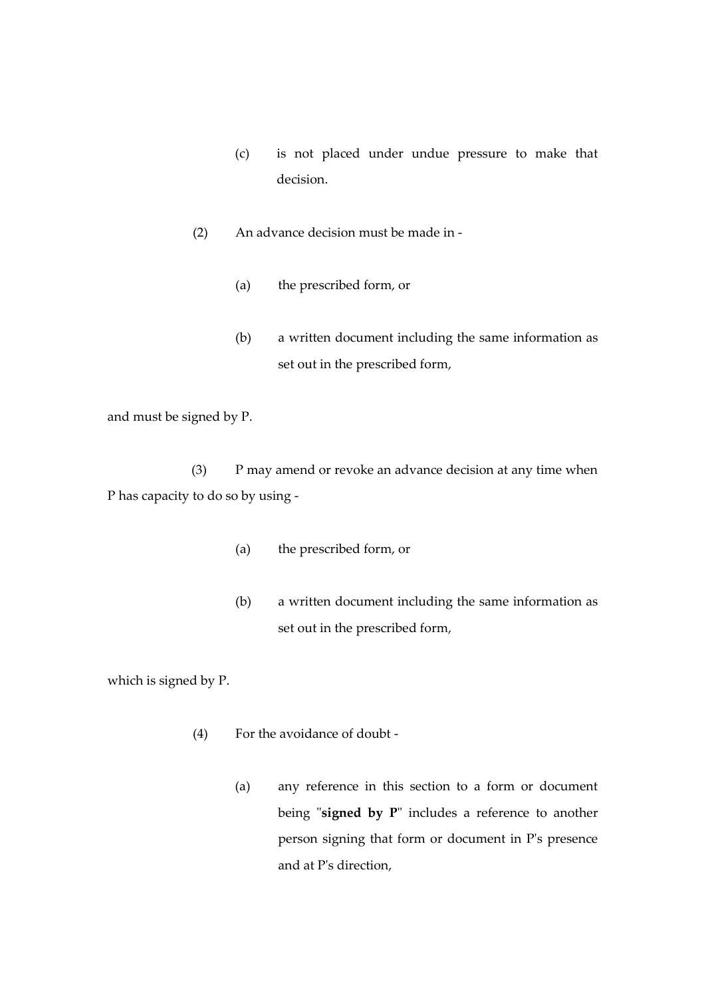- (c) is not placed under undue pressure to make that decision.
- (2) An advance decision must be made in
	- (a) the prescribed form, or
	- (b) a written document including the same information as set out in the prescribed form,

and must be signed by P.

(3) P may amend or revoke an advance decision at any time when P has capacity to do so by using -

- (a) the prescribed form, or
- (b) a written document including the same information as set out in the prescribed form,

which is signed by P.

- (4) For the avoidance of doubt
	- (a) any reference in this section to a form or document being "**signed by P**" includes a reference to another person signing that form or document in P's presence and at P's direction,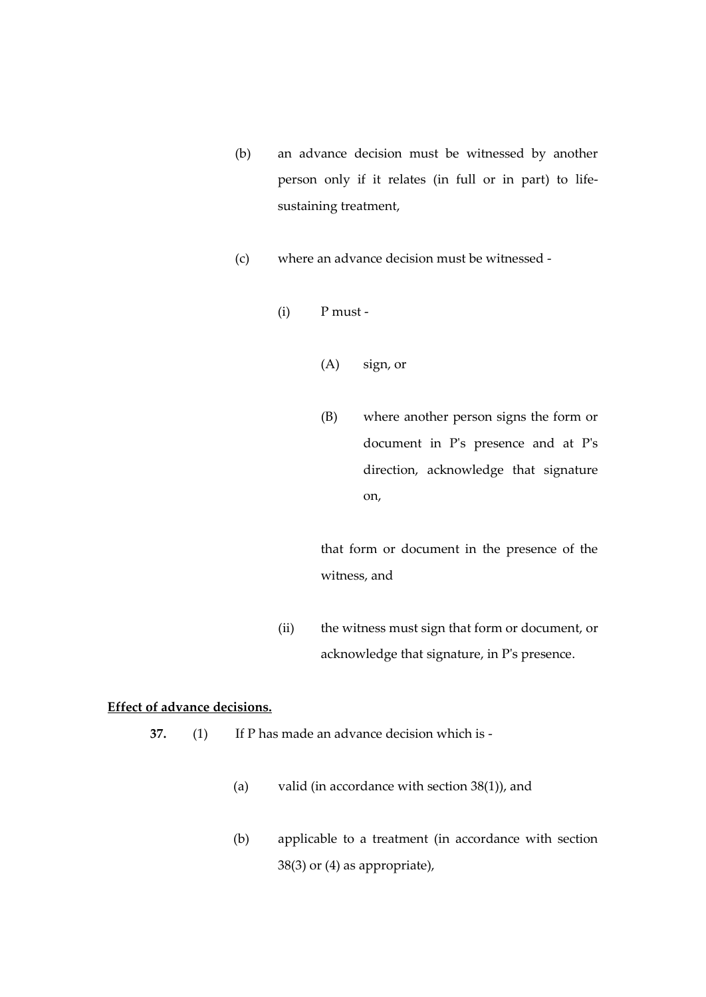- (b) an advance decision must be witnessed by another person only if it relates (in full or in part) to lifesustaining treatment,
- (c) where an advance decision must be witnessed
	- (i) P must
		- (A) sign, or
		- (B) where another person signs the form or document in P's presence and at P's direction, acknowledge that signature on,

that form or document in the presence of the witness, and

(ii) the witness must sign that form or document, or acknowledge that signature, in P's presence.

# **Effect of advance decisions.**

- **37.** (1) If P has made an advance decision which is
	- (a) valid (in accordance with section 38(1)), and
	- (b) applicable to a treatment (in accordance with section 38(3) or (4) as appropriate),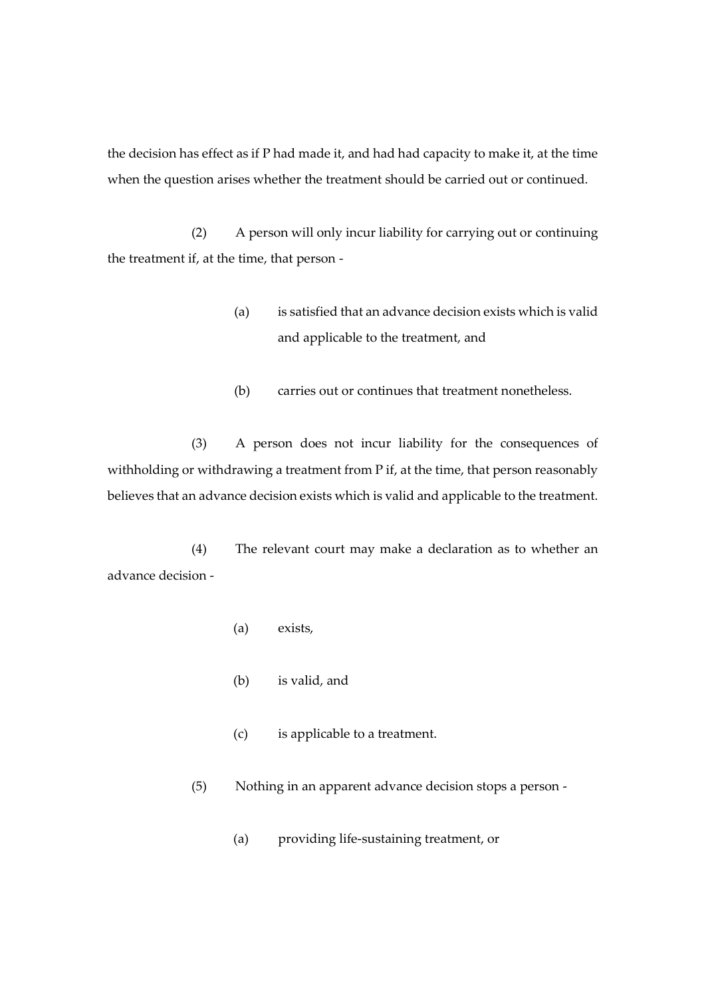the decision has effect as if P had made it, and had had capacity to make it, at the time when the question arises whether the treatment should be carried out or continued.

(2) A person will only incur liability for carrying out or continuing the treatment if, at the time, that person -

- (a) is satisfied that an advance decision exists which is valid and applicable to the treatment, and
- (b) carries out or continues that treatment nonetheless.

(3) A person does not incur liability for the consequences of withholding or withdrawing a treatment from P if, at the time, that person reasonably believes that an advance decision exists which is valid and applicable to the treatment.

(4) The relevant court may make a declaration as to whether an advance decision -

- (a) exists,
- (b) is valid, and
- (c) is applicable to a treatment.
- (5) Nothing in an apparent advance decision stops a person
	- (a) providing life-sustaining treatment, or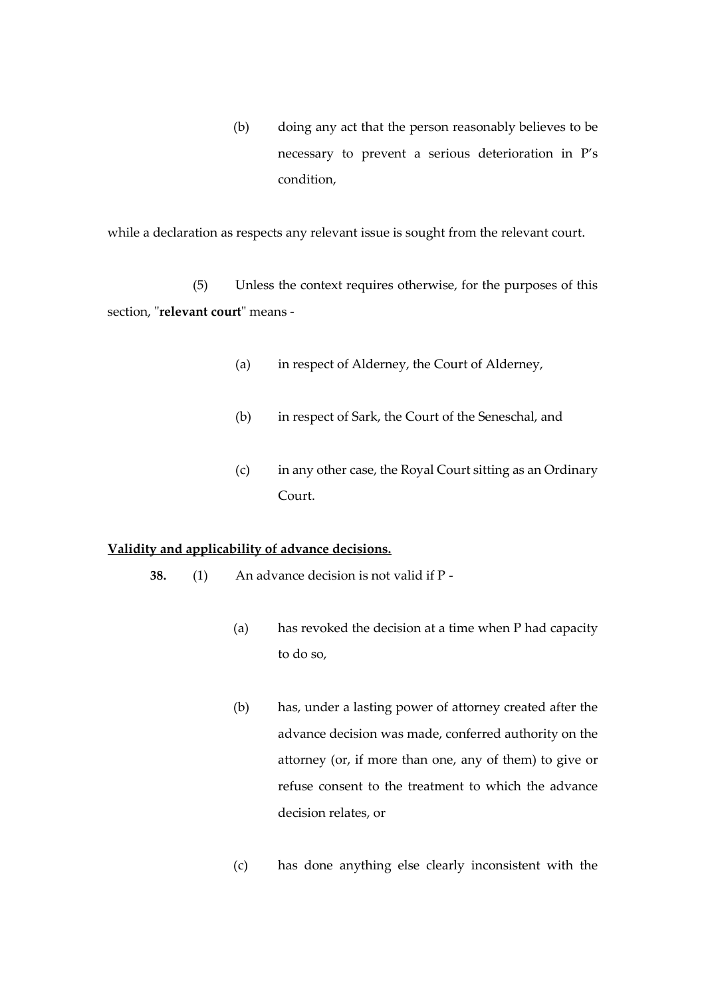(b) doing any act that the person reasonably believes to be necessary to prevent a serious deterioration in P's condition,

while a declaration as respects any relevant issue is sought from the relevant court.

(5) Unless the context requires otherwise, for the purposes of this section, "**relevant court**" means -

- (a) in respect of Alderney, the Court of Alderney,
- (b) in respect of Sark, the Court of the Seneschal, and
- (c) in any other case, the Royal Court sitting as an Ordinary Court.

#### **Validity and applicability of advance decisions.**

- **38.** (1) An advance decision is not valid if P
	- (a) has revoked the decision at a time when P had capacity to do so,
	- (b) has, under a lasting power of attorney created after the advance decision was made, conferred authority on the attorney (or, if more than one, any of them) to give or refuse consent to the treatment to which the advance decision relates, or
	- (c) has done anything else clearly inconsistent with the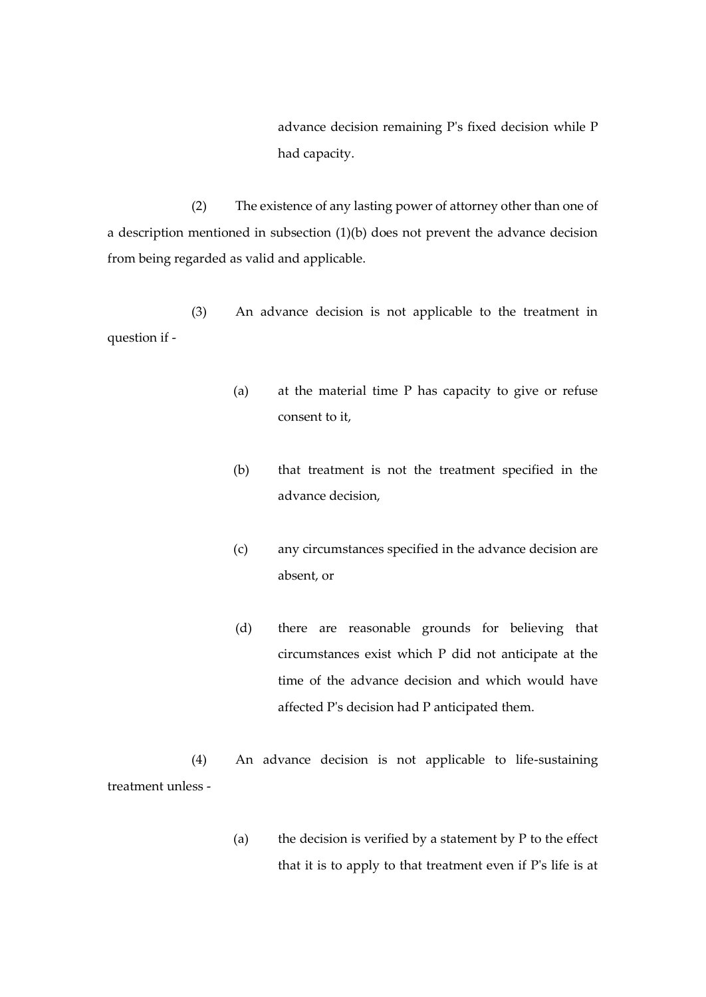advance decision remaining P's fixed decision while P had capacity.

(2) The existence of any lasting power of attorney other than one of a description mentioned in subsection (1)(b) does not prevent the advance decision from being regarded as valid and applicable.

(3) An advance decision is not applicable to the treatment in question if -

- (a) at the material time P has capacity to give or refuse consent to it,
- (b) that treatment is not the treatment specified in the advance decision,
- (c) any circumstances specified in the advance decision are absent, or
- (d) there are reasonable grounds for believing that circumstances exist which P did not anticipate at the time of the advance decision and which would have affected P's decision had P anticipated them.

(4) An advance decision is not applicable to life-sustaining treatment unless -

> (a) the decision is verified by a statement by  $P$  to the effect that it is to apply to that treatment even if P's life is at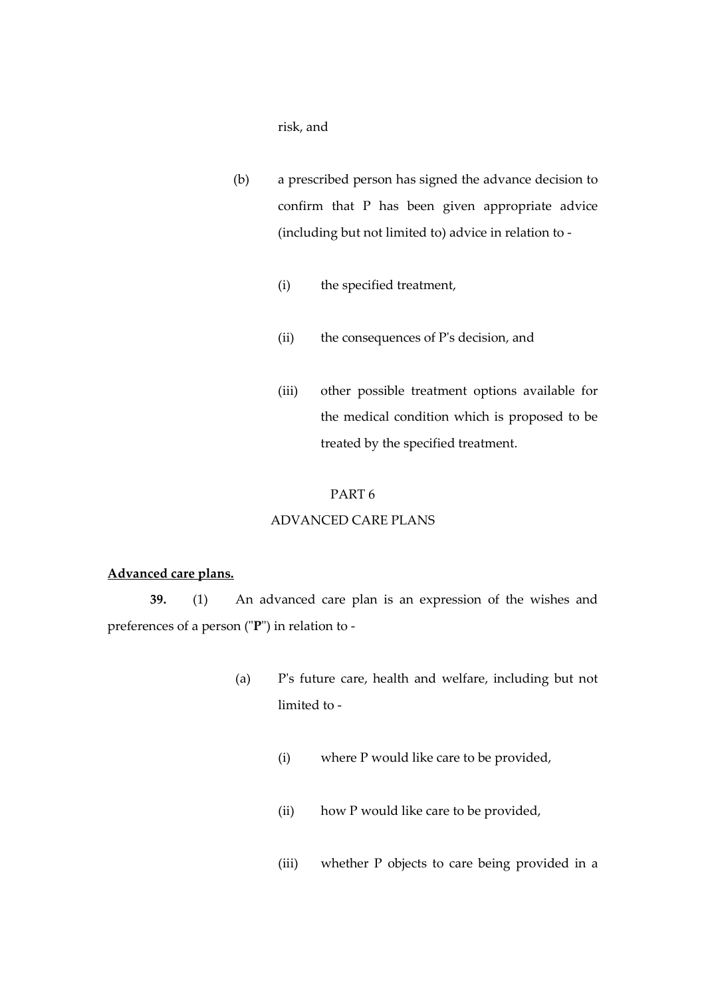risk, and

- (b) a prescribed person has signed the advance decision to confirm that P has been given appropriate advice (including but not limited to) advice in relation to -
	- (i) the specified treatment,
	- (ii) the consequences of P's decision, and
	- (iii) other possible treatment options available for the medical condition which is proposed to be treated by the specified treatment.

#### PART 6

# ADVANCED CARE PLANS

#### **Advanced care plans.**

**39.** (1) An advanced care plan is an expression of the wishes and preferences of a person ("**P**") in relation to -

- (a) P's future care, health and welfare, including but not limited to -
	- (i) where P would like care to be provided,
	- (ii) how P would like care to be provided,
	- (iii) whether P objects to care being provided in a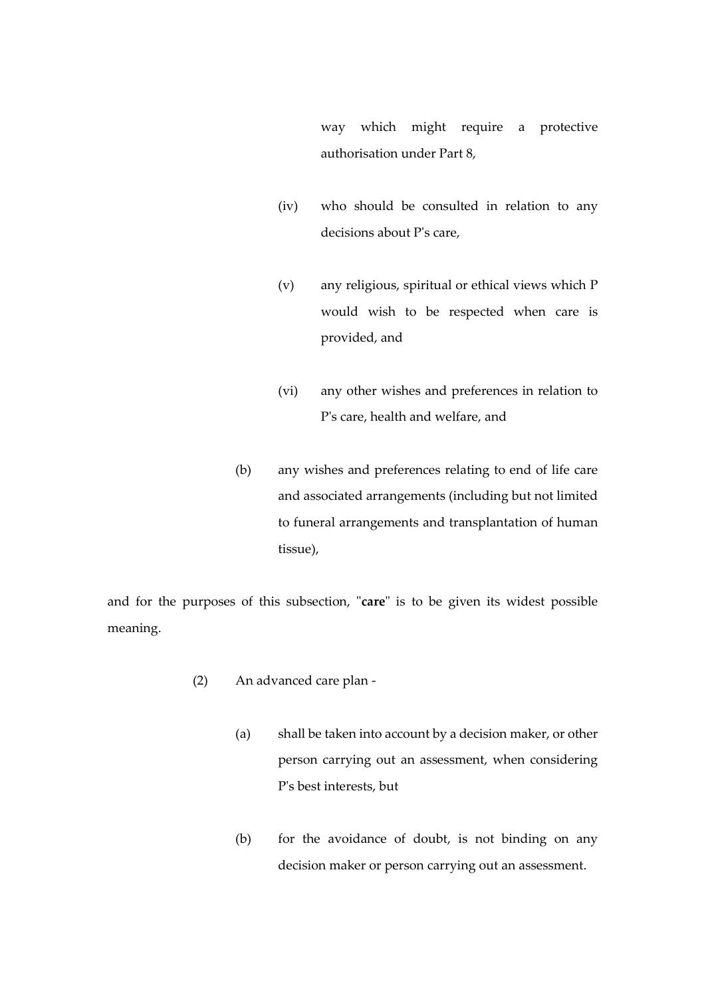way which might require a protective authorisation under Part 8,

- (iv) who should be consulted in relation to any decisions about P's care,
- (v) any religious, spiritual or ethical views which P would wish to be respected when care is provided, and
- (vi) any other wishes and preferences in relation to P's care, health and welfare, and
- (b) any wishes and preferences relating to end of life care and associated arrangements (including but not limited to funeral arrangements and transplantation of human tissue),

and for the purposes of this subsection, "**care**" is to be given its widest possible meaning.

- (2) An advanced care plan
	- (a) shall be taken into account by a decision maker, or other person carrying out an assessment, when considering P's best interests, but
	- (b) for the avoidance of doubt, is not binding on any decision maker or person carrying out an assessment.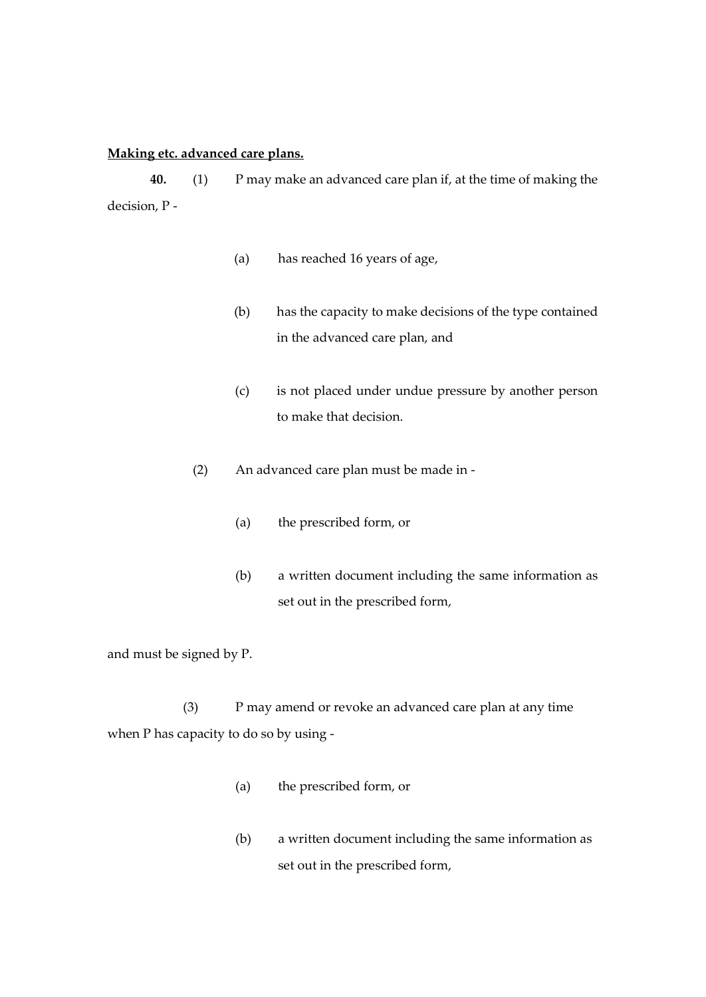# **Making etc. advanced care plans.**

**40.** (1) P may make an advanced care plan if, at the time of making the decision, P -

- (a) has reached 16 years of age,
- (b) has the capacity to make decisions of the type contained in the advanced care plan, and
- (c) is not placed under undue pressure by another person to make that decision.
- (2) An advanced care plan must be made in
	- (a) the prescribed form, or
	- (b) a written document including the same information as set out in the prescribed form,

and must be signed by P.

(3) P may amend or revoke an advanced care plan at any time when P has capacity to do so by using -

- (a) the prescribed form, or
- (b) a written document including the same information as set out in the prescribed form,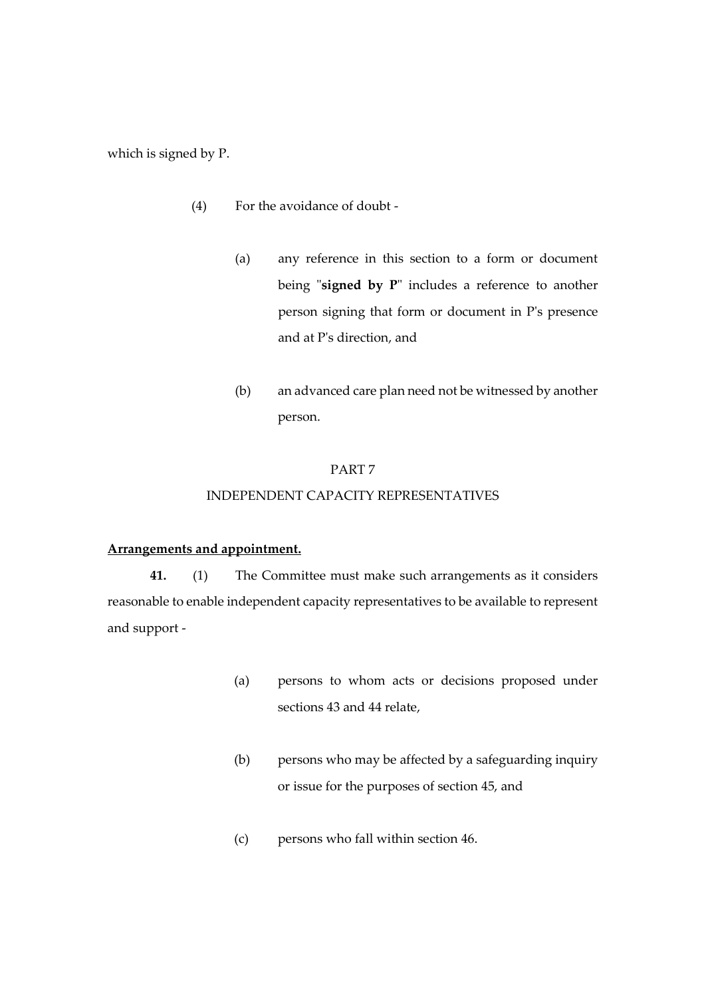which is signed by P.

- (4) For the avoidance of doubt
	- (a) any reference in this section to a form or document being "**signed by P**" includes a reference to another person signing that form or document in P's presence and at P's direction, and
	- (b) an advanced care plan need not be witnessed by another person.

#### PART 7

### INDEPENDENT CAPACITY REPRESENTATIVES

#### **Arrangements and appointment.**

**41.** (1) The Committee must make such arrangements as it considers reasonable to enable independent capacity representatives to be available to represent and support -

- (a) persons to whom acts or decisions proposed under sections 43 and 44 relate,
- (b) persons who may be affected by a safeguarding inquiry or issue for the purposes of section 45, and
- (c) persons who fall within section 46.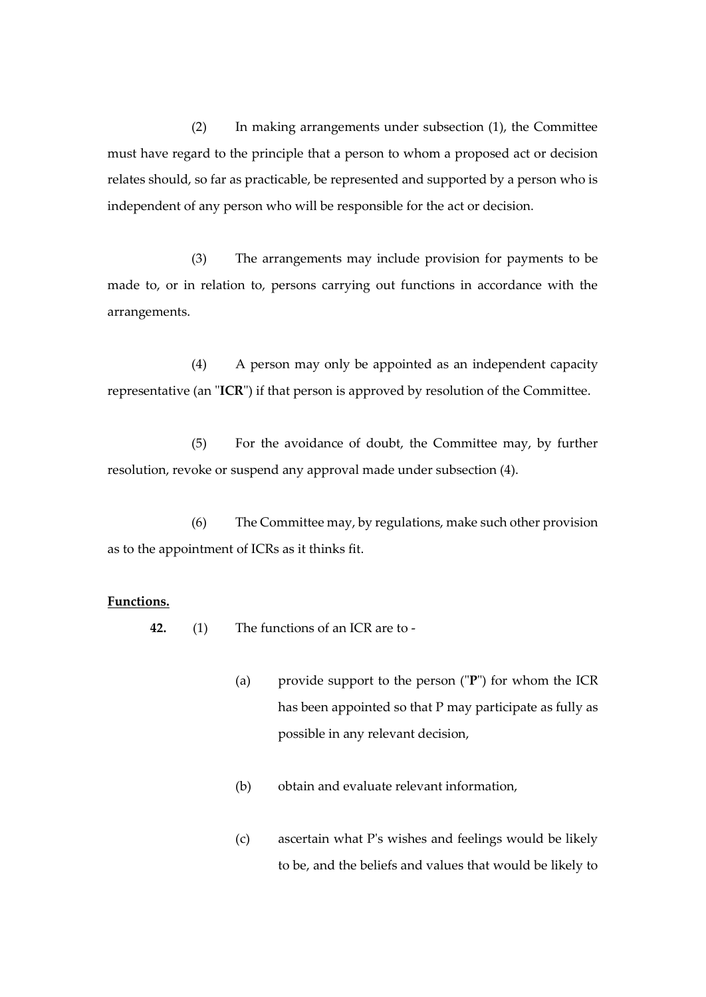(2) In making arrangements under subsection (1), the Committee must have regard to the principle that a person to whom a proposed act or decision relates should, so far as practicable, be represented and supported by a person who is independent of any person who will be responsible for the act or decision.

(3) The arrangements may include provision for payments to be made to, or in relation to, persons carrying out functions in accordance with the arrangements.

(4) A person may only be appointed as an independent capacity representative (an "**ICR**") if that person is approved by resolution of the Committee.

(5) For the avoidance of doubt, the Committee may, by further resolution, revoke or suspend any approval made under subsection (4).

(6) The Committee may, by regulations, make such other provision as to the appointment of ICRs as it thinks fit.

# **Functions.**

**42.** (1) The functions of an ICR are to -

- (a) provide support to the person ("**P**") for whom the ICR has been appointed so that P may participate as fully as possible in any relevant decision,
- (b) obtain and evaluate relevant information,
- (c) ascertain what P's wishes and feelings would be likely to be, and the beliefs and values that would be likely to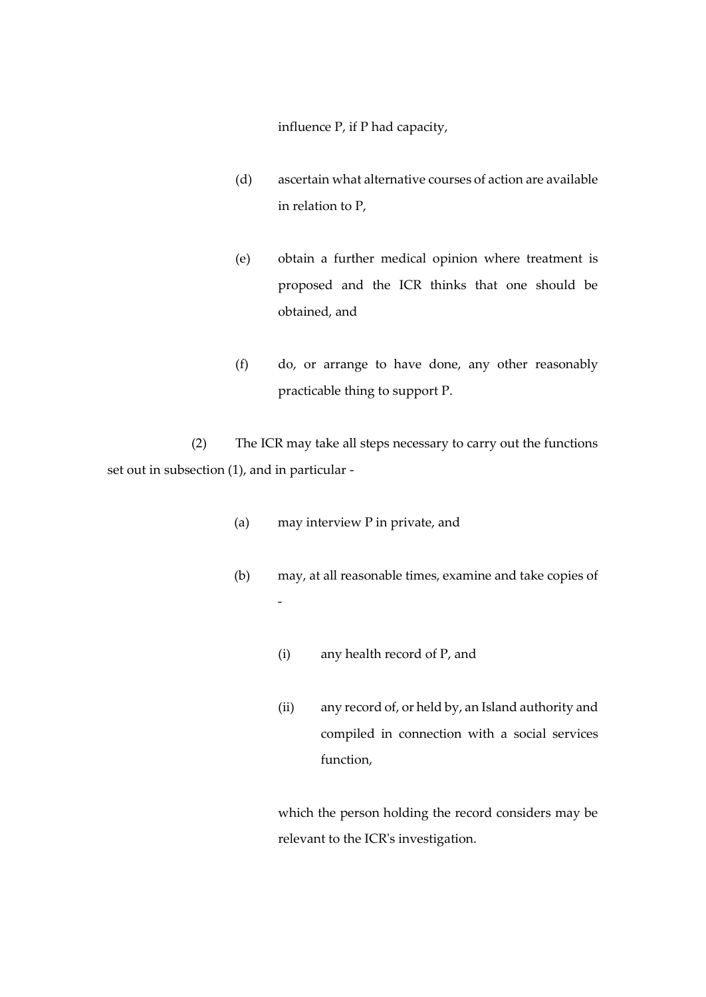influence P, if P had capacity,

- (d) ascertain what alternative courses of action are available in relation to P,
- (e) obtain a further medical opinion where treatment is proposed and the ICR thinks that one should be obtained, and
- (f) do, or arrange to have done, any other reasonably practicable thing to support P.

(2) The ICR may take all steps necessary to carry out the functions set out in subsection (1), and in particular -

- (a) may interview P in private, and
- (b) may, at all reasonable times, examine and take copies of -
	- (i) any health record of P, and
	- (ii) any record of, or held by, an Island authority and compiled in connection with a social services function,

which the person holding the record considers may be relevant to the ICR's investigation.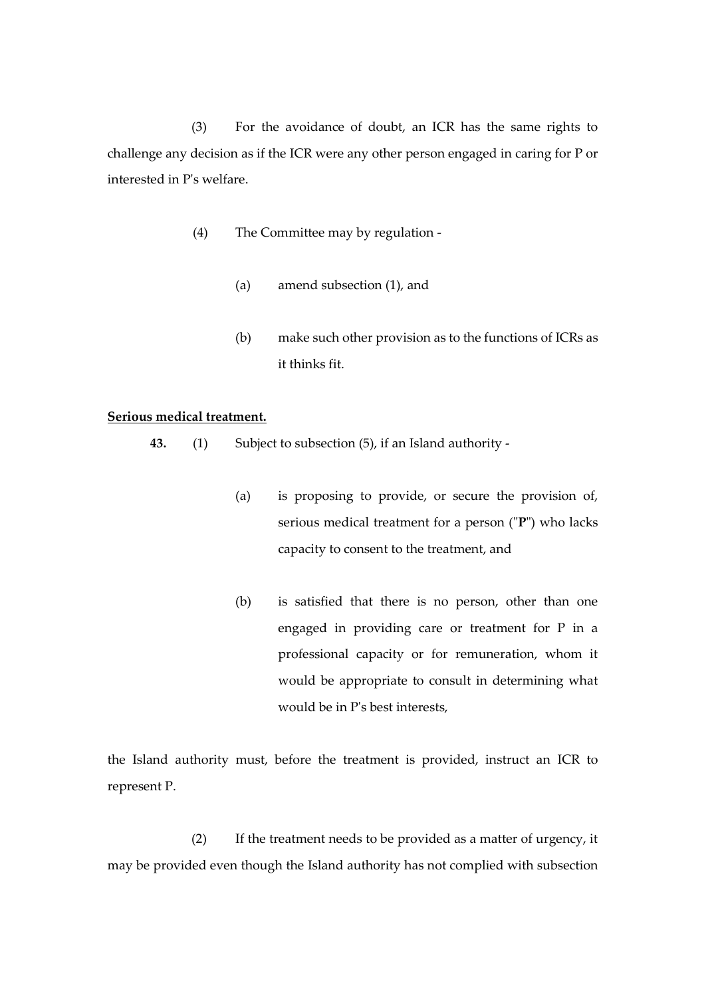(3) For the avoidance of doubt, an ICR has the same rights to challenge any decision as if the ICR were any other person engaged in caring for P or interested in P's welfare.

- (4) The Committee may by regulation
	- (a) amend subsection (1), and
	- (b) make such other provision as to the functions of ICRs as it thinks fit.

# **Serious medical treatment.**

- **43.** (1) Subject to subsection (5), if an Island authority
	- (a) is proposing to provide, or secure the provision of, serious medical treatment for a person ("**P**") who lacks capacity to consent to the treatment, and
	- (b) is satisfied that there is no person, other than one engaged in providing care or treatment for P in a professional capacity or for remuneration, whom it would be appropriate to consult in determining what would be in P's best interests,

the Island authority must, before the treatment is provided, instruct an ICR to represent P.

(2) If the treatment needs to be provided as a matter of urgency, it may be provided even though the Island authority has not complied with subsection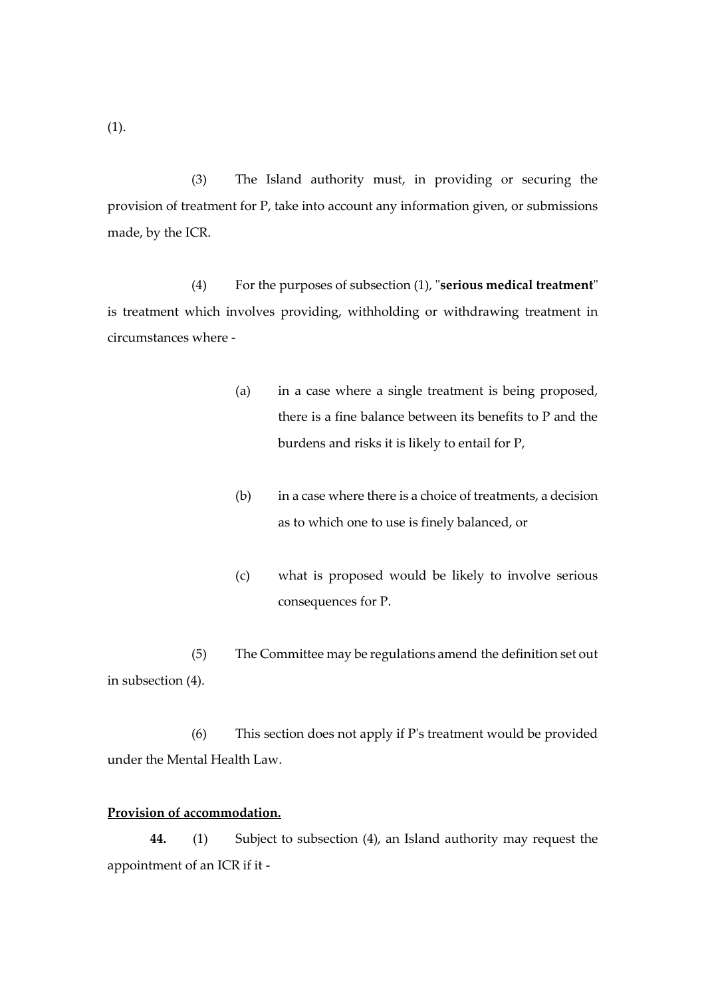(3) The Island authority must, in providing or securing the provision of treatment for P, take into account any information given, or submissions made, by the ICR.

(4) For the purposes of subsection (1), "**serious medical treatment**" is treatment which involves providing, withholding or withdrawing treatment in circumstances where -

- (a) in a case where a single treatment is being proposed, there is a fine balance between its benefits to P and the burdens and risks it is likely to entail for P,
- (b) in a case where there is a choice of treatments, a decision as to which one to use is finely balanced, or
- (c) what is proposed would be likely to involve serious consequences for P.
- (5) The Committee may be regulations amend the definition set out in subsection (4).

(6) This section does not apply if P's treatment would be provided under the Mental Health Law.

# **Provision of accommodation.**

**44.** (1) Subject to subsection (4), an Island authority may request the appointment of an ICR if it -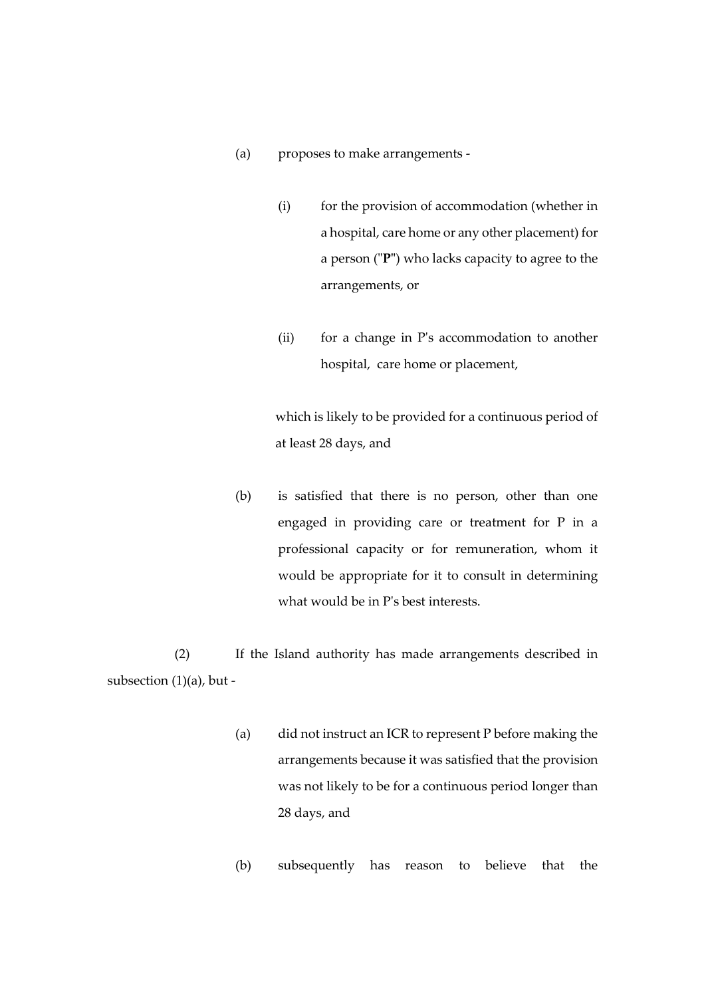- (a) proposes to make arrangements
	- (i) for the provision of accommodation (whether in a hospital, care home or any other placement) for a person ("**P"**) who lacks capacity to agree to the arrangements, or
	- (ii) for a change in P's accommodation to another hospital, care home or placement,

which is likely to be provided for a continuous period of at least 28 days, and

(b) is satisfied that there is no person, other than one engaged in providing care or treatment for P in a professional capacity or for remuneration, whom it would be appropriate for it to consult in determining what would be in P's best interests.

(2) If the Island authority has made arrangements described in subsection (1)(a), but -

- (a) did not instruct an ICR to represent P before making the arrangements because it was satisfied that the provision was not likely to be for a continuous period longer than 28 days, and
- (b) subsequently has reason to believe that the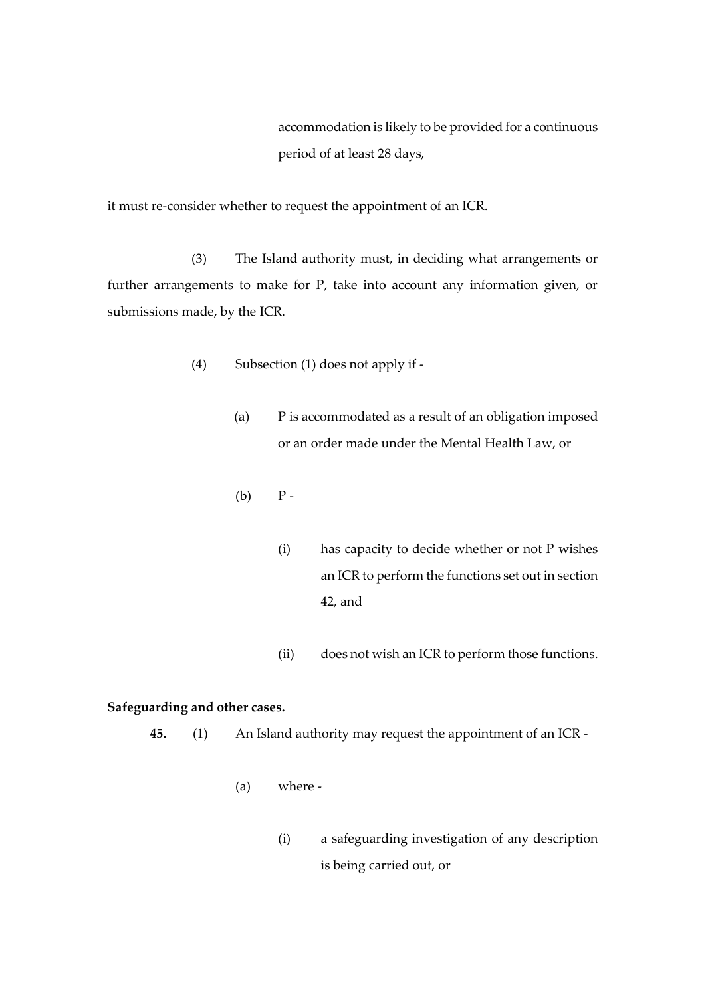accommodation is likely to be provided for a continuous period of at least 28 days,

it must re-consider whether to request the appointment of an ICR.

(3) The Island authority must, in deciding what arrangements or further arrangements to make for P, take into account any information given, or submissions made, by the ICR.

- (4) Subsection (1) does not apply if
	- (a) P is accommodated as a result of an obligation imposed or an order made under the Mental Health Law, or
	- $(b)$   $P -$ 
		- (i) has capacity to decide whether or not P wishes an ICR to perform the functions set out in section 42, and
		- (ii) does not wish an ICR to perform those functions.

# **Safeguarding and other cases.**

- **45.** (1) An Island authority may request the appointment of an ICR
	- (a) where
		- (i) a safeguarding investigation of any description is being carried out, or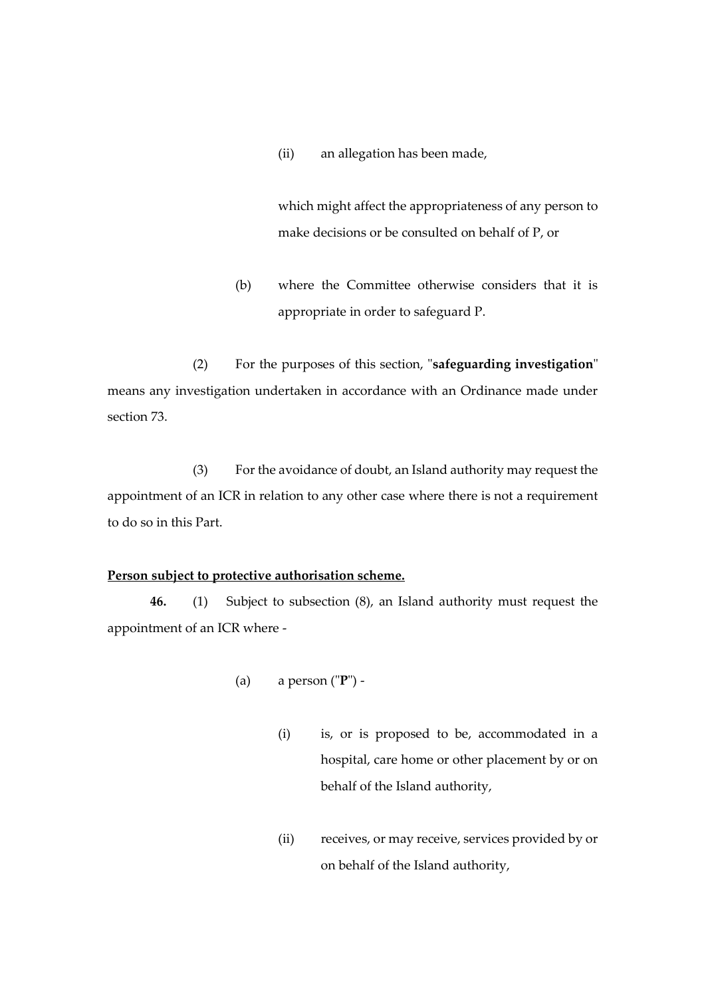(ii) an allegation has been made,

which might affect the appropriateness of any person to make decisions or be consulted on behalf of P, or

(b) where the Committee otherwise considers that it is appropriate in order to safeguard P.

(2) For the purposes of this section, "**safeguarding investigation**" means any investigation undertaken in accordance with an Ordinance made under section 73.

(3) For the avoidance of doubt, an Island authority may request the appointment of an ICR in relation to any other case where there is not a requirement to do so in this Part.

# **Person subject to protective authorisation scheme.**

**46.** (1) Subject to subsection (8), an Island authority must request the appointment of an ICR where -

- (a) a person ("**P**")
	- (i) is, or is proposed to be, accommodated in a hospital, care home or other placement by or on behalf of the Island authority,
	- (ii) receives, or may receive, services provided by or on behalf of the Island authority,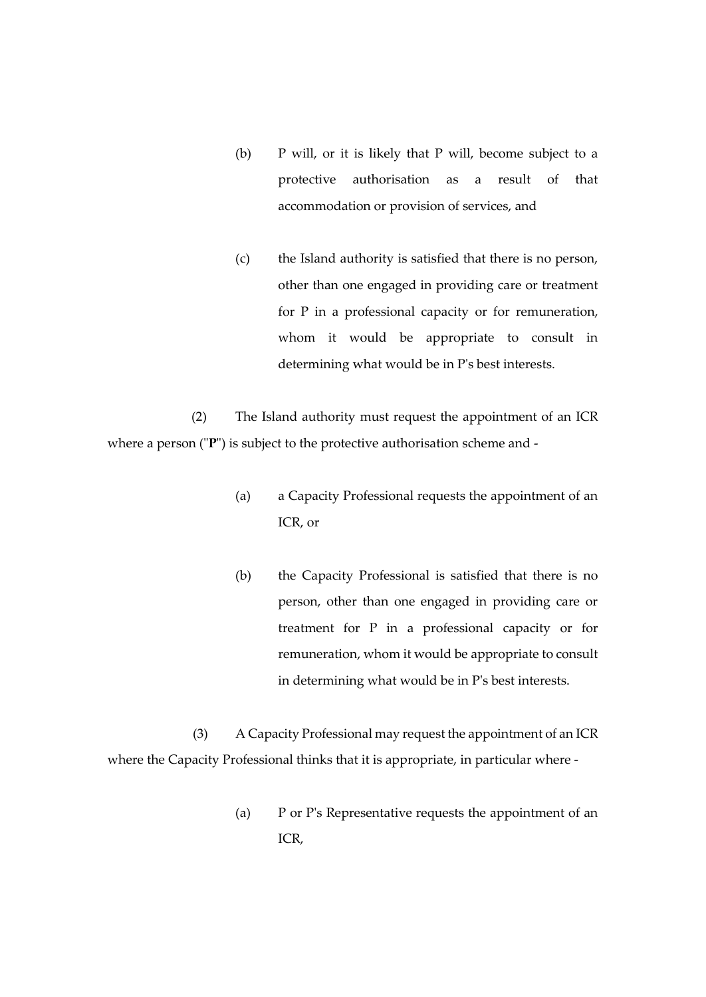- (b) P will, or it is likely that P will, become subject to a protective authorisation as a result of that accommodation or provision of services, and
- (c) the Island authority is satisfied that there is no person, other than one engaged in providing care or treatment for P in a professional capacity or for remuneration, whom it would be appropriate to consult in determining what would be in P's best interests.

(2) The Island authority must request the appointment of an ICR where a person ("**P**") is subject to the protective authorisation scheme and -

- (a) a Capacity Professional requests the appointment of an ICR, or
- (b) the Capacity Professional is satisfied that there is no person, other than one engaged in providing care or treatment for P in a professional capacity or for remuneration, whom it would be appropriate to consult in determining what would be in P's best interests.

(3) A Capacity Professional may request the appointment of an ICR where the Capacity Professional thinks that it is appropriate, in particular where -

> (a) P or P's Representative requests the appointment of an ICR,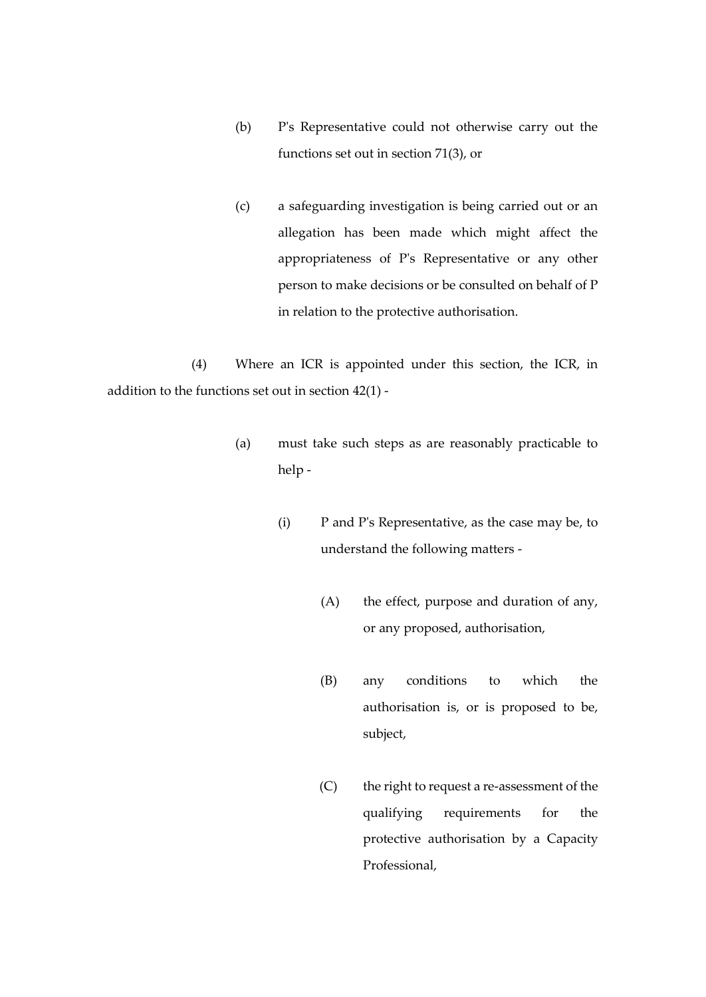- (b) P's Representative could not otherwise carry out the functions set out in section 71(3), or
- (c) a safeguarding investigation is being carried out or an allegation has been made which might affect the appropriateness of P's Representative or any other person to make decisions or be consulted on behalf of P in relation to the protective authorisation.

(4) Where an ICR is appointed under this section, the ICR, in addition to the functions set out in section 42(1) -

- (a) must take such steps as are reasonably practicable to help -
	- (i) P and P's Representative, as the case may be, to understand the following matters -
		- (A) the effect, purpose and duration of any, or any proposed, authorisation,
		- (B) any conditions to which the authorisation is, or is proposed to be, subject,
		- (C) the right to request a re-assessment of the qualifying requirements for the protective authorisation by a Capacity Professional,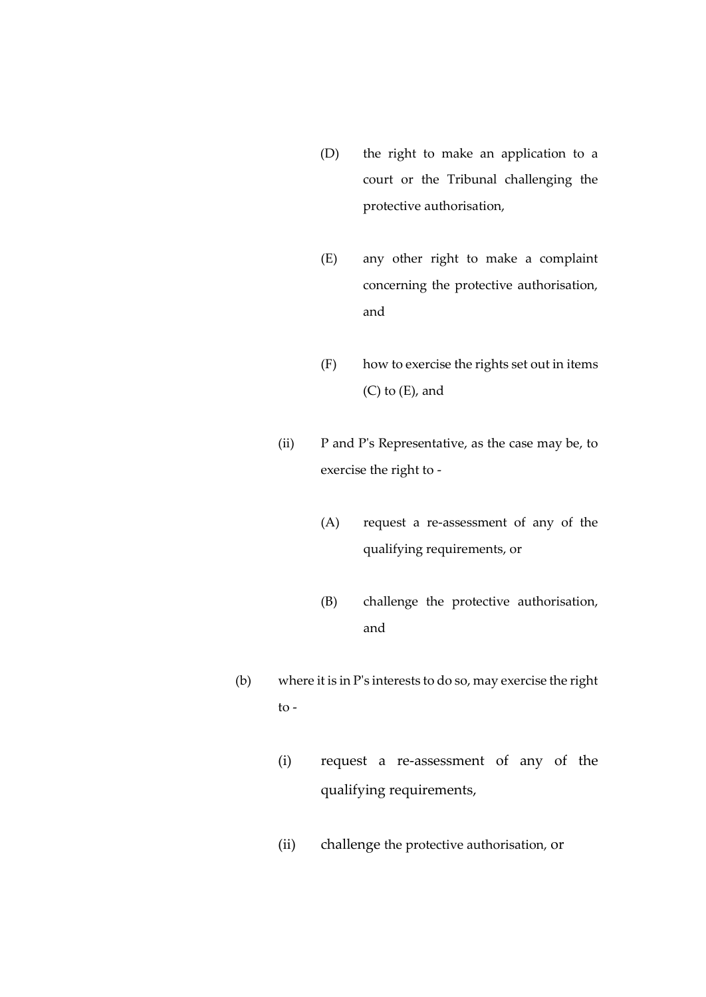- (D) the right to make an application to a court or the Tribunal challenging the protective authorisation,
- (E) any other right to make a complaint concerning the protective authorisation, and
- (F) how to exercise the rights set out in items (C) to (E), and
- (ii) P and P's Representative, as the case may be, to exercise the right to -
	- (A) request a re-assessment of any of the qualifying requirements, or
	- (B) challenge the protective authorisation, and
- (b) where it is in P's interests to do so, may exercise the right to -
	- (i) request a re-assessment of any of the qualifying requirements,
	- (ii) challenge the protective authorisation, or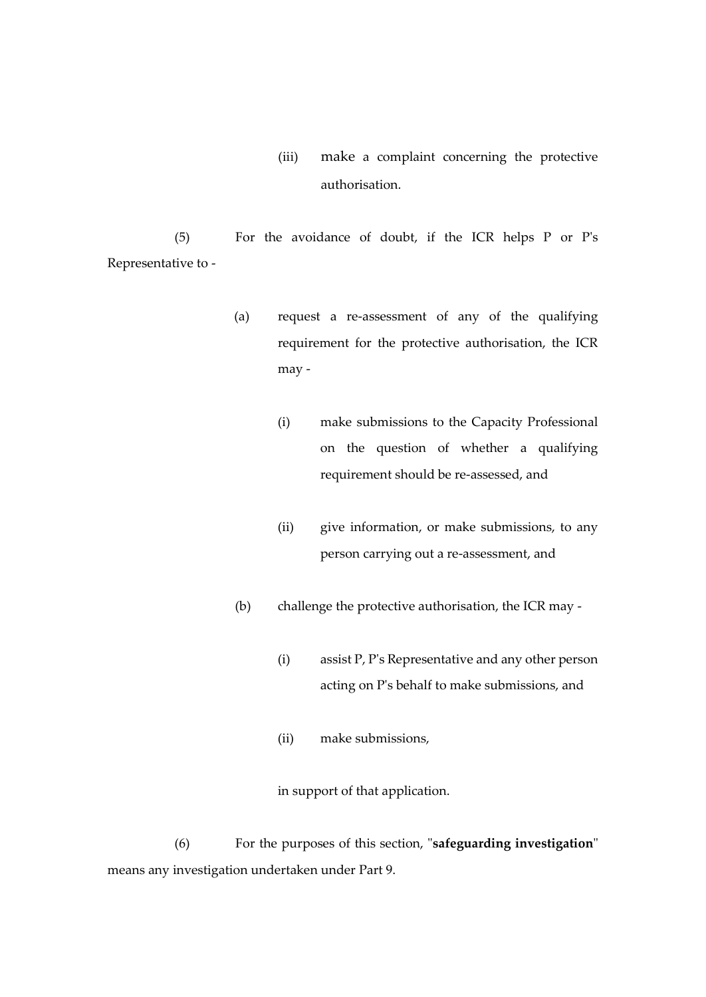(iii) make a complaint concerning the protective authorisation.

(5) For the avoidance of doubt, if the ICR helps P or P's Representative to -

- (a) request a re-assessment of any of the qualifying requirement for the protective authorisation, the ICR may -
	- (i) make submissions to the Capacity Professional on the question of whether a qualifying requirement should be re-assessed, and
	- (ii) give information, or make submissions, to any person carrying out a re-assessment, and
- (b) challenge the protective authorisation, the ICR may
	- (i) assist P, P's Representative and any other person acting on P's behalf to make submissions, and
	- (ii) make submissions,

in support of that application.

(6) For the purposes of this section, "**safeguarding investigation**" means any investigation undertaken under Part 9.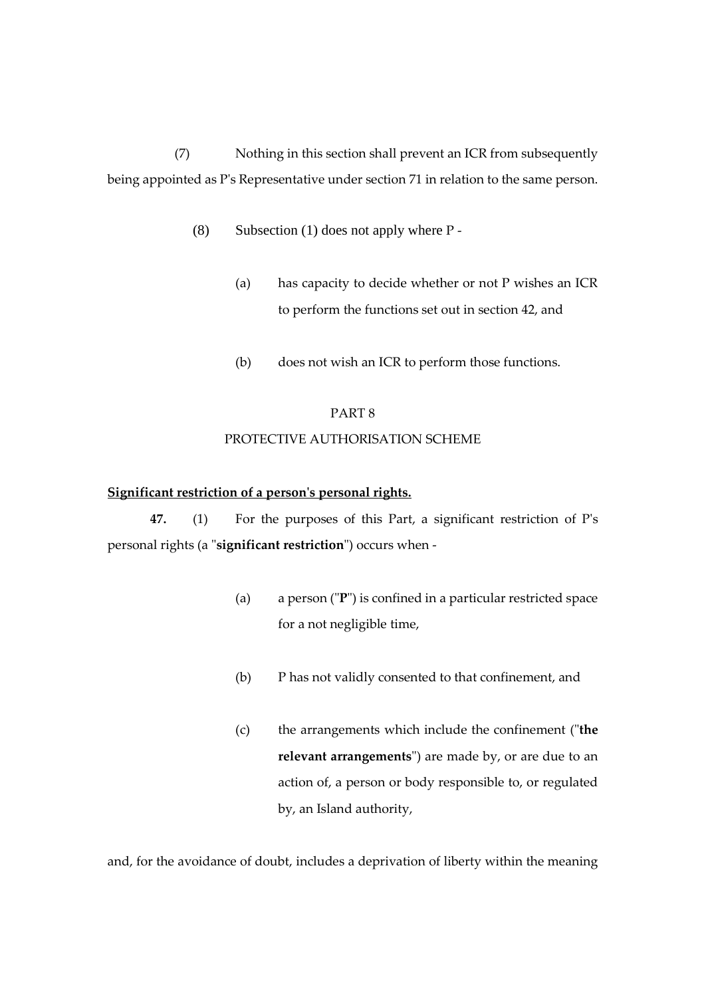(7) Nothing in this section shall prevent an ICR from subsequently being appointed as P's Representative under section 71 in relation to the same person.

- (8) Subsection (1) does not apply where  $P -$ 
	- (a) has capacity to decide whether or not P wishes an ICR to perform the functions set out in section 42, and
	- (b) does not wish an ICR to perform those functions.

### PART 8

# PROTECTIVE AUTHORISATION SCHEME

## **Significant restriction of a person's personal rights.**

**47.** (1) For the purposes of this Part, a significant restriction of P's personal rights (a "**significant restriction**") occurs when -

- (a) a person ("**P**") is confined in a particular restricted space for a not negligible time,
- (b) P has not validly consented to that confinement, and
- (c) the arrangements which include the confinement ("**the relevant arrangements**") are made by, or are due to an action of, a person or body responsible to, or regulated by, an Island authority,

and, for the avoidance of doubt, includes a deprivation of liberty within the meaning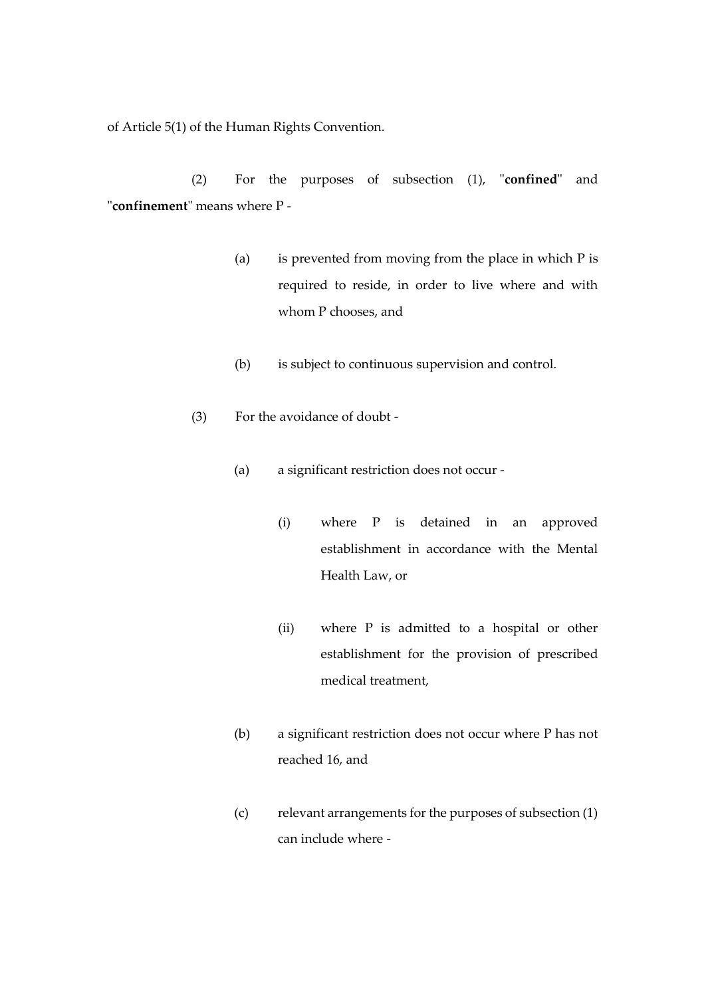of Article 5(1) of the Human Rights Convention.

(2) For the purposes of subsection (1), "**confined**" and "**confinement**" means where P -

- (a) is prevented from moving from the place in which P is required to reside, in order to live where and with whom P chooses, and
- (b) is subject to continuous supervision and control.
- (3) For the avoidance of doubt
	- (a) a significant restriction does not occur
		- (i) where P is detained in an approved establishment in accordance with the Mental Health Law, or
		- (ii) where P is admitted to a hospital or other establishment for the provision of prescribed medical treatment,
	- (b) a significant restriction does not occur where P has not reached 16, and
	- (c) relevant arrangements for the purposes of subsection (1) can include where -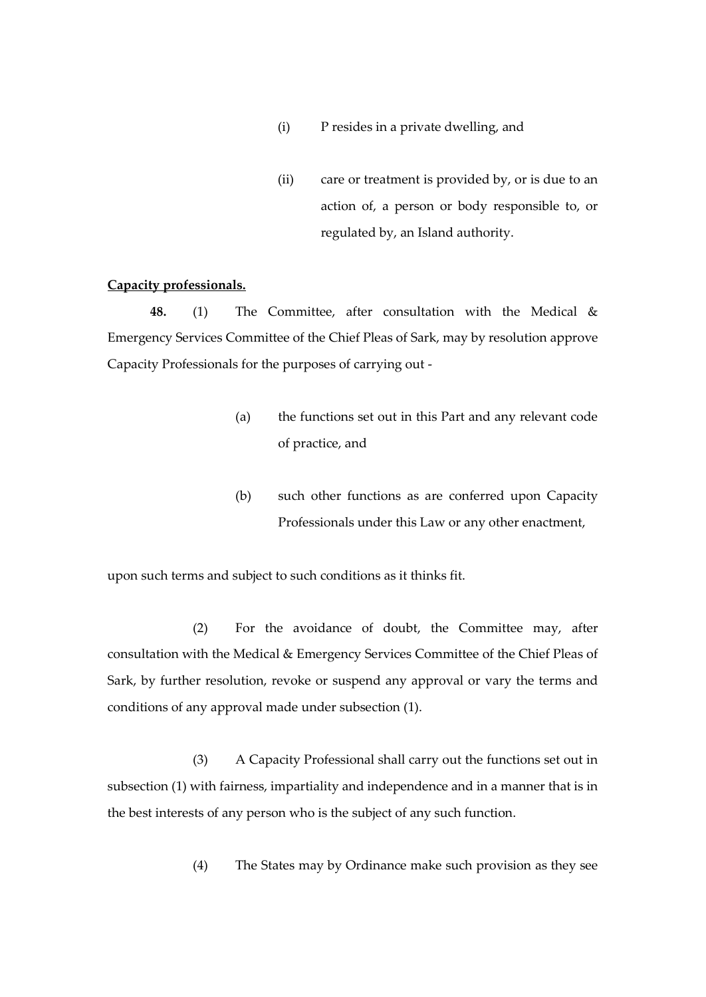- (i) P resides in a private dwelling, and
- (ii) care or treatment is provided by, or is due to an action of, a person or body responsible to, or regulated by, an Island authority.

# **Capacity professionals.**

**48.** (1) The Committee, after consultation with the Medical & Emergency Services Committee of the Chief Pleas of Sark, may by resolution approve Capacity Professionals for the purposes of carrying out -

- (a) the functions set out in this Part and any relevant code of practice, and
- (b) such other functions as are conferred upon Capacity Professionals under this Law or any other enactment,

upon such terms and subject to such conditions as it thinks fit.

(2) For the avoidance of doubt, the Committee may, after consultation with the Medical & Emergency Services Committee of the Chief Pleas of Sark, by further resolution, revoke or suspend any approval or vary the terms and conditions of any approval made under subsection (1).

(3) A Capacity Professional shall carry out the functions set out in subsection (1) with fairness, impartiality and independence and in a manner that is in the best interests of any person who is the subject of any such function.

(4) The States may by Ordinance make such provision as they see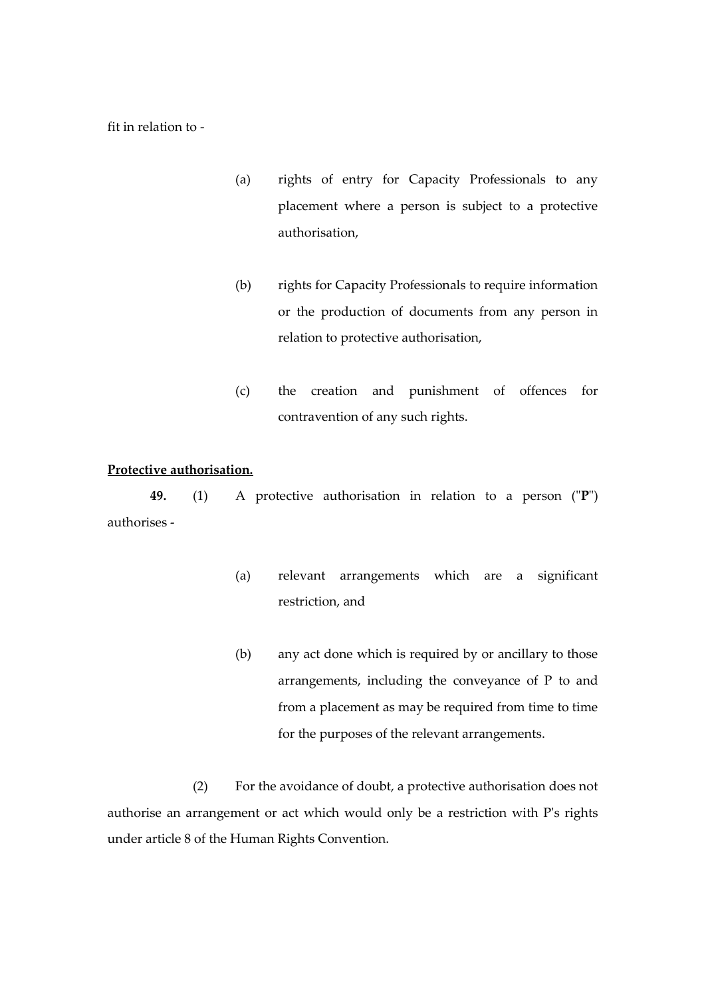fit in relation to -

- (a) rights of entry for Capacity Professionals to any placement where a person is subject to a protective authorisation,
- (b) rights for Capacity Professionals to require information or the production of documents from any person in relation to protective authorisation,
- (c) the creation and punishment of offences for contravention of any such rights.

### **Protective authorisation.**

**49.** (1) A protective authorisation in relation to a person ("**P**") authorises -

- (a) relevant arrangements which are a significant restriction, and
- (b) any act done which is required by or ancillary to those arrangements, including the conveyance of P to and from a placement as may be required from time to time for the purposes of the relevant arrangements.

(2) For the avoidance of doubt, a protective authorisation does not authorise an arrangement or act which would only be a restriction with P's rights under article 8 of the Human Rights Convention.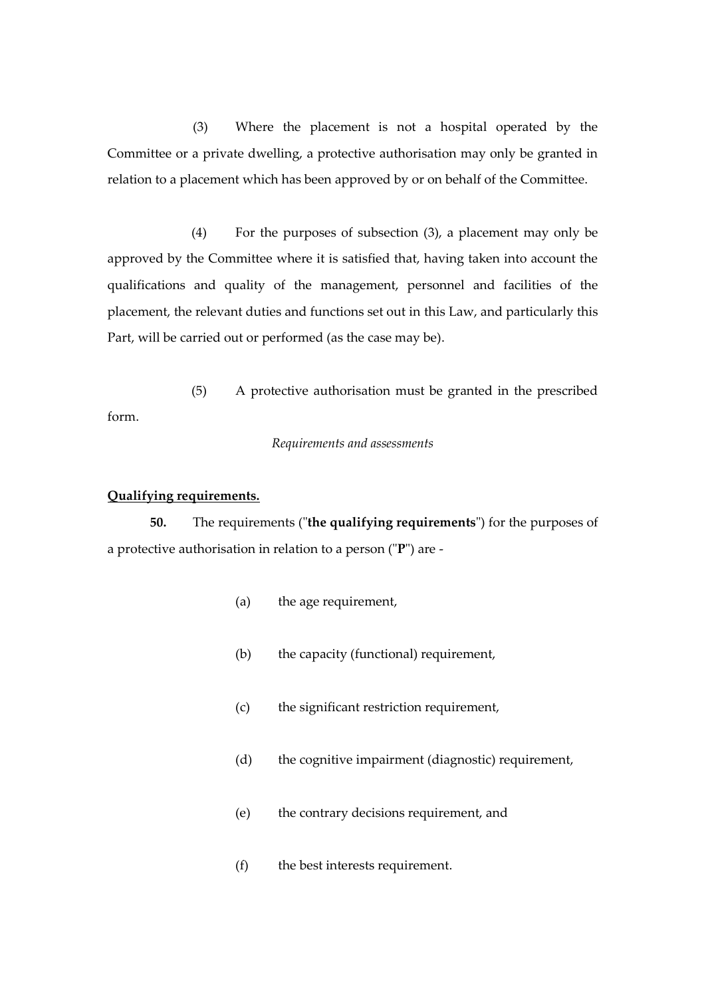(3) Where the placement is not a hospital operated by the Committee or a private dwelling, a protective authorisation may only be granted in relation to a placement which has been approved by or on behalf of the Committee.

(4) For the purposes of subsection (3), a placement may only be approved by the Committee where it is satisfied that, having taken into account the qualifications and quality of the management, personnel and facilities of the placement, the relevant duties and functions set out in this Law, and particularly this Part, will be carried out or performed (as the case may be).

(5) A protective authorisation must be granted in the prescribed form.

*Requirements and assessments*

### **Qualifying requirements.**

**50.** The requirements ("**the qualifying requirements**") for the purposes of a protective authorisation in relation to a person ("**P**") are -

- (a) the age requirement,
- (b) the capacity (functional) requirement,
- (c) the significant restriction requirement,
- (d) the cognitive impairment (diagnostic) requirement,
- (e) the contrary decisions requirement, and
- (f) the best interests requirement.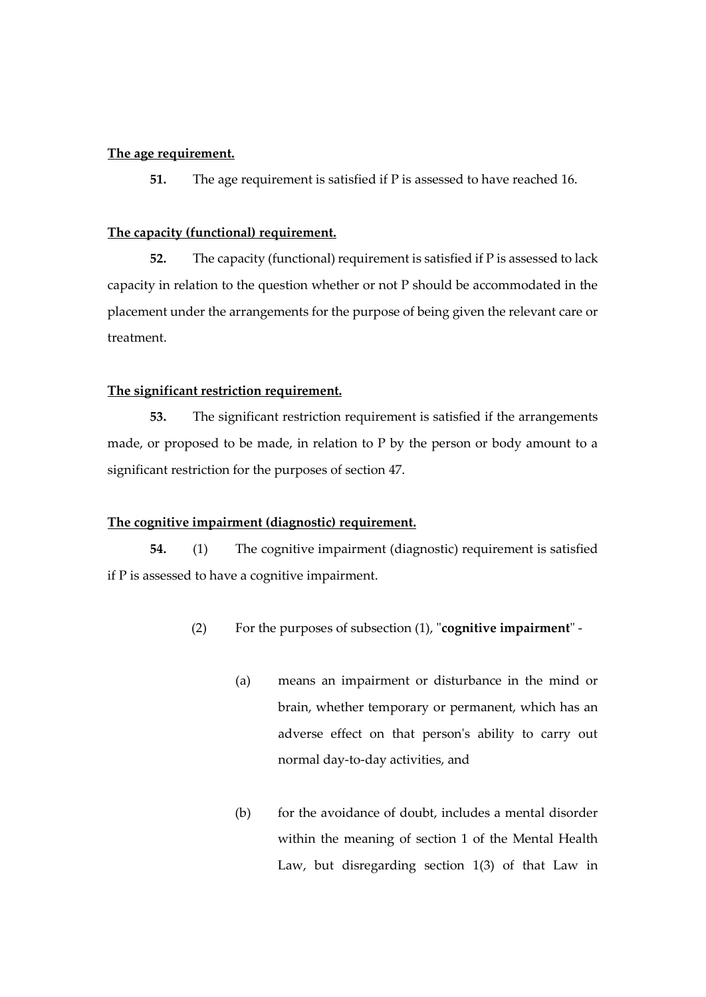# **The age requirement.**

**51.** The age requirement is satisfied if P is assessed to have reached 16.

### **The capacity (functional) requirement.**

**52.** The capacity (functional) requirement is satisfied if P is assessed to lack capacity in relation to the question whether or not P should be accommodated in the placement under the arrangements for the purpose of being given the relevant care or treatment.

### **The significant restriction requirement.**

**53.** The significant restriction requirement is satisfied if the arrangements made, or proposed to be made, in relation to P by the person or body amount to a significant restriction for the purposes of section 47.

#### **The cognitive impairment (diagnostic) requirement.**

**54.** (1) The cognitive impairment (diagnostic) requirement is satisfied if P is assessed to have a cognitive impairment.

- (2) For the purposes of subsection (1), "**cognitive impairment**"
	- (a) means an impairment or disturbance in the mind or brain, whether temporary or permanent, which has an adverse effect on that person's ability to carry out normal day-to-day activities, and
	- (b) for the avoidance of doubt, includes a mental disorder within the meaning of section 1 of the Mental Health Law, but disregarding section 1(3) of that Law in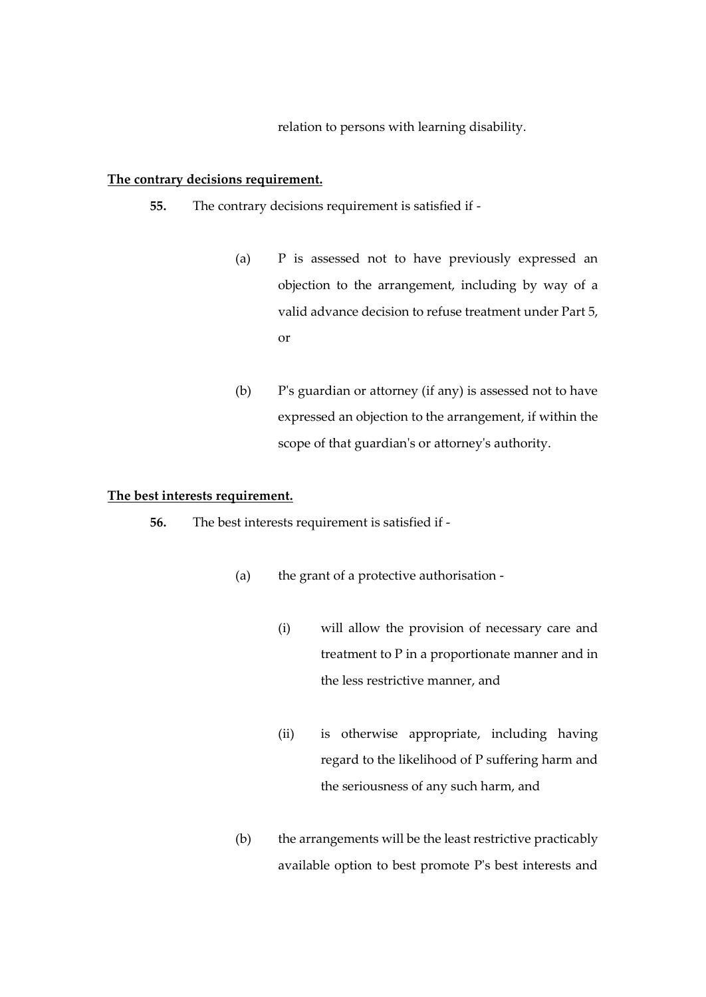relation to persons with learning disability.

# **The contrary decisions requirement.**

- **55.** The contrary decisions requirement is satisfied if
	- (a) P is assessed not to have previously expressed an objection to the arrangement, including by way of a valid advance decision to refuse treatment under Part 5, or
	- (b) P's guardian or attorney (if any) is assessed not to have expressed an objection to the arrangement, if within the scope of that guardian's or attorney's authority.

# **The best interests requirement.**

**56.** The best interests requirement is satisfied if -

- (a) the grant of a protective authorisation
	- (i) will allow the provision of necessary care and treatment to P in a proportionate manner and in the less restrictive manner, and
	- (ii) is otherwise appropriate, including having regard to the likelihood of P suffering harm and the seriousness of any such harm, and
- (b) the arrangements will be the least restrictive practicably available option to best promote P's best interests and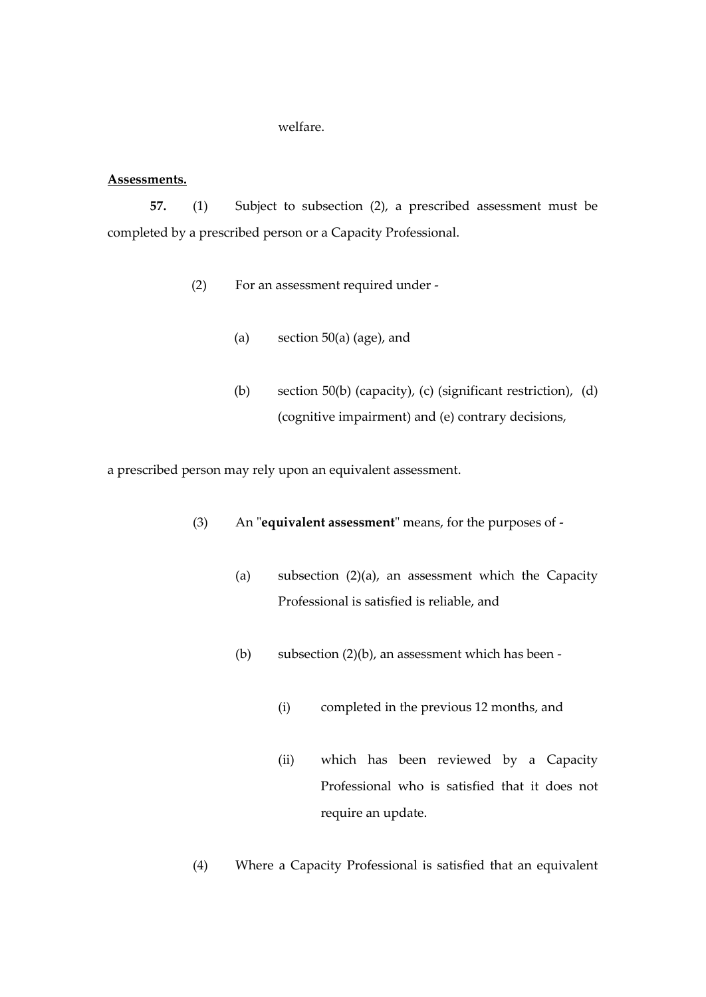### welfare.

### **Assessments.**

**57.** (1) Subject to subsection (2), a prescribed assessment must be completed by a prescribed person or a Capacity Professional.

- (2) For an assessment required under
	- (a) section  $50(a)$  (age), and
	- (b) section 50(b) (capacity), (c) (significant restriction), (d) (cognitive impairment) and (e) contrary decisions,

a prescribed person may rely upon an equivalent assessment.

- (3) An "**equivalent assessment**" means, for the purposes of
	- (a) subsection (2)(a), an assessment which the Capacity Professional is satisfied is reliable, and
	- (b) subsection  $(2)(b)$ , an assessment which has been -
		- (i) completed in the previous 12 months, and
		- (ii) which has been reviewed by a Capacity Professional who is satisfied that it does not require an update.
- (4) Where a Capacity Professional is satisfied that an equivalent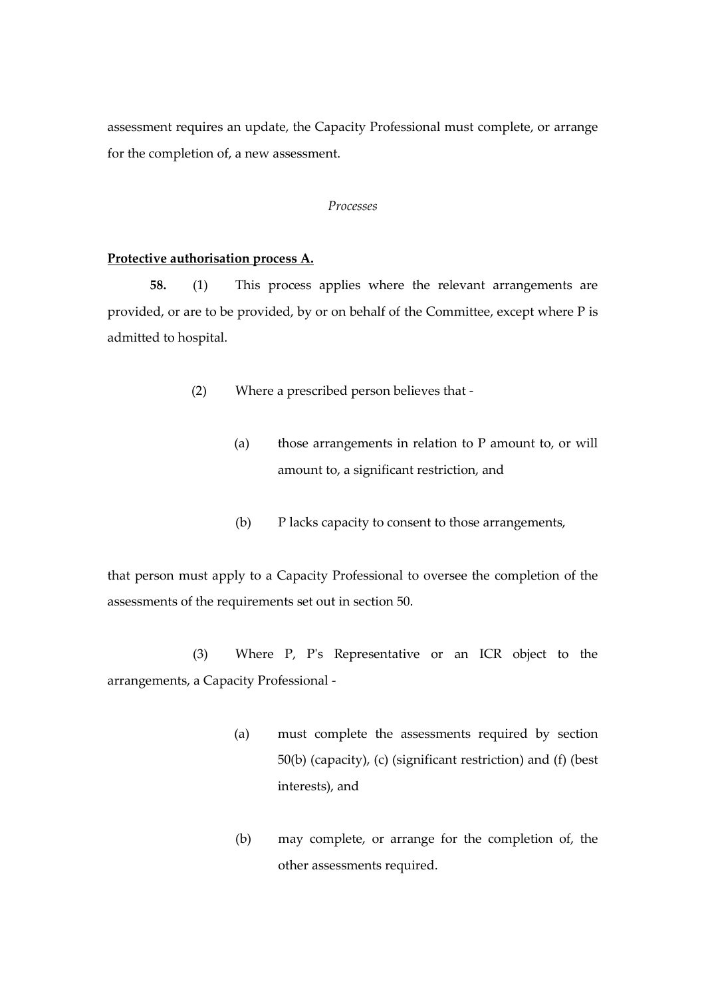assessment requires an update, the Capacity Professional must complete, or arrange for the completion of, a new assessment.

#### *Processes*

#### **Protective authorisation process A.**

**58.** (1) This process applies where the relevant arrangements are provided, or are to be provided, by or on behalf of the Committee, except where P is admitted to hospital.

- (2) Where a prescribed person believes that
	- (a) those arrangements in relation to P amount to, or will amount to, a significant restriction, and
	- (b) P lacks capacity to consent to those arrangements,

that person must apply to a Capacity Professional to oversee the completion of the assessments of the requirements set out in section 50.

(3) Where P, P's Representative or an ICR object to the arrangements, a Capacity Professional -

- (a) must complete the assessments required by section 50(b) (capacity), (c) (significant restriction) and (f) (best interests), and
- (b) may complete, or arrange for the completion of, the other assessments required.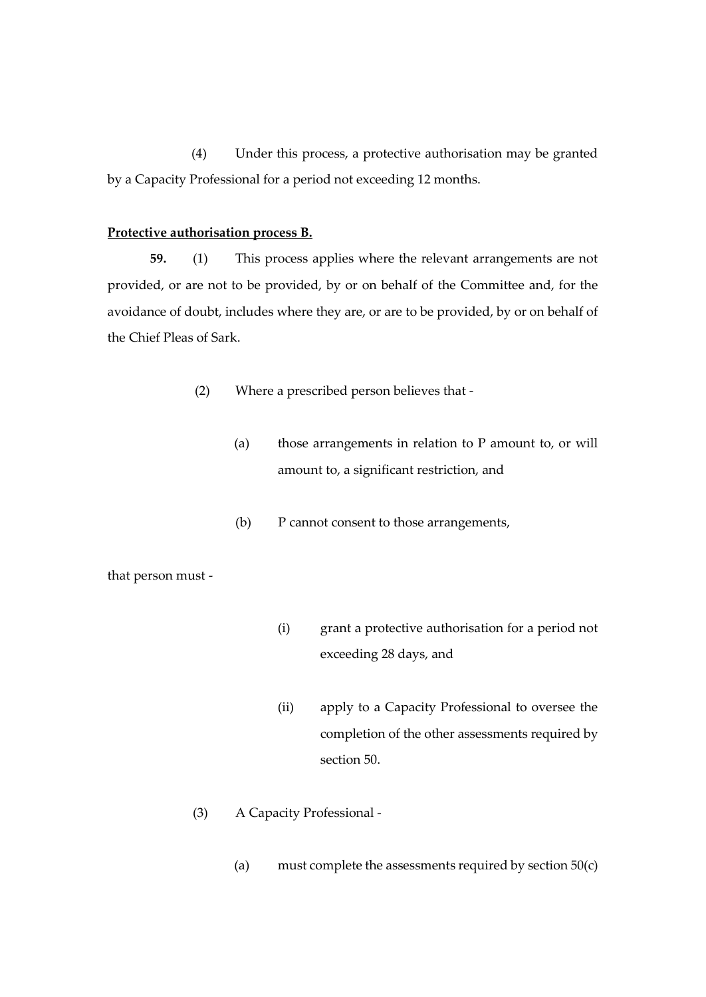(4) Under this process, a protective authorisation may be granted by a Capacity Professional for a period not exceeding 12 months.

# **Protective authorisation process B.**

**59.** (1) This process applies where the relevant arrangements are not provided, or are not to be provided, by or on behalf of the Committee and, for the avoidance of doubt, includes where they are, or are to be provided, by or on behalf of the Chief Pleas of Sark.

- (2) Where a prescribed person believes that
	- (a) those arrangements in relation to P amount to, or will amount to, a significant restriction, and
	- (b) P cannot consent to those arrangements,

that person must -

- (i) grant a protective authorisation for a period not exceeding 28 days, and
- (ii) apply to a Capacity Professional to oversee the completion of the other assessments required by section 50.
- (3) A Capacity Professional
	- (a) must complete the assessments required by section  $50(c)$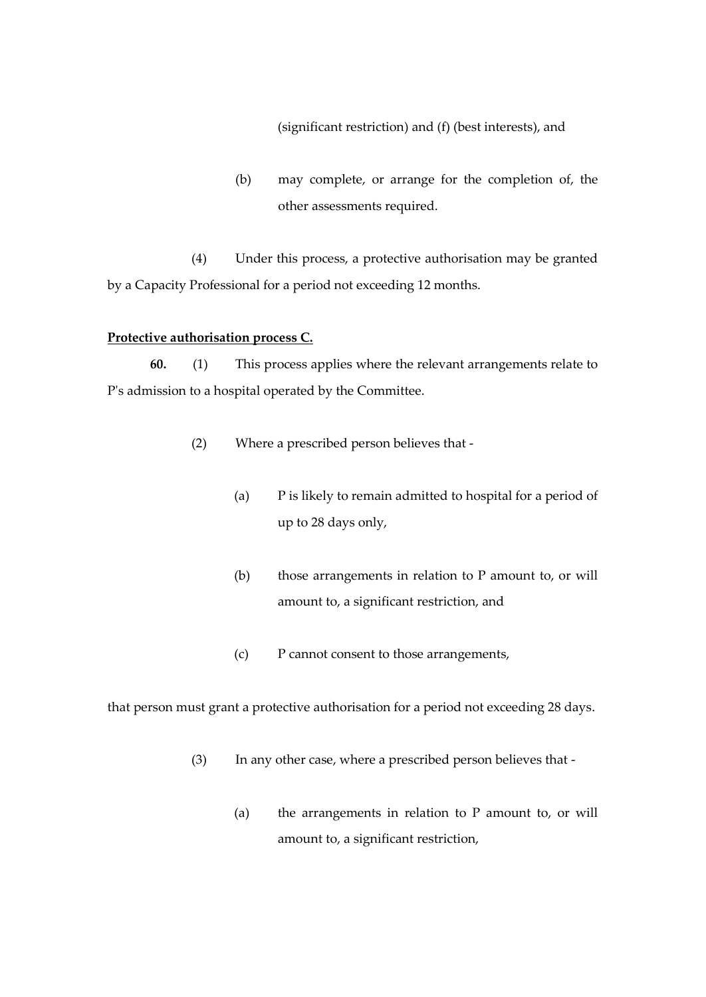(significant restriction) and (f) (best interests), and

(b) may complete, or arrange for the completion of, the other assessments required.

(4) Under this process, a protective authorisation may be granted by a Capacity Professional for a period not exceeding 12 months.

## **Protective authorisation process C.**

**60.** (1) This process applies where the relevant arrangements relate to P's admission to a hospital operated by the Committee.

- (2) Where a prescribed person believes that
	- (a) P is likely to remain admitted to hospital for a period of up to 28 days only,
	- (b) those arrangements in relation to P amount to, or will amount to, a significant restriction, and
	- (c) P cannot consent to those arrangements,

that person must grant a protective authorisation for a period not exceeding 28 days.

- (3) In any other case, where a prescribed person believes that
	- (a) the arrangements in relation to P amount to, or will amount to, a significant restriction,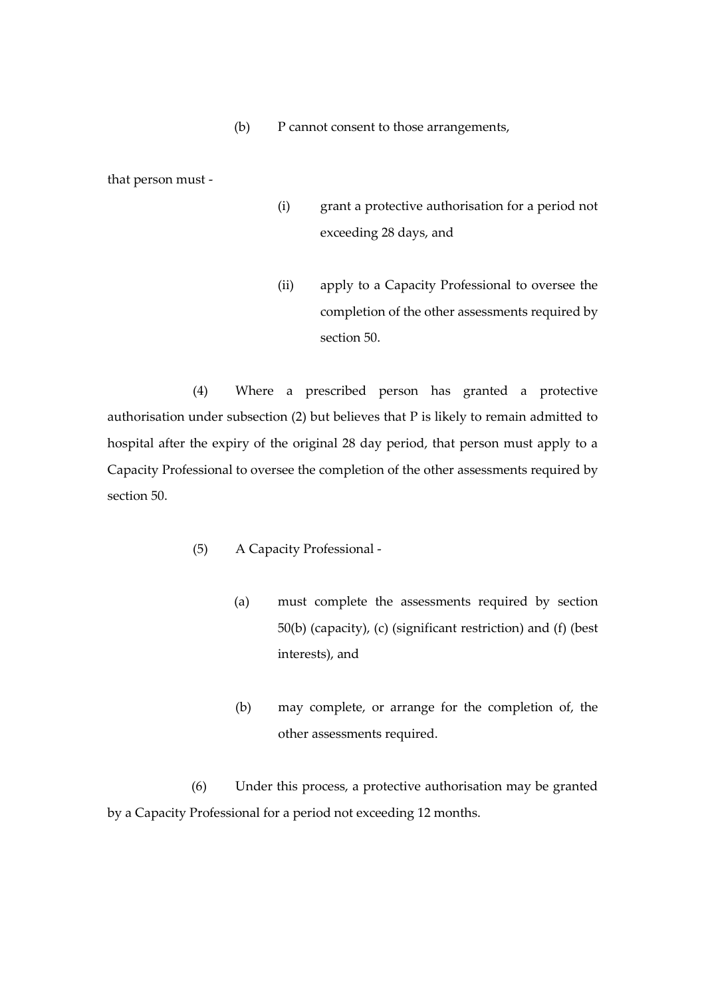(b) P cannot consent to those arrangements,

that person must -

- (i) grant a protective authorisation for a period not exceeding 28 days, and
- (ii) apply to a Capacity Professional to oversee the completion of the other assessments required by section 50.

(4) Where a prescribed person has granted a protective authorisation under subsection (2) but believes that P is likely to remain admitted to hospital after the expiry of the original 28 day period, that person must apply to a Capacity Professional to oversee the completion of the other assessments required by section 50.

- (5) A Capacity Professional
	- (a) must complete the assessments required by section 50(b) (capacity), (c) (significant restriction) and (f) (best interests), and
	- (b) may complete, or arrange for the completion of, the other assessments required.

(6) Under this process, a protective authorisation may be granted by a Capacity Professional for a period not exceeding 12 months.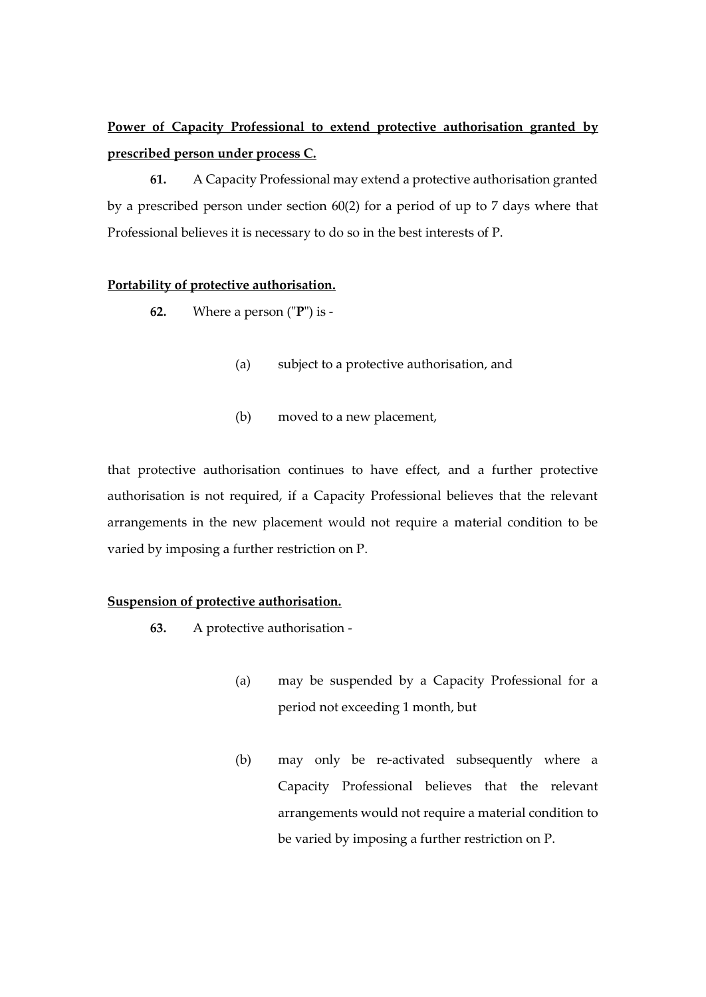# **Power of Capacity Professional to extend protective authorisation granted by prescribed person under process C.**

**61.** A Capacity Professional may extend a protective authorisation granted by a prescribed person under section 60(2) for a period of up to 7 days where that Professional believes it is necessary to do so in the best interests of P.

# **Portability of protective authorisation.**

- **62.** Where a person ("**P**") is
	- (a) subject to a protective authorisation, and
	- (b) moved to a new placement,

that protective authorisation continues to have effect, and a further protective authorisation is not required, if a Capacity Professional believes that the relevant arrangements in the new placement would not require a material condition to be varied by imposing a further restriction on P.

# **Suspension of protective authorisation.**

- **63.** A protective authorisation
	- (a) may be suspended by a Capacity Professional for a period not exceeding 1 month, but
	- (b) may only be re-activated subsequently where a Capacity Professional believes that the relevant arrangements would not require a material condition to be varied by imposing a further restriction on P.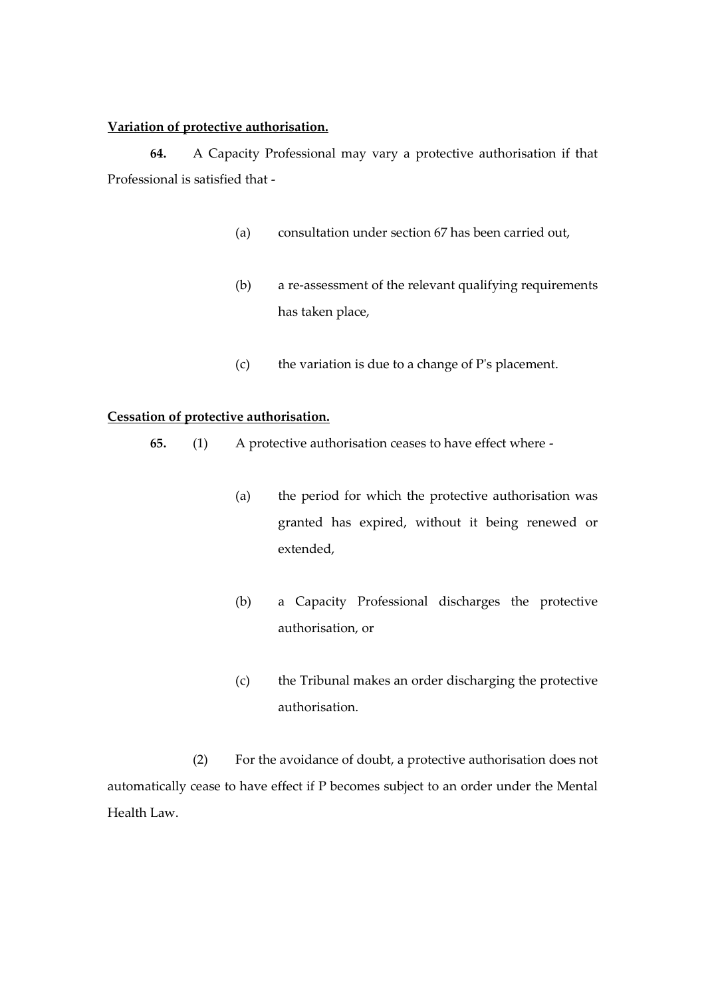# **Variation of protective authorisation.**

**64.** A Capacity Professional may vary a protective authorisation if that Professional is satisfied that -

- (a) consultation under section 67 has been carried out,
- (b) a re-assessment of the relevant qualifying requirements has taken place,
- (c) the variation is due to a change of P's placement.

# **Cessation of protective authorisation.**

- **65.** (1) A protective authorisation ceases to have effect where
	- (a) the period for which the protective authorisation was granted has expired, without it being renewed or extended,
	- (b) a Capacity Professional discharges the protective authorisation, or
	- (c) the Tribunal makes an order discharging the protective authorisation.

(2) For the avoidance of doubt, a protective authorisation does not automatically cease to have effect if P becomes subject to an order under the Mental Health Law.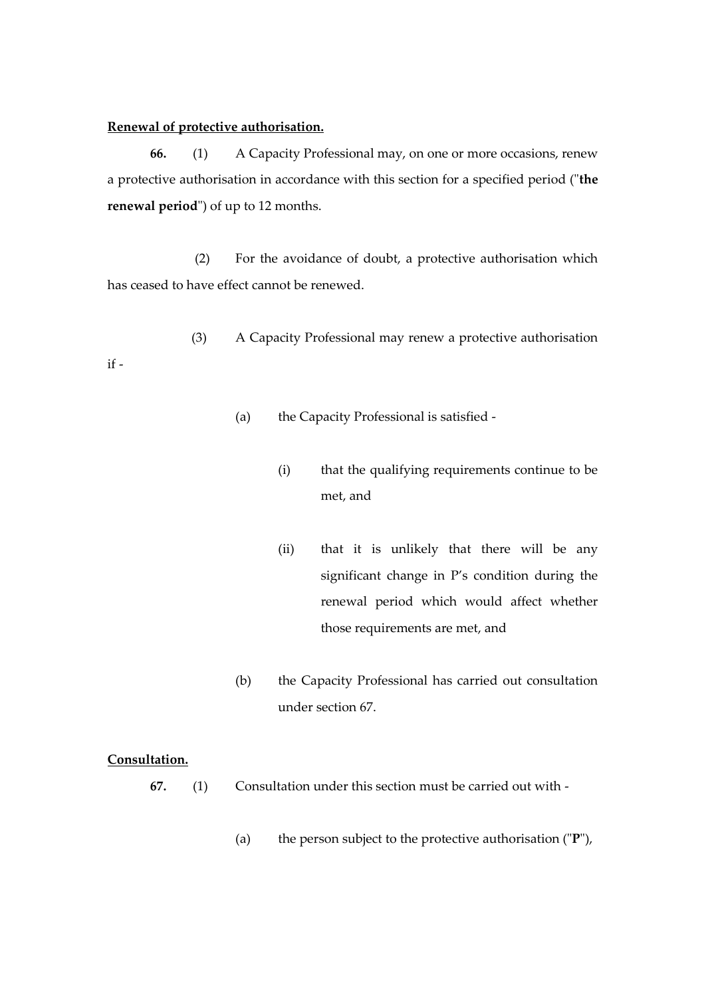### **Renewal of protective authorisation.**

**66.** (1) A Capacity Professional may, on one or more occasions, renew a protective authorisation in accordance with this section for a specified period ("**the renewal period**") of up to 12 months.

(2) For the avoidance of doubt, a protective authorisation which has ceased to have effect cannot be renewed.

(3) A Capacity Professional may renew a protective authorisation if -

- (a) the Capacity Professional is satisfied
	- (i) that the qualifying requirements continue to be met, and
	- (ii) that it is unlikely that there will be any significant change in P's condition during the renewal period which would affect whether those requirements are met, and
- (b) the Capacity Professional has carried out consultation under section 67.

# **Consultation.**

- **67.** (1) Consultation under this section must be carried out with
	- (a) the person subject to the protective authorisation ("**P**"),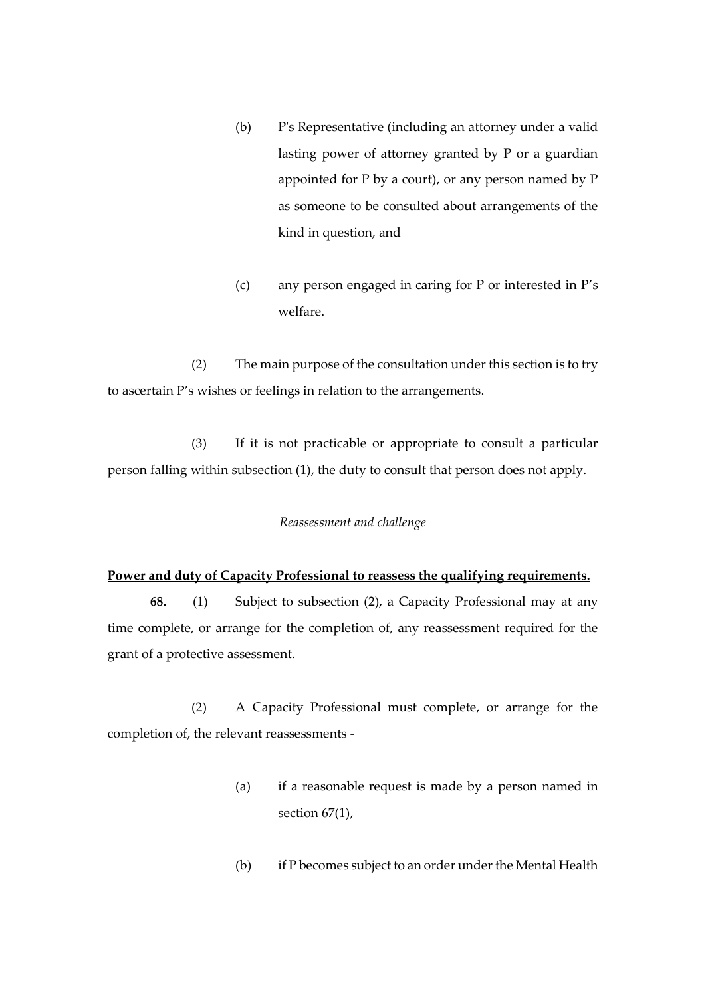- (b) P's Representative (including an attorney under a valid lasting power of attorney granted by P or a guardian appointed for P by a court), or any person named by P as someone to be consulted about arrangements of the kind in question, and
- (c) any person engaged in caring for P or interested in P's welfare.

(2) The main purpose of the consultation under this section is to try to ascertain P's wishes or feelings in relation to the arrangements.

(3) If it is not practicable or appropriate to consult a particular person falling within subsection (1), the duty to consult that person does not apply.

#### *Reassessment and challenge*

### **Power and duty of Capacity Professional to reassess the qualifying requirements.**

**68.** (1) Subject to subsection (2), a Capacity Professional may at any time complete, or arrange for the completion of, any reassessment required for the grant of a protective assessment.

(2) A Capacity Professional must complete, or arrange for the completion of, the relevant reassessments -

- (a) if a reasonable request is made by a person named in section 67(1),
- (b) if P becomes subject to an order under the Mental Health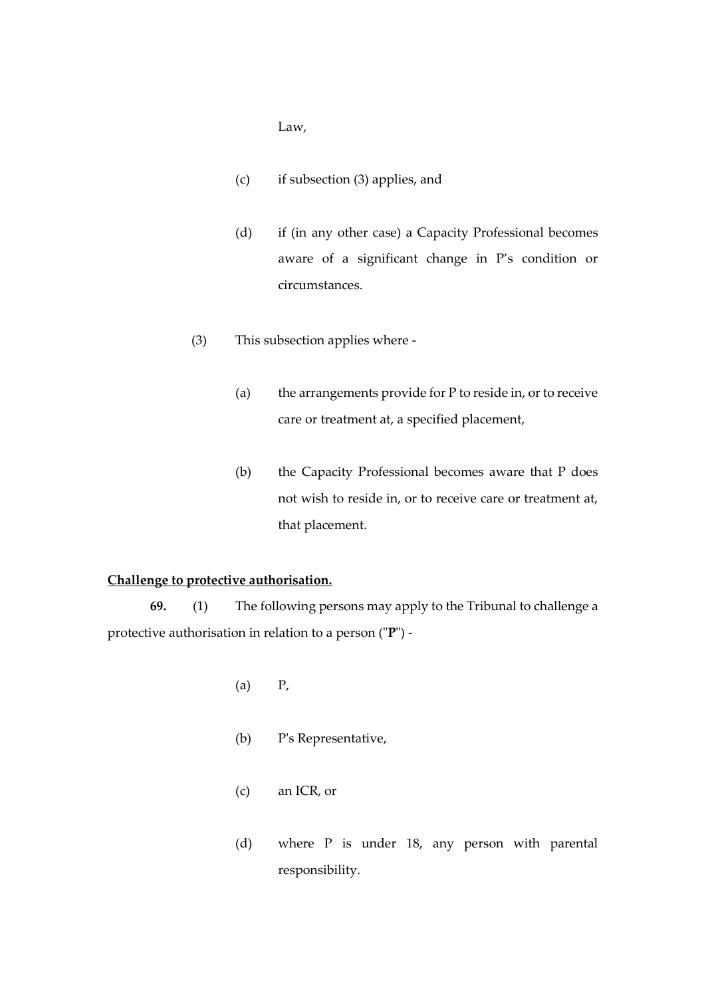Law,

- (c) if subsection (3) applies, and
- (d) if (in any other case) a Capacity Professional becomes aware of a significant change in P's condition or circumstances.
- (3) This subsection applies where
	- (a) the arrangements provide for P to reside in, or to receive care or treatment at, a specified placement,
	- (b) the Capacity Professional becomes aware that P does not wish to reside in, or to receive care or treatment at, that placement.

# **Challenge to protective authorisation.**

**69.** (1) The following persons may apply to the Tribunal to challenge a protective authorisation in relation to a person ("**P**") -

- (a) P,
- (b) P's Representative,
- (c) an ICR, or
- (d) where P is under 18, any person with parental responsibility.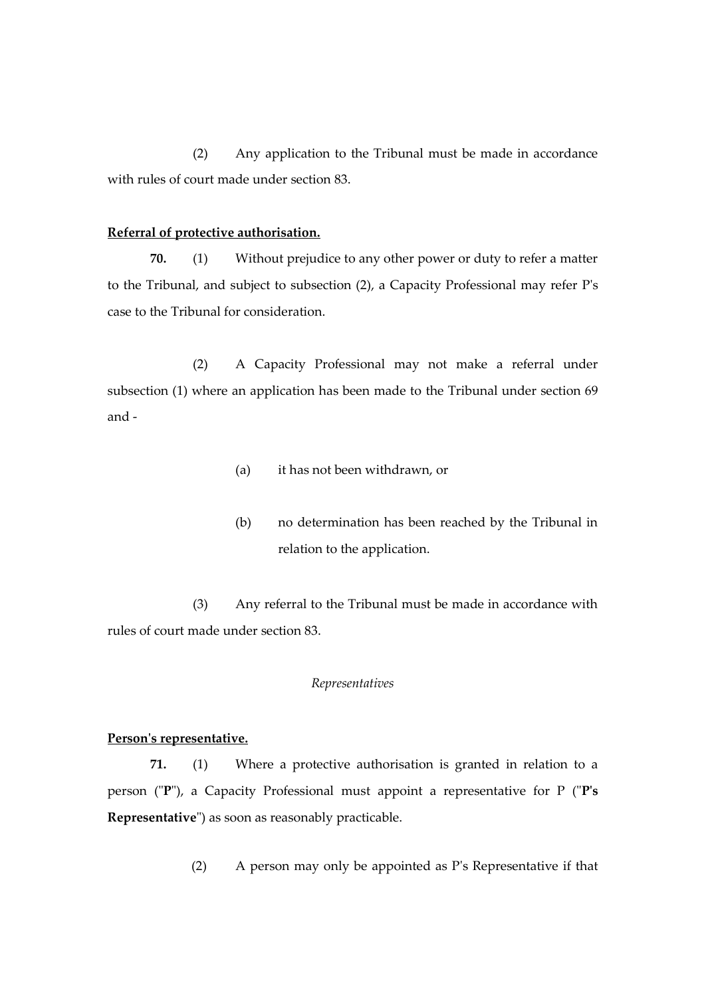(2) Any application to the Tribunal must be made in accordance with rules of court made under section 83.

# **Referral of protective authorisation.**

**70.** (1) Without prejudice to any other power or duty to refer a matter to the Tribunal, and subject to subsection (2), a Capacity Professional may refer P's case to the Tribunal for consideration.

(2) A Capacity Professional may not make a referral under subsection (1) where an application has been made to the Tribunal under section 69 and -

- (a) it has not been withdrawn, or
- (b) no determination has been reached by the Tribunal in relation to the application.

(3) Any referral to the Tribunal must be made in accordance with rules of court made under section 83.

### *Representatives*

#### **Person's representative.**

**71.** (1) Where a protective authorisation is granted in relation to a person ("**P**"), a Capacity Professional must appoint a representative for P ("**P's Representative**") as soon as reasonably practicable.

(2) A person may only be appointed as P's Representative if that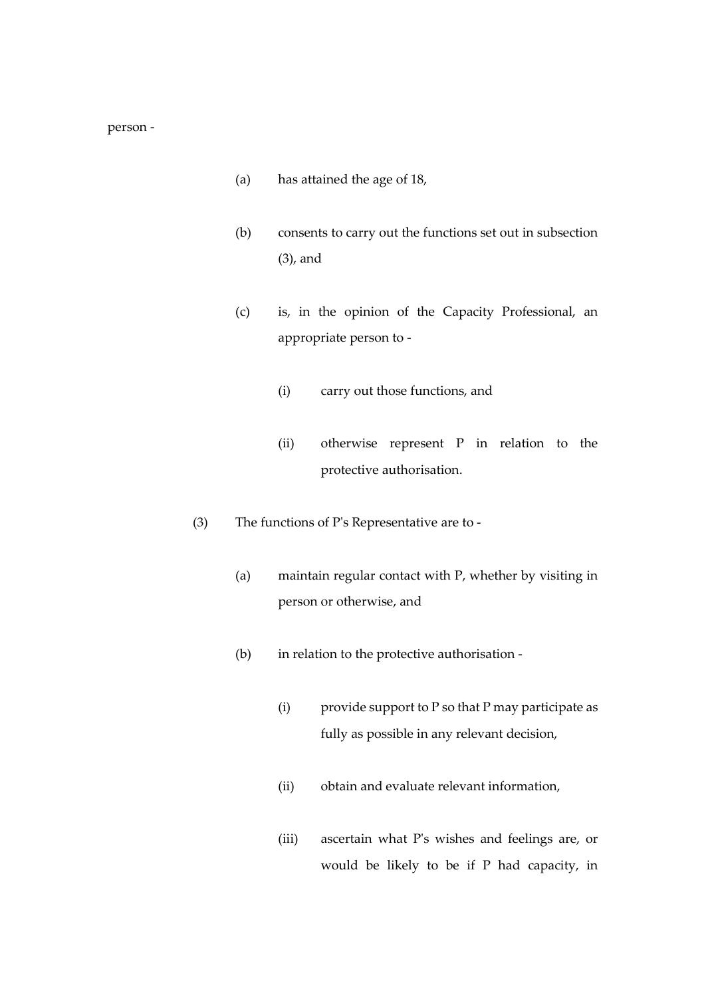#### person -

- (a) has attained the age of 18,
- (b) consents to carry out the functions set out in subsection (3), and
- (c) is, in the opinion of the Capacity Professional, an appropriate person to -
	- (i) carry out those functions, and
	- (ii) otherwise represent P in relation to the protective authorisation.
- (3) The functions of P's Representative are to
	- (a) maintain regular contact with P, whether by visiting in person or otherwise, and
	- (b) in relation to the protective authorisation
		- (i) provide support to P so that P may participate as fully as possible in any relevant decision,
		- (ii) obtain and evaluate relevant information,
		- (iii) ascertain what P's wishes and feelings are, or would be likely to be if P had capacity, in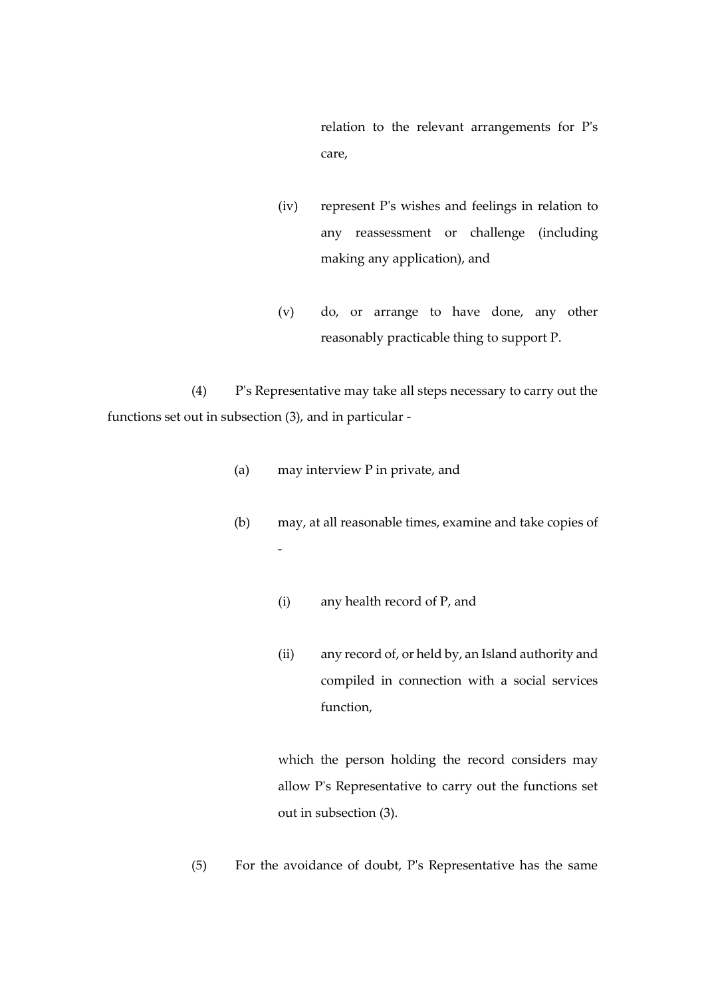relation to the relevant arrangements for P's care,

- (iv) represent P's wishes and feelings in relation to any reassessment or challenge (including making any application), and
- (v) do, or arrange to have done, any other reasonably practicable thing to support P.

(4) P's Representative may take all steps necessary to carry out the functions set out in subsection (3), and in particular -

(a) may interview P in private, and

-

- (b) may, at all reasonable times, examine and take copies of
	- (i) any health record of P, and
	- (ii) any record of, or held by, an Island authority and compiled in connection with a social services function,

which the person holding the record considers may allow P's Representative to carry out the functions set out in subsection (3).

(5) For the avoidance of doubt, P's Representative has the same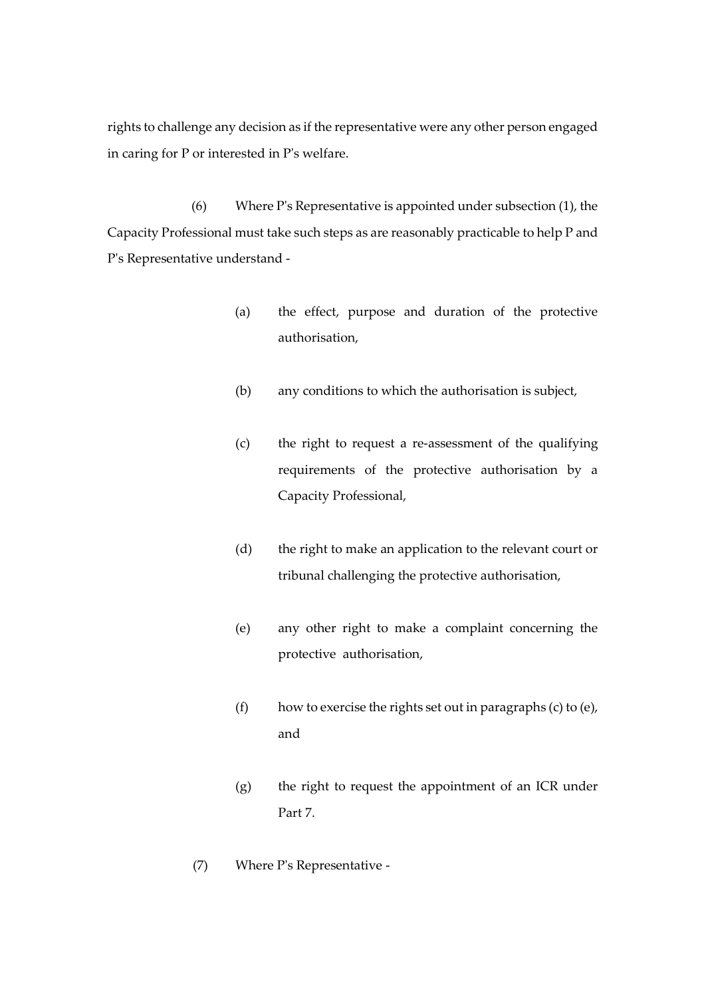rights to challenge any decision as if the representative were any other person engaged in caring for P or interested in P's welfare.

(6) Where P's Representative is appointed under subsection (1), the Capacity Professional must take such steps as are reasonably practicable to help P and P's Representative understand -

- (a) the effect, purpose and duration of the protective authorisation,
- (b) any conditions to which the authorisation is subject,
- (c) the right to request a re-assessment of the qualifying requirements of the protective authorisation by a Capacity Professional,
- (d) the right to make an application to the relevant court or tribunal challenging the protective authorisation,
- (e) any other right to make a complaint concerning the protective authorisation,
- (f) how to exercise the rights set out in paragraphs (c) to (e), and
- (g) the right to request the appointment of an ICR under Part 7.
- (7) Where P's Representative -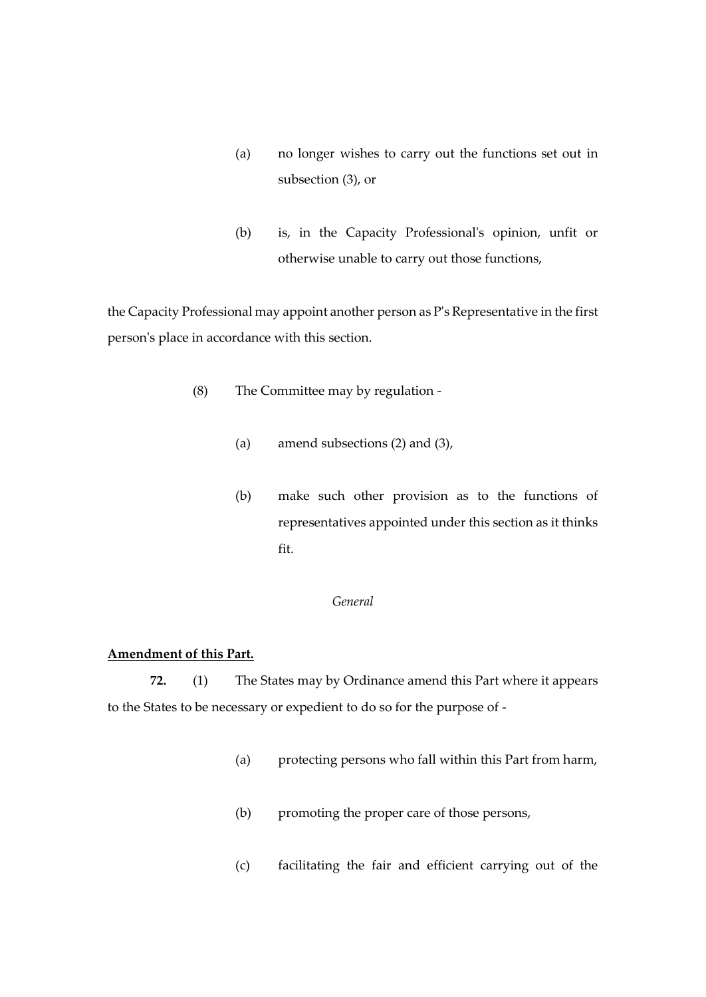- (a) no longer wishes to carry out the functions set out in subsection (3), or
- (b) is, in the Capacity Professional's opinion, unfit or otherwise unable to carry out those functions,

the Capacity Professional may appoint another person as P's Representative in the first person's place in accordance with this section.

- (8) The Committee may by regulation
	- (a) amend subsections (2) and (3),
	- (b) make such other provision as to the functions of representatives appointed under this section as it thinks fit.

### *General*

# **Amendment of this Part.**

**72.** (1) The States may by Ordinance amend this Part where it appears to the States to be necessary or expedient to do so for the purpose of -

- (a) protecting persons who fall within this Part from harm,
- (b) promoting the proper care of those persons,
- (c) facilitating the fair and efficient carrying out of the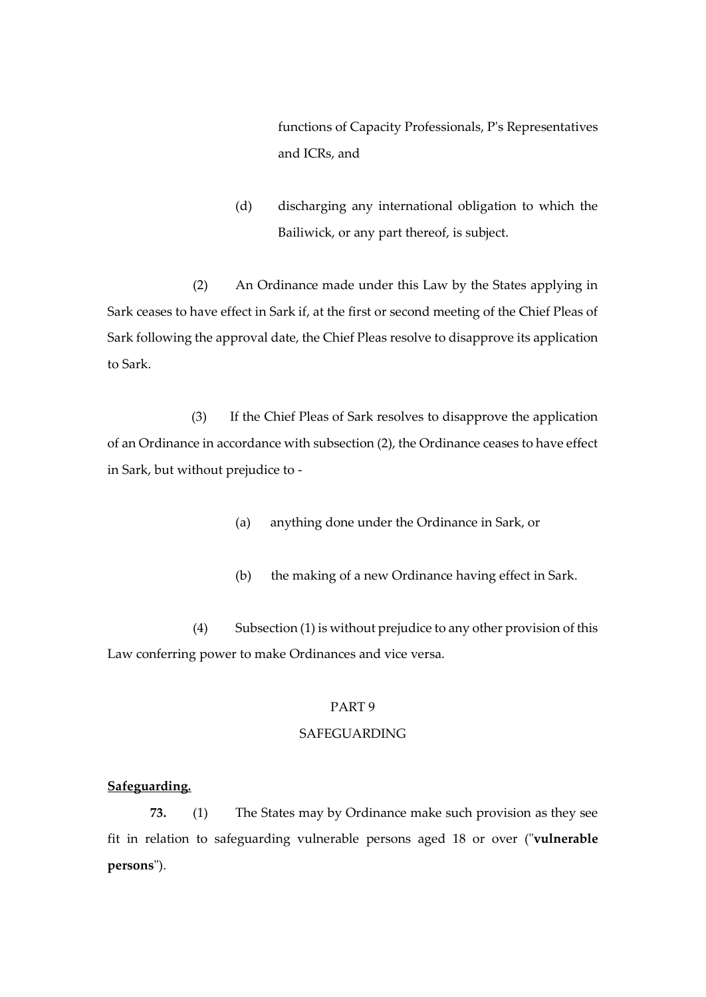functions of Capacity Professionals, P's Representatives and ICRs, and

(d) discharging any international obligation to which the Bailiwick, or any part thereof, is subject.

(2) An Ordinance made under this Law by the States applying in Sark ceases to have effect in Sark if, at the first or second meeting of the Chief Pleas of Sark following the approval date, the Chief Pleas resolve to disapprove its application to Sark.

(3) If the Chief Pleas of Sark resolves to disapprove the application of an Ordinance in accordance with subsection (2), the Ordinance ceases to have effect in Sark, but without prejudice to -

- (a) anything done under the Ordinance in Sark, or
- (b) the making of a new Ordinance having effect in Sark.

(4) Subsection (1) is without prejudice to any other provision of this Law conferring power to make Ordinances and vice versa.

# PART 9

# SAFEGUARDING

# **Safeguarding.**

**73.** (1) The States may by Ordinance make such provision as they see fit in relation to safeguarding vulnerable persons aged 18 or over ("**vulnerable persons**").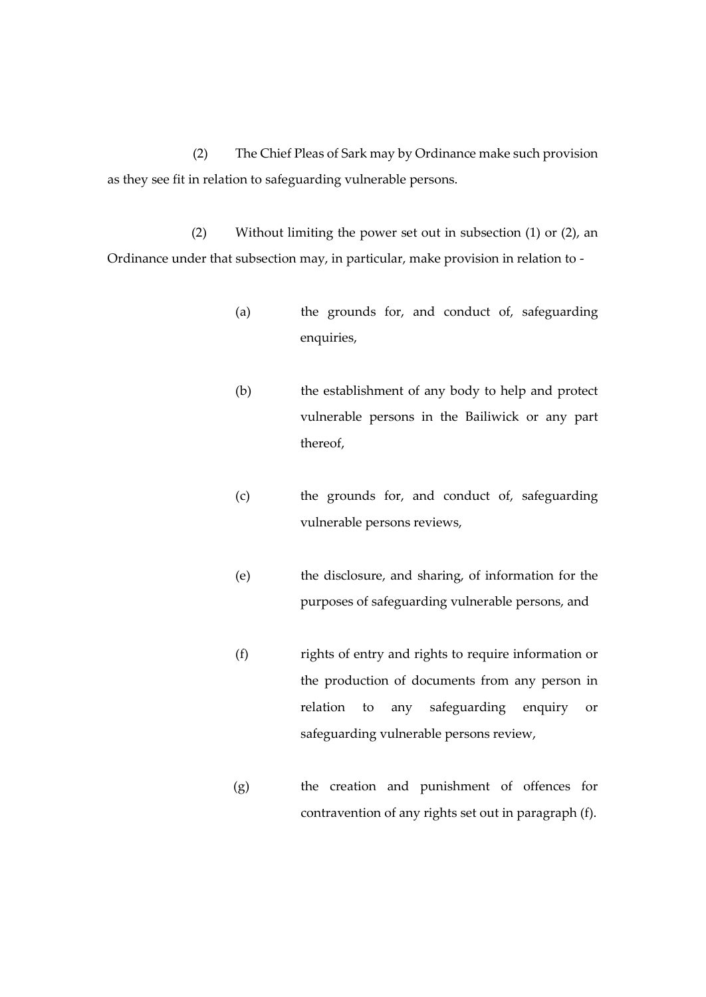(2) The Chief Pleas of Sark may by Ordinance make such provision as they see fit in relation to safeguarding vulnerable persons.

(2) Without limiting the power set out in subsection (1) or (2), an Ordinance under that subsection may, in particular, make provision in relation to -

- (a) the grounds for, and conduct of, safeguarding enquiries,
- (b) the establishment of any body to help and protect vulnerable persons in the Bailiwick or any part thereof,
- (c) the grounds for, and conduct of, safeguarding vulnerable persons reviews,
- (e) the disclosure, and sharing, of information for the purposes of safeguarding vulnerable persons, and
- (f) rights of entry and rights to require information or the production of documents from any person in relation to any safeguarding enquiry or safeguarding vulnerable persons review,
- (g) the creation and punishment of offences for contravention of any rights set out in paragraph (f).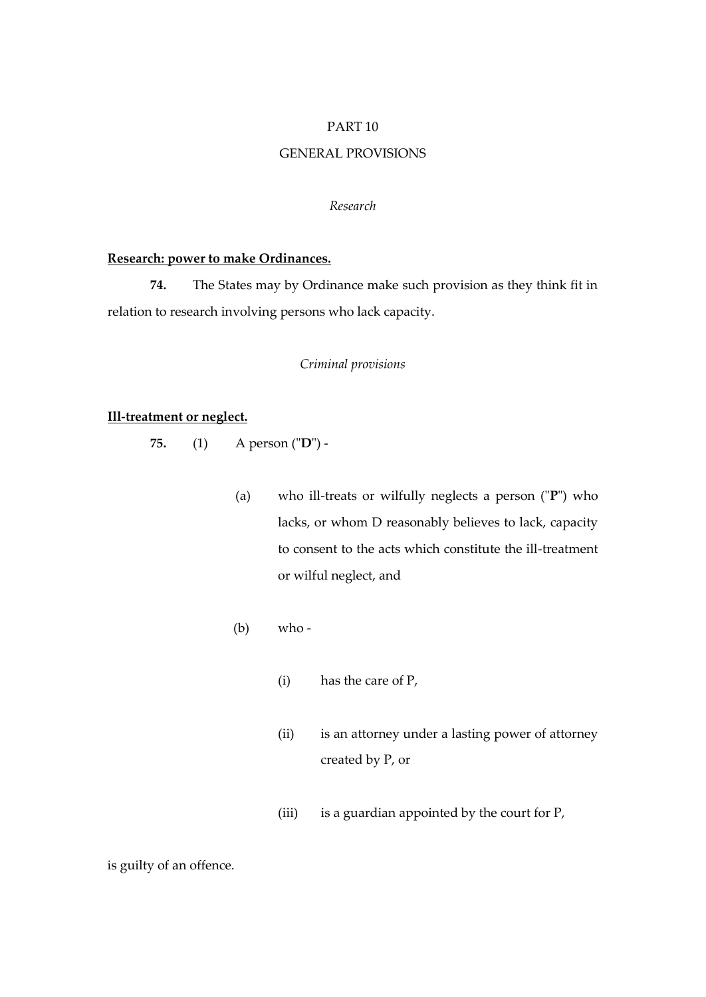### PART 10

# GENERAL PROVISIONS

#### *Research*

### **Research: power to make Ordinances.**

**74.** The States may by Ordinance make such provision as they think fit in relation to research involving persons who lack capacity.

### *Criminal provisions*

# **Ill-treatment or neglect.**

- **75.** (1) A person ("**D**")
	- (a) who ill-treats or wilfully neglects a person ("**P**") who lacks, or whom D reasonably believes to lack, capacity to consent to the acts which constitute the ill-treatment or wilful neglect, and
	- (b) who
		- (i) has the care of P,
		- (ii) is an attorney under a lasting power of attorney created by P, or
		- (iii) is a guardian appointed by the court for P,

is guilty of an offence.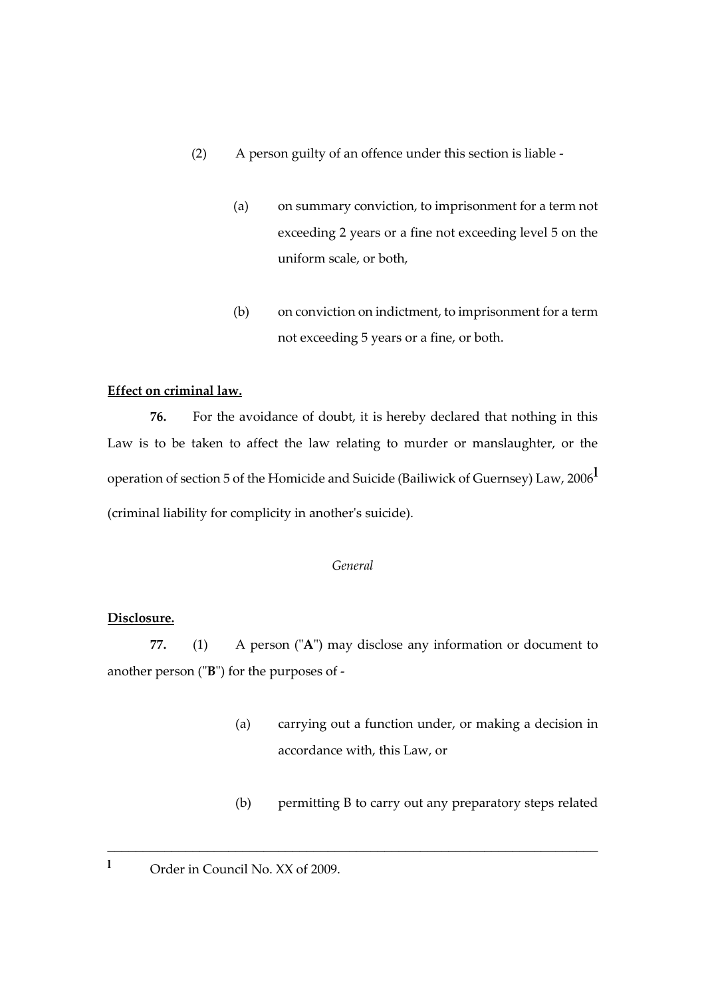- (2) A person guilty of an offence under this section is liable
	- (a) on summary conviction, to imprisonment for a term not exceeding 2 years or a fine not exceeding level 5 on the uniform scale, or both,
	- (b) on conviction on indictment, to imprisonment for a term not exceeding 5 years or a fine, or both.

# **Effect on criminal law.**

**76.** For the avoidance of doubt, it is hereby declared that nothing in this Law is to be taken to affect the law relating to murder or manslaughter, or the operation of section 5 of the Homicide and Suicide (Bailiwick of Guernsey) Law, 2006**<sup>l</sup>** (criminal liability for complicity in another's suicide).

# *General*

# **Disclosure.**

**77.** (1) A person ("**A**") may disclose any information or document to another person ("**B**") for the purposes of -

\_\_\_\_\_\_\_\_\_\_\_\_\_\_\_\_\_\_\_\_\_\_\_\_\_\_\_\_\_\_\_\_\_\_\_\_\_\_\_\_\_\_\_\_\_\_\_\_\_\_\_\_\_\_\_\_\_\_\_\_\_\_\_\_\_\_\_\_\_

- (a) carrying out a function under, or making a decision in accordance with, this Law, or
- (b) permitting B to carry out any preparatory steps related
- <sup>1</sup> Order in Council No. XX of 2009.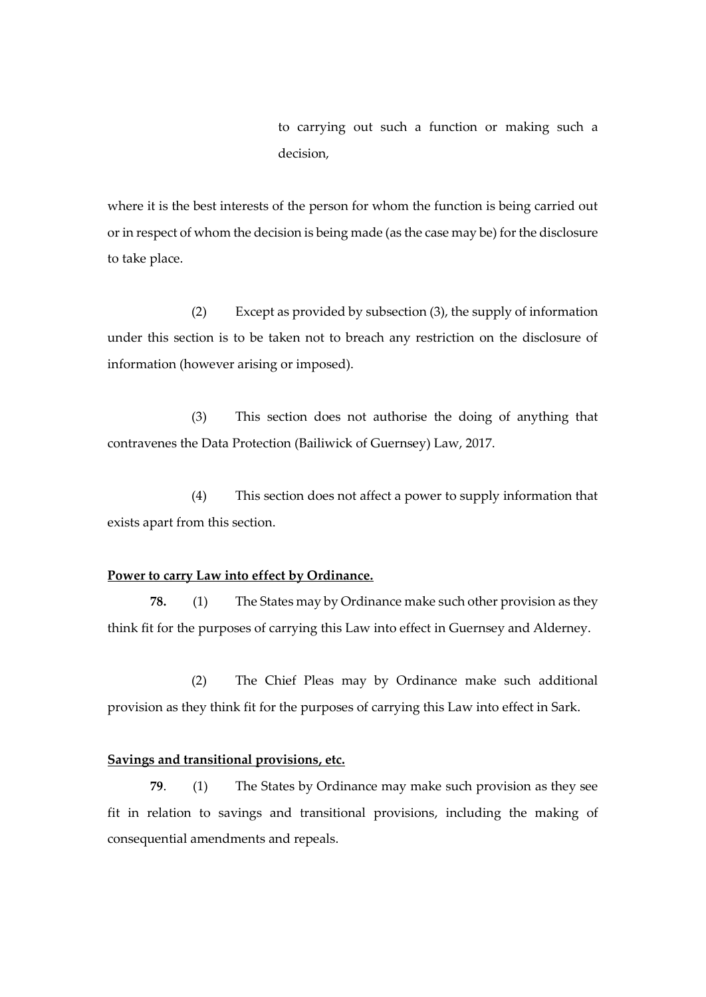to carrying out such a function or making such a decision,

where it is the best interests of the person for whom the function is being carried out or in respect of whom the decision is being made (as the case may be) for the disclosure to take place.

(2) Except as provided by subsection (3), the supply of information under this section is to be taken not to breach any restriction on the disclosure of information (however arising or imposed).

(3) This section does not authorise the doing of anything that contravenes the Data Protection (Bailiwick of Guernsey) Law, 2017.

(4) This section does not affect a power to supply information that exists apart from this section.

# **Power to carry Law into effect by Ordinance.**

**78.** (1) The States may by Ordinance make such other provision as they think fit for the purposes of carrying this Law into effect in Guernsey and Alderney.

(2) The Chief Pleas may by Ordinance make such additional provision as they think fit for the purposes of carrying this Law into effect in Sark.

### **Savings and transitional provisions, etc.**

**79**. (1) The States by Ordinance may make such provision as they see fit in relation to savings and transitional provisions, including the making of consequential amendments and repeals.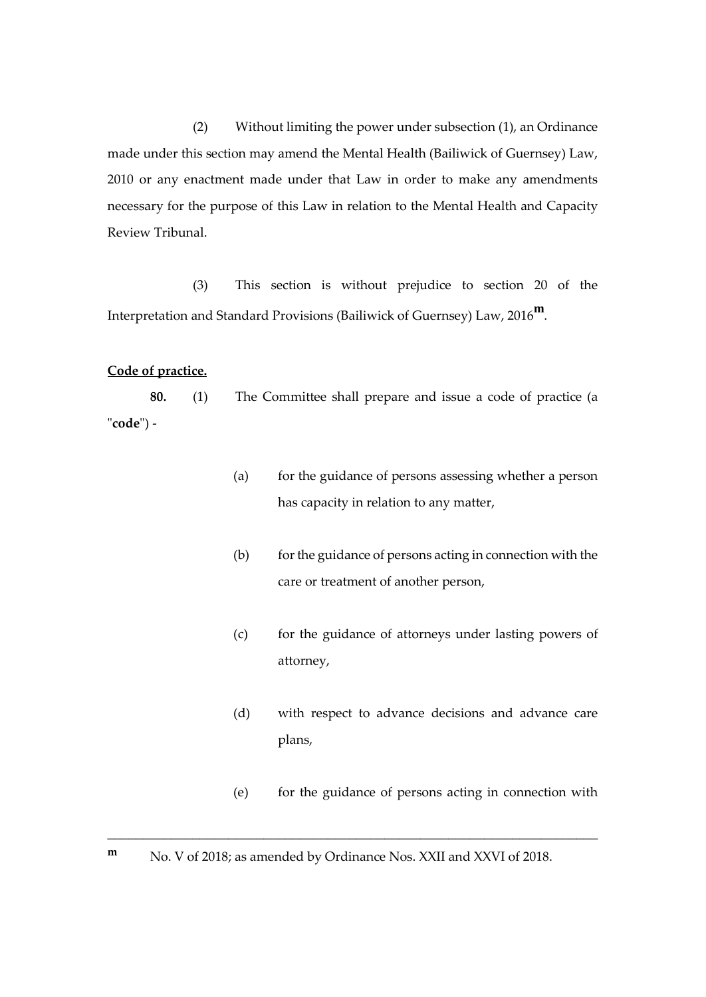(2) Without limiting the power under subsection (1), an Ordinance made under this section may amend the Mental Health (Bailiwick of Guernsey) Law, 2010 or any enactment made under that Law in order to make any amendments necessary for the purpose of this Law in relation to the Mental Health and Capacity Review Tribunal.

(3) This section is without prejudice to section 20 of the Interpretation and Standard Provisions (Bailiwick of Guernsey) Law, 2016**m**.

# **Code of practice.**

**80.** (1) The Committee shall prepare and issue a code of practice (a "**code**") -

- (a) for the guidance of persons assessing whether a person has capacity in relation to any matter,
- (b) for the guidance of persons acting in connection with the care or treatment of another person,
- (c) for the guidance of attorneys under lasting powers of attorney,
- (d) with respect to advance decisions and advance care plans,
- (e) for the guidance of persons acting in connection with

\_\_\_\_\_\_\_\_\_\_\_\_\_\_\_\_\_\_\_\_\_\_\_\_\_\_\_\_\_\_\_\_\_\_\_\_\_\_\_\_\_\_\_\_\_\_\_\_\_\_\_\_\_\_\_\_\_\_\_\_\_\_\_\_\_\_\_\_\_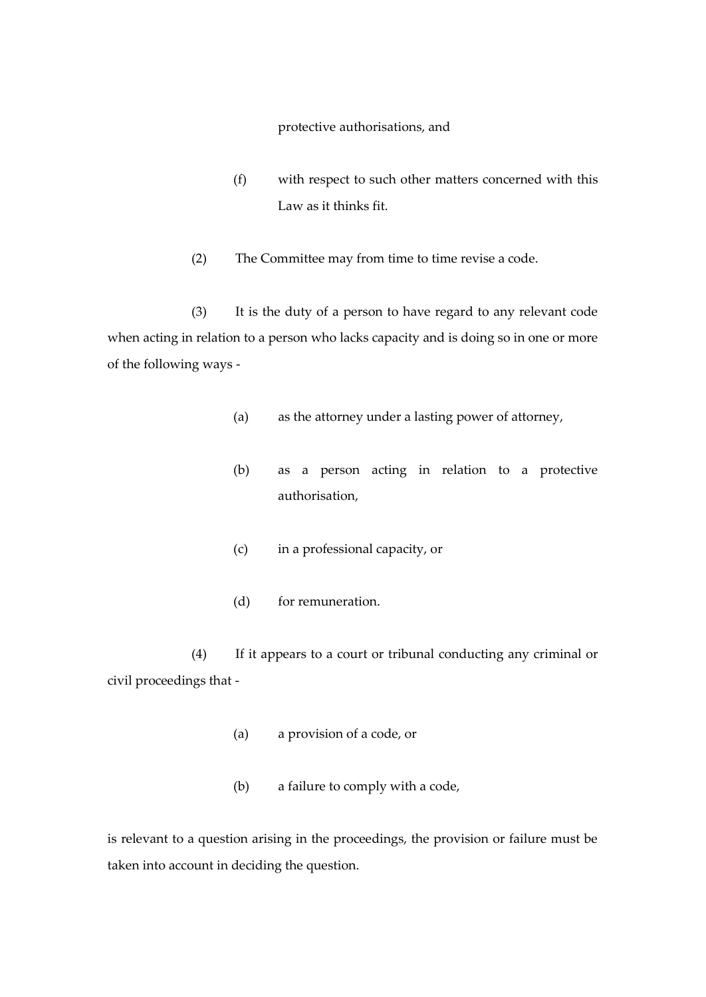protective authorisations, and

- (f) with respect to such other matters concerned with this Law as it thinks fit.
- (2) The Committee may from time to time revise a code.

(3) It is the duty of a person to have regard to any relevant code when acting in relation to a person who lacks capacity and is doing so in one or more of the following ways -

- (a) as the attorney under a lasting power of attorney,
- (b) as a person acting in relation to a protective authorisation,
- (c) in a professional capacity, or
- (d) for remuneration.

(4) If it appears to a court or tribunal conducting any criminal or civil proceedings that -

- (a) a provision of a code, or
- (b) a failure to comply with a code,

is relevant to a question arising in the proceedings, the provision or failure must be taken into account in deciding the question.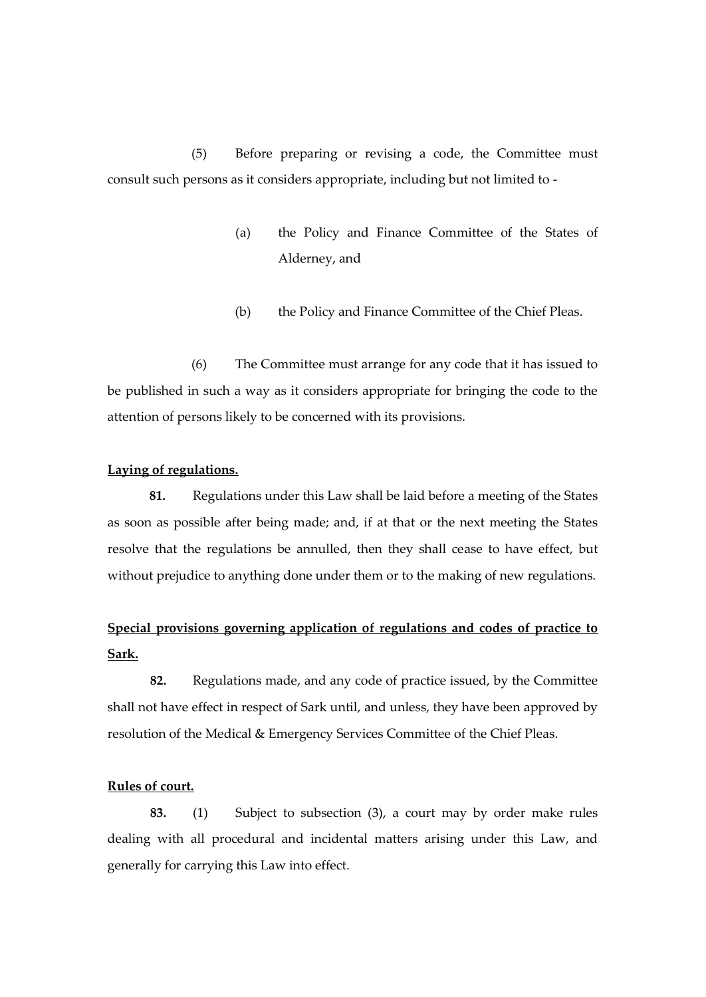(5) Before preparing or revising a code, the Committee must consult such persons as it considers appropriate, including but not limited to -

- (a) the Policy and Finance Committee of the States of Alderney, and
- (b) the Policy and Finance Committee of the Chief Pleas.

(6) The Committee must arrange for any code that it has issued to be published in such a way as it considers appropriate for bringing the code to the attention of persons likely to be concerned with its provisions.

# **Laying of regulations.**

**81.** Regulations under this Law shall be laid before a meeting of the States as soon as possible after being made; and, if at that or the next meeting the States resolve that the regulations be annulled, then they shall cease to have effect, but without prejudice to anything done under them or to the making of new regulations.

# **Special provisions governing application of regulations and codes of practice to Sark.**

**82.** Regulations made, and any code of practice issued, by the Committee shall not have effect in respect of Sark until, and unless, they have been approved by resolution of the Medical & Emergency Services Committee of the Chief Pleas.

## **Rules of court.**

**83.** (1) Subject to subsection (3), a court may by order make rules dealing with all procedural and incidental matters arising under this Law, and generally for carrying this Law into effect.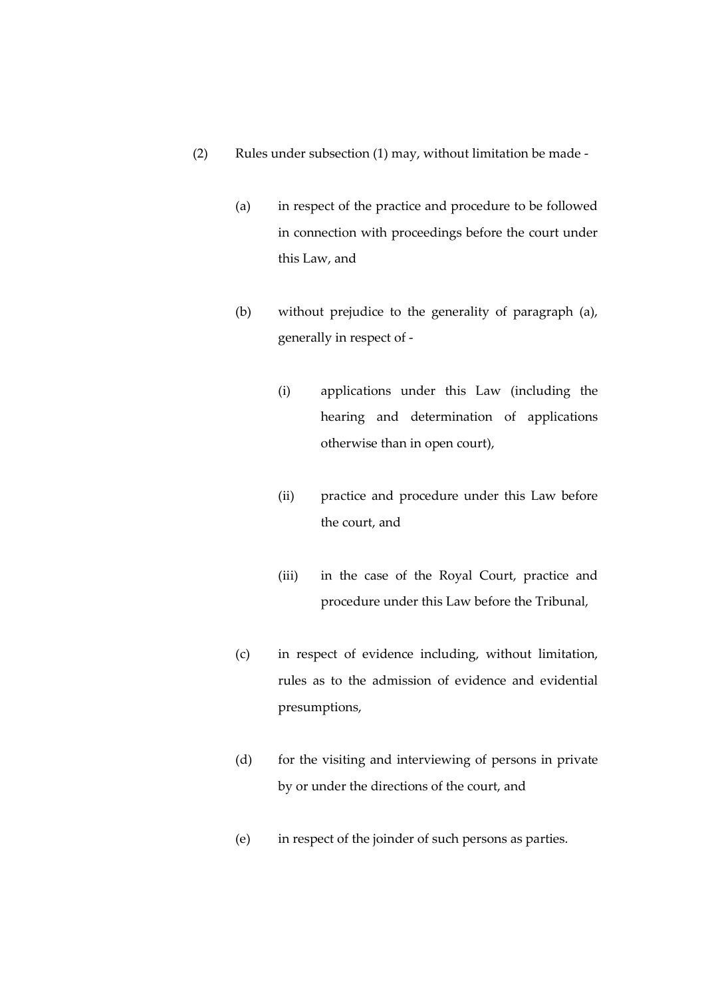- (2) Rules under subsection (1) may, without limitation be made
	- (a) in respect of the practice and procedure to be followed in connection with proceedings before the court under this Law, and
	- (b) without prejudice to the generality of paragraph (a), generally in respect of -
		- (i) applications under this Law (including the hearing and determination of applications otherwise than in open court),
		- (ii) practice and procedure under this Law before the court, and
		- (iii) in the case of the Royal Court, practice and procedure under this Law before the Tribunal,
	- (c) in respect of evidence including, without limitation, rules as to the admission of evidence and evidential presumptions,
	- (d) for the visiting and interviewing of persons in private by or under the directions of the court, and
	- (e) in respect of the joinder of such persons as parties.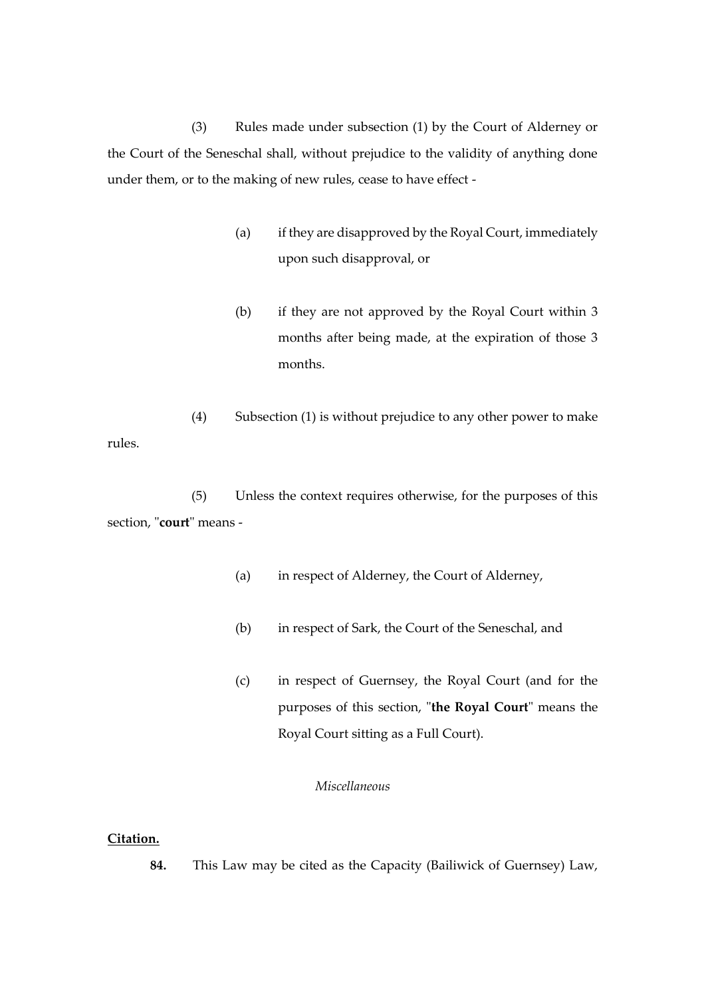(3) Rules made under subsection (1) by the Court of Alderney or the Court of the Seneschal shall, without prejudice to the validity of anything done under them, or to the making of new rules, cease to have effect -

- (a) if they are disapproved by the Royal Court, immediately upon such disapproval, or
- (b) if they are not approved by the Royal Court within 3 months after being made, at the expiration of those 3 months.
- (4) Subsection (1) is without prejudice to any other power to make rules.

(5) Unless the context requires otherwise, for the purposes of this section, "**court**" means -

- (a) in respect of Alderney, the Court of Alderney,
- (b) in respect of Sark, the Court of the Seneschal, and
- (c) in respect of Guernsey, the Royal Court (and for the purposes of this section, "**the Royal Court**" means the Royal Court sitting as a Full Court).

# *Miscellaneous*

# **Citation.**

**84.** This Law may be cited as the Capacity (Bailiwick of Guernsey) Law,